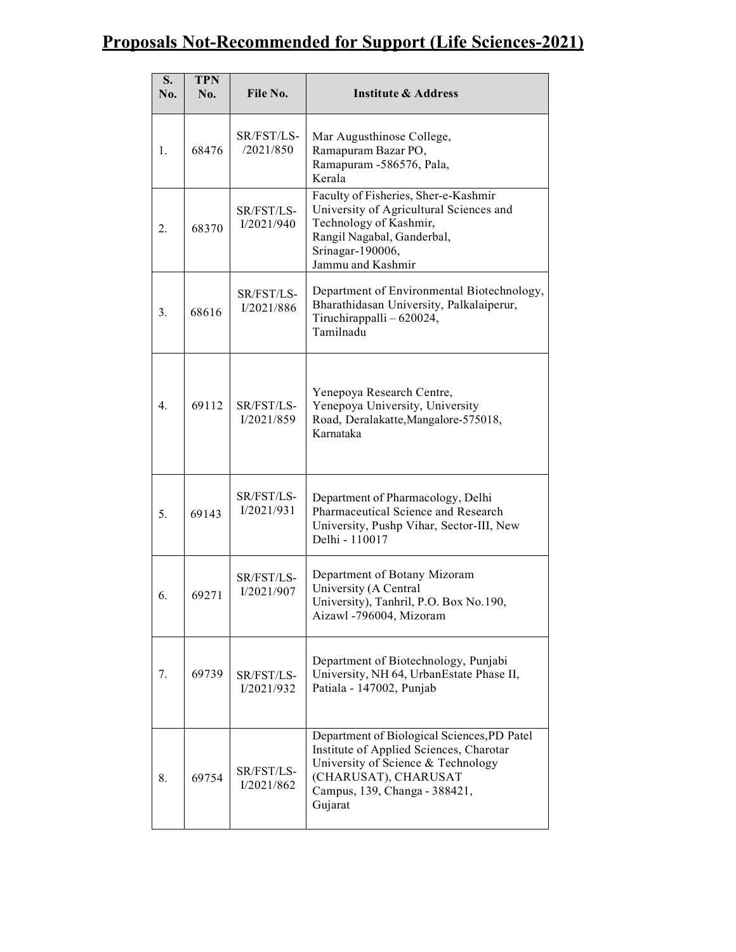# Proposals Not-Recommended for Support (Life Sciences-2021)

| S.<br>No. | <b>TPN</b><br>No. | File No.                 | <b>Institute &amp; Address</b>                                                                                                                                                                   |
|-----------|-------------------|--------------------------|--------------------------------------------------------------------------------------------------------------------------------------------------------------------------------------------------|
| 1.        | 68476             | SR/FST/LS-<br>/2021/850  | Mar Augusthinose College,<br>Ramapuram Bazar PO,<br>Ramapuram -586576, Pala,<br>Kerala                                                                                                           |
| 2.        | 68370             | SR/FST/LS-<br>I/2021/940 | Faculty of Fisheries, Sher-e-Kashmir<br>University of Agricultural Sciences and<br>Technology of Kashmir,<br>Rangil Nagabal, Ganderbal,<br>Srinagar-190006,<br>Jammu and Kashmir                 |
| 3.        | 68616             | SR/FST/LS-<br>I/2021/886 | Department of Environmental Biotechnology,<br>Bharathidasan University, Palkalaiperur,<br>Tiruchirappalli - 620024,<br>Tamilnadu                                                                 |
| 4.        | 69112             | SR/FST/LS-<br>I/2021/859 | Yenepoya Research Centre,<br>Yenepoya University, University<br>Road, Deralakatte, Mangalore-575018,<br>Karnataka                                                                                |
| 5.        | 69143             | SR/FST/LS-<br>I/2021/931 | Department of Pharmacology, Delhi<br>Pharmaceutical Science and Research<br>University, Pushp Vihar, Sector-III, New<br>Delhi - 110017                                                           |
| 6.        | 69271             | SR/FST/LS-<br>I/2021/907 | Department of Botany Mizoram<br>University (A Central<br>University), Tanhril, P.O. Box No.190,<br>Aizawl -796004, Mizoram                                                                       |
| 7.        | 69739             | SR/FST/LS-<br>I/2021/932 | Department of Biotechnology, Punjabi<br>University, NH 64, UrbanEstate Phase II,<br>Patiala - 147002, Punjab                                                                                     |
| 8.        | 69754             | SR/FST/LS-<br>I/2021/862 | Department of Biological Sciences, PD Patel<br>Institute of Applied Sciences, Charotar<br>University of Science & Technology<br>(CHARUSAT), CHARUSAT<br>Campus, 139, Changa - 388421,<br>Gujarat |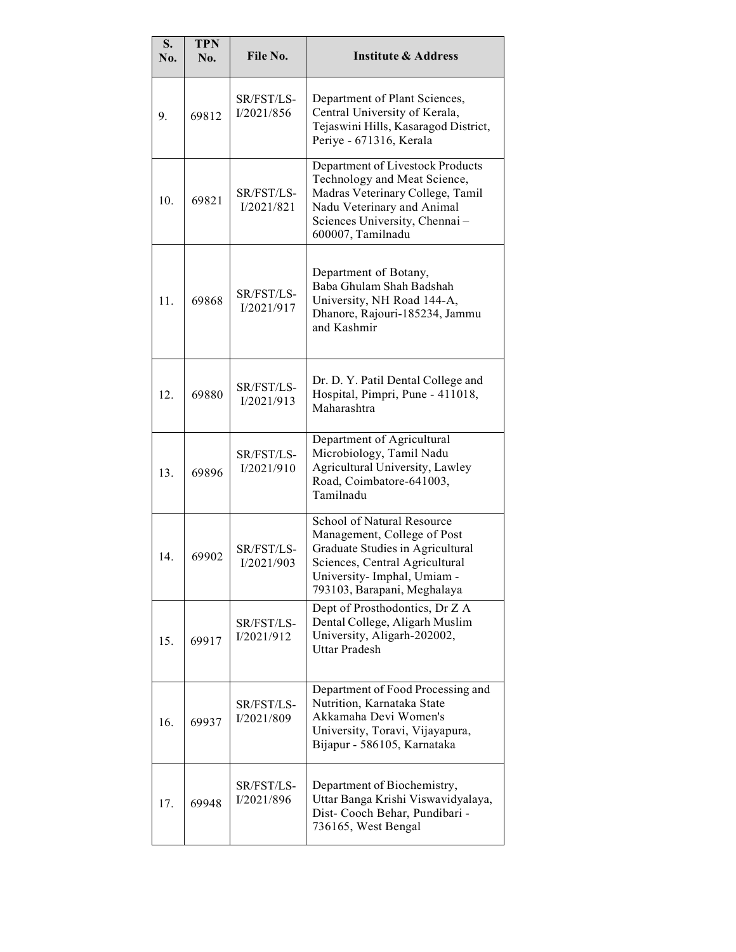| S.<br>No.       | <b>TPN</b><br>No. | File No.                 | <b>Institute &amp; Address</b>                                                                                                                                                               |
|-----------------|-------------------|--------------------------|----------------------------------------------------------------------------------------------------------------------------------------------------------------------------------------------|
| 9.              | 69812             | SR/FST/LS-<br>I/2021/856 | Department of Plant Sciences,<br>Central University of Kerala,<br>Tejaswini Hills, Kasaragod District,<br>Periye - 671316, Kerala                                                            |
| 10 <sub>1</sub> | 69821             | SR/FST/LS-<br>I/2021/821 | Department of Livestock Products<br>Technology and Meat Science,<br>Madras Veterinary College, Tamil<br>Nadu Veterinary and Animal<br>Sciences University, Chennai-<br>600007, Tamilnadu     |
| 11.             | 69868             | SR/FST/LS-<br>I/2021/917 | Department of Botany,<br>Baba Ghulam Shah Badshah<br>University, NH Road 144-A,<br>Dhanore, Rajouri-185234, Jammu<br>and Kashmir                                                             |
| 12.             | 69880             | SR/FST/LS-<br>I/2021/913 | Dr. D. Y. Patil Dental College and<br>Hospital, Pimpri, Pune - 411018,<br>Maharashtra                                                                                                        |
| 13.             | 69896             | SR/FST/LS-<br>I/2021/910 | Department of Agricultural<br>Microbiology, Tamil Nadu<br>Agricultural University, Lawley<br>Road, Coimbatore-641003,<br>Tamilnadu                                                           |
| 14              | 69902             | SR/FST/LS-<br>I/2021/903 | School of Natural Resource<br>Management, College of Post<br>Graduate Studies in Agricultural<br>Sciences, Central Agricultural<br>University-Imphal, Umiam -<br>793103, Barapani, Meghalaya |
| 15.             | 69917             | SR/FST/LS-<br>I/2021/912 | Dept of Prosthodontics, Dr Z A<br>Dental College, Aligarh Muslim<br>University, Aligarh-202002,<br><b>Uttar Pradesh</b>                                                                      |
| 16.             | 69937             | SR/FST/LS-<br>I/2021/809 | Department of Food Processing and<br>Nutrition, Karnataka State<br>Akkamaha Devi Women's<br>University, Toravi, Vijayapura,<br>Bijapur - 586105, Karnataka                                   |
| 17.             | 69948             | SR/FST/LS-<br>I/2021/896 | Department of Biochemistry,<br>Uttar Banga Krishi Viswavidyalaya,<br>Dist- Cooch Behar, Pundibari -<br>736165, West Bengal                                                                   |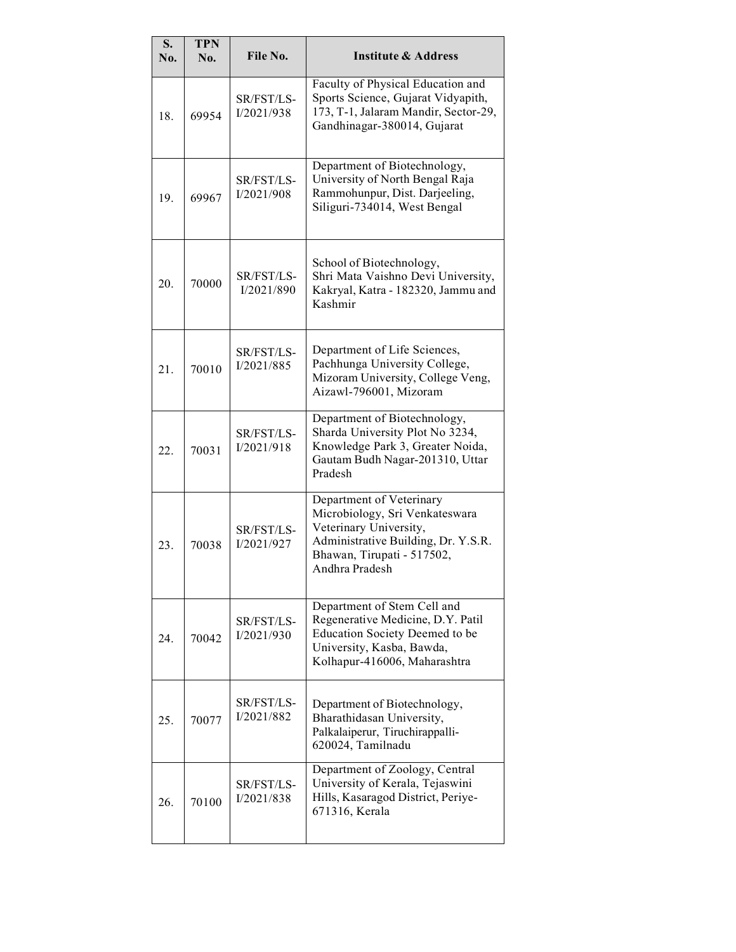| S.<br>No. | <b>TPN</b><br>No. | File No.                 | <b>Institute &amp; Address</b>                                                                                                                                              |
|-----------|-------------------|--------------------------|-----------------------------------------------------------------------------------------------------------------------------------------------------------------------------|
| 18.       | 69954             | SR/FST/LS-<br>I/2021/938 | Faculty of Physical Education and<br>Sports Science, Gujarat Vidyapith,<br>173, T-1, Jalaram Mandir, Sector-29,<br>Gandhinagar-380014, Gujarat                              |
| 19.       | 69967             | SR/FST/LS-<br>I/2021/908 | Department of Biotechnology,<br>University of North Bengal Raja<br>Rammohunpur, Dist. Darjeeling,<br>Siliguri-734014, West Bengal                                           |
| 20.       | 70000             | SR/FST/LS-<br>I/2021/890 | School of Biotechnology,<br>Shri Mata Vaishno Devi University,<br>Kakryal, Katra - 182320, Jammu and<br>Kashmir                                                             |
| 21.       | 70010             | SR/FST/LS-<br>I/2021/885 | Department of Life Sciences,<br>Pachhunga University College,<br>Mizoram University, College Veng,<br>Aizawl-796001, Mizoram                                                |
| 22.       | 70031             | SR/FST/LS-<br>I/2021/918 | Department of Biotechnology,<br>Sharda University Plot No 3234,<br>Knowledge Park 3, Greater Noida,<br>Gautam Budh Nagar-201310, Uttar<br>Pradesh                           |
| 23.       | 70038             | SR/FST/LS-<br>I/2021/927 | Department of Veterinary<br>Microbiology, Sri Venkateswara<br>Veterinary University,<br>Administrative Building, Dr. Y.S.R.<br>Bhawan, Tirupati - 517502,<br>Andhra Pradesh |
| 24.       | 70042             | SR/FST/LS-<br>I/2021/930 | Department of Stem Cell and<br>Regenerative Medicine, D.Y. Patil<br>Education Society Deemed to be<br>University, Kasba, Bawda,<br>Kolhapur-416006, Maharashtra             |
| 25.       | 70077             | SR/FST/LS-<br>I/2021/882 | Department of Biotechnology,<br>Bharathidasan University,<br>Palkalaiperur, Tiruchirappalli-<br>620024, Tamilnadu                                                           |
| 26.       | 70100             | SR/FST/LS-<br>I/2021/838 | Department of Zoology, Central<br>University of Kerala, Tejaswini<br>Hills, Kasaragod District, Periye-<br>671316, Kerala                                                   |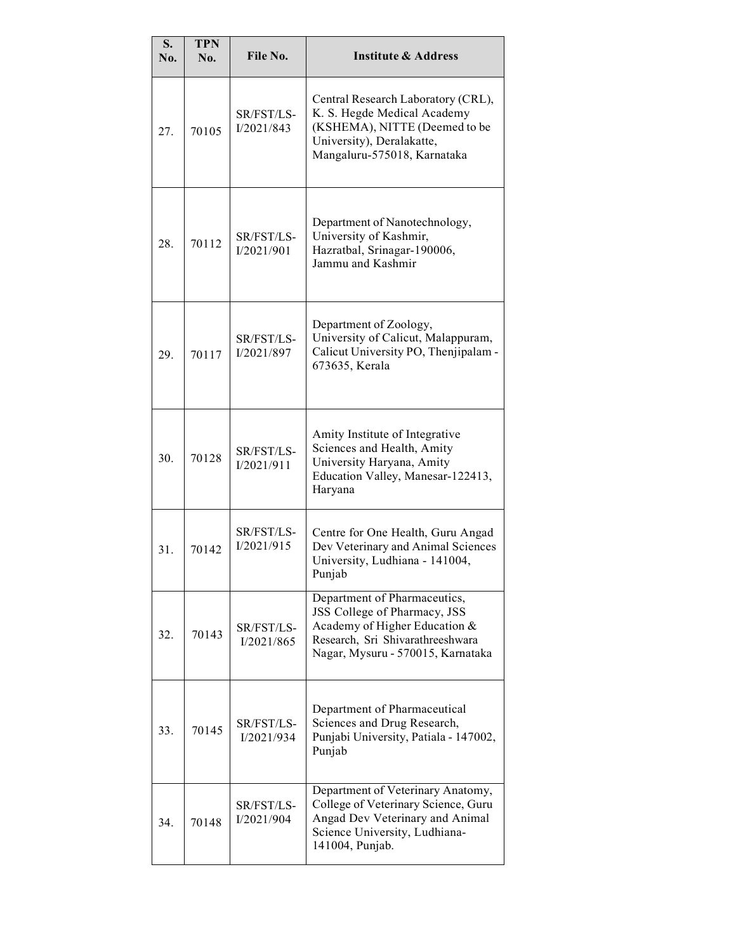| S.<br>No.       | <b>TPN</b><br>No. | File No.                 | <b>Institute &amp; Address</b>                                                                                                                                         |
|-----------------|-------------------|--------------------------|------------------------------------------------------------------------------------------------------------------------------------------------------------------------|
| 27.             | 70105             | SR/FST/LS-<br>I/2021/843 | Central Research Laboratory (CRL),<br>K. S. Hegde Medical Academy<br>(KSHEMA), NITTE (Deemed to be<br>University), Deralakatte,<br>Mangaluru-575018, Karnataka         |
| 28.             | 70112             | SR/FST/LS-<br>I/2021/901 | Department of Nanotechnology,<br>University of Kashmir,<br>Hazratbal, Srinagar-190006,<br>Jammu and Kashmir                                                            |
| 29.             | 70117             | SR/FST/LS-<br>I/2021/897 | Department of Zoology,<br>University of Calicut, Malappuram,<br>Calicut University PO, Thenjipalam -<br>673635, Kerala                                                 |
| 30 <sub>1</sub> | 70128             | SR/FST/LS-<br>I/2021/911 | Amity Institute of Integrative<br>Sciences and Health, Amity<br>University Haryana, Amity<br>Education Valley, Manesar-122413,<br>Haryana                              |
| 31.             | 70142             | SR/FST/LS-<br>I/2021/915 | Centre for One Health, Guru Angad<br>Dev Veterinary and Animal Sciences<br>University, Ludhiana - 141004,<br>Punjab                                                    |
| 32.             | 70143             | SR/FST/LS-<br>I/2021/865 | Department of Pharmaceutics,<br>JSS College of Pharmacy, JSS<br>Academy of Higher Education &<br>Research, Sri Shivarathreeshwara<br>Nagar, Mysuru - 570015, Karnataka |
| 33.             | 70145             | SR/FST/LS-<br>I/2021/934 | Department of Pharmaceutical<br>Sciences and Drug Research,<br>Punjabi University, Patiala - 147002,<br>Punjab                                                         |
| 34.             | 70148             | SR/FST/LS-<br>I/2021/904 | Department of Veterinary Anatomy,<br>College of Veterinary Science, Guru<br>Angad Dev Veterinary and Animal<br>Science University, Ludhiana-<br>141004, Punjab.        |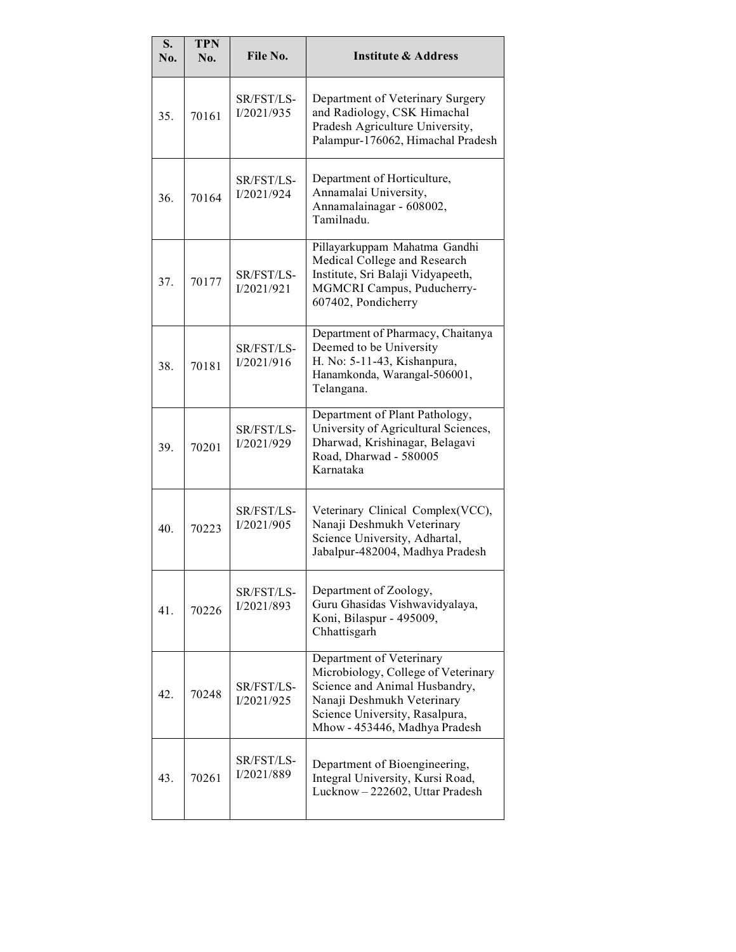| S.<br>No. | <b>TPN</b><br>No. | File No.                 | <b>Institute &amp; Address</b>                                                                                                                                                                    |
|-----------|-------------------|--------------------------|---------------------------------------------------------------------------------------------------------------------------------------------------------------------------------------------------|
| 35.       | 70161             | SR/FST/LS-<br>I/2021/935 | Department of Veterinary Surgery<br>and Radiology, CSK Himachal<br>Pradesh Agriculture University,<br>Palampur-176062, Himachal Pradesh                                                           |
| 36.       | 70164             | SR/FST/LS-<br>I/2021/924 | Department of Horticulture,<br>Annamalai University,<br>Annamalainagar - 608002,<br>Tamilnadu                                                                                                     |
| 37.       | 70177             | SR/FST/LS-<br>I/2021/921 | Pillayarkuppam Mahatma Gandhi<br>Medical College and Research<br>Institute, Sri Balaji Vidyapeeth,<br>MGMCRI Campus, Puducherry-<br>607402, Pondicherry                                           |
| 38.       | 70181             | SR/FST/LS-<br>I/2021/916 | Department of Pharmacy, Chaitanya<br>Deemed to be University<br>H. No: 5-11-43, Kishanpura,<br>Hanamkonda, Warangal-506001,<br>Telangana.                                                         |
| 39.       | 70201             | SR/FST/LS-<br>I/2021/929 | Department of Plant Pathology,<br>University of Agricultural Sciences,<br>Dharwad, Krishinagar, Belagavi<br>Road, Dharwad - 580005<br>Karnataka                                                   |
| 40.       | 70223             | SR/FST/LS-<br>I/2021/905 | Veterinary Clinical Complex(VCC),<br>Nanaji Deshmukh Veterinary<br>Science University, Adhartal,<br>Jabalpur-482004, Madhya Pradesh                                                               |
| 41.       | 70226             | SR/FST/LS-<br>I/2021/893 | Department of Zoology,<br>Guru Ghasidas Vishwavidyalaya,<br>Koni, Bilaspur - 495009,<br>Chhattisgarh                                                                                              |
| 42.       | 70248             | SR/FST/LS-<br>I/2021/925 | Department of Veterinary<br>Microbiology, College of Veterinary<br>Science and Animal Husbandry,<br>Nanaji Deshmukh Veterinary<br>Science University, Rasalpura,<br>Mhow - 453446, Madhya Pradesh |
| 43.       | 70261             | SR/FST/LS-<br>I/2021/889 | Department of Bioengineering,<br>Integral University, Kursi Road,<br>Lucknow - 222602, Uttar Pradesh                                                                                              |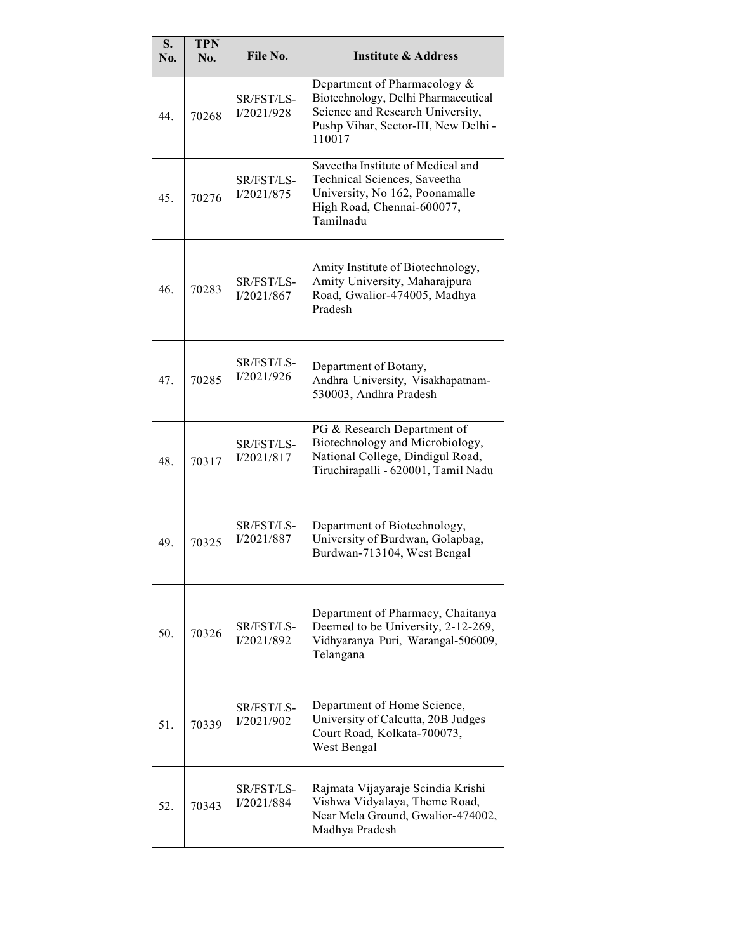| S.<br>No. | <b>TPN</b><br>No. | File No.                 | <b>Institute &amp; Address</b>                                                                                                                            |
|-----------|-------------------|--------------------------|-----------------------------------------------------------------------------------------------------------------------------------------------------------|
| 44.       | 70268             | SR/FST/LS-<br>I/2021/928 | Department of Pharmacology &<br>Biotechnology, Delhi Pharmaceutical<br>Science and Research University,<br>Pushp Vihar, Sector-III, New Delhi -<br>110017 |
| 45.       | 70276             | SR/FST/LS-<br>I/2021/875 | Saveetha Institute of Medical and<br>Technical Sciences, Saveetha<br>University, No 162, Poonamalle<br>High Road, Chennai-600077,<br>Tamilnadu            |
| 46.       | 70283             | SR/FST/LS-<br>I/2021/867 | Amity Institute of Biotechnology,<br>Amity University, Maharajpura<br>Road, Gwalior-474005, Madhya<br>Pradesh                                             |
| 47.       | 70285             | SR/FST/LS-<br>I/2021/926 | Department of Botany,<br>Andhra University, Visakhapatnam-<br>530003, Andhra Pradesh                                                                      |
| 48.       | 70317             | SR/FST/LS-<br>I/2021/817 | PG & Research Department of<br>Biotechnology and Microbiology,<br>National College, Dindigul Road,<br>Tiruchirapalli - 620001, Tamil Nadu                 |
| 49.       | 70325             | SR/FST/LS-<br>I/2021/887 | Department of Biotechnology,<br>University of Burdwan, Golapbag,<br>Burdwan-713104, West Bengal                                                           |
| 50.       | 70326             | SR/FST/LS-<br>I/2021/892 | Department of Pharmacy, Chaitanya<br>Deemed to be University, 2-12-269,<br>Vidhyaranya Puri, Warangal-506009,<br>Telangana                                |
| 51.       | 70339             | SR/FST/LS-<br>I/2021/902 | Department of Home Science,<br>University of Calcutta, 20B Judges<br>Court Road, Kolkata-700073,<br>West Bengal                                           |
| 52.       | 70343             | SR/FST/LS-<br>I/2021/884 | Rajmata Vijayaraje Scindia Krishi<br>Vishwa Vidyalaya, Theme Road,<br>Near Mela Ground, Gwalior-474002,<br>Madhya Pradesh                                 |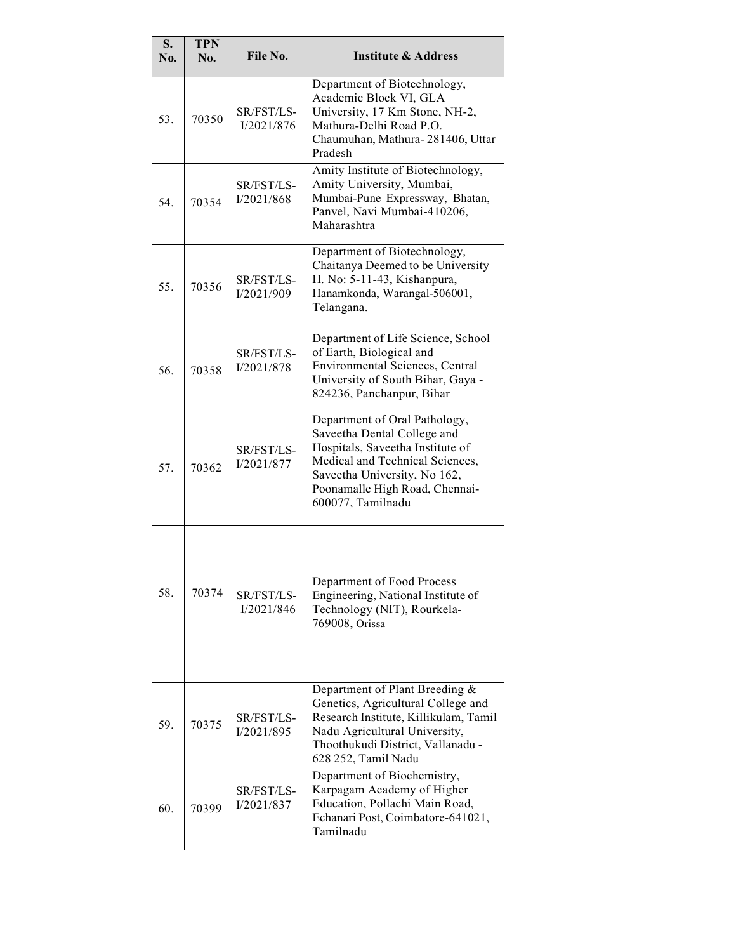| S.<br>No. | <b>TPN</b><br>No. | File No.                 | <b>Institute &amp; Address</b>                                                                                                                                                                                             |
|-----------|-------------------|--------------------------|----------------------------------------------------------------------------------------------------------------------------------------------------------------------------------------------------------------------------|
| 53.       | 70350             | SR/FST/LS-<br>I/2021/876 | Department of Biotechnology,<br>Academic Block VI, GLA<br>University, 17 Km Stone, NH-2,<br>Mathura-Delhi Road P.O.<br>Chaumuhan, Mathura-281406, Uttar<br>Pradesh                                                         |
| 54.       | 70354             | SR/FST/LS-<br>I/2021/868 | Amity Institute of Biotechnology,<br>Amity University, Mumbai,<br>Mumbai-Pune Expressway, Bhatan,<br>Panvel, Navi Mumbai-410206,<br>Maharashtra                                                                            |
| 55.       | 70356             | SR/FST/LS-<br>I/2021/909 | Department of Biotechnology,<br>Chaitanya Deemed to be University<br>H. No: 5-11-43, Kishanpura,<br>Hanamkonda, Warangal-506001,<br>Telangana.                                                                             |
| 56.       | 70358             | SR/FST/LS-<br>I/2021/878 | Department of Life Science, School<br>of Earth, Biological and<br><b>Environmental Sciences, Central</b><br>University of South Bihar, Gaya -<br>824236, Panchanpur, Bihar                                                 |
| 57.       | 70362             | SR/FST/LS-<br>I/2021/877 | Department of Oral Pathology,<br>Saveetha Dental College and<br>Hospitals, Saveetha Institute of<br>Medical and Technical Sciences,<br>Saveetha University, No 162,<br>Poonamalle High Road, Chennai-<br>600077, Tamilnadu |
| 58.       | 70374             | SR/FST/LS-<br>I/2021/846 | Department of Food Process<br>Engineering, National Institute of<br>Technology (NIT), Rourkela-<br>769008, Orissa                                                                                                          |
| 59.       | 70375             | SR/FST/LS-<br>I/2021/895 | Department of Plant Breeding &<br>Genetics, Agricultural College and<br>Research Institute, Killikulam, Tamil<br>Nadu Agricultural University,<br>Thoothukudi District, Vallanadu -<br>628 252, Tamil Nadu                 |
| 60.       | 70399             | SR/FST/LS-<br>I/2021/837 | Department of Biochemistry,<br>Karpagam Academy of Higher<br>Education, Pollachi Main Road,<br>Echanari Post, Coimbatore-641021,<br>Tamilnadu                                                                              |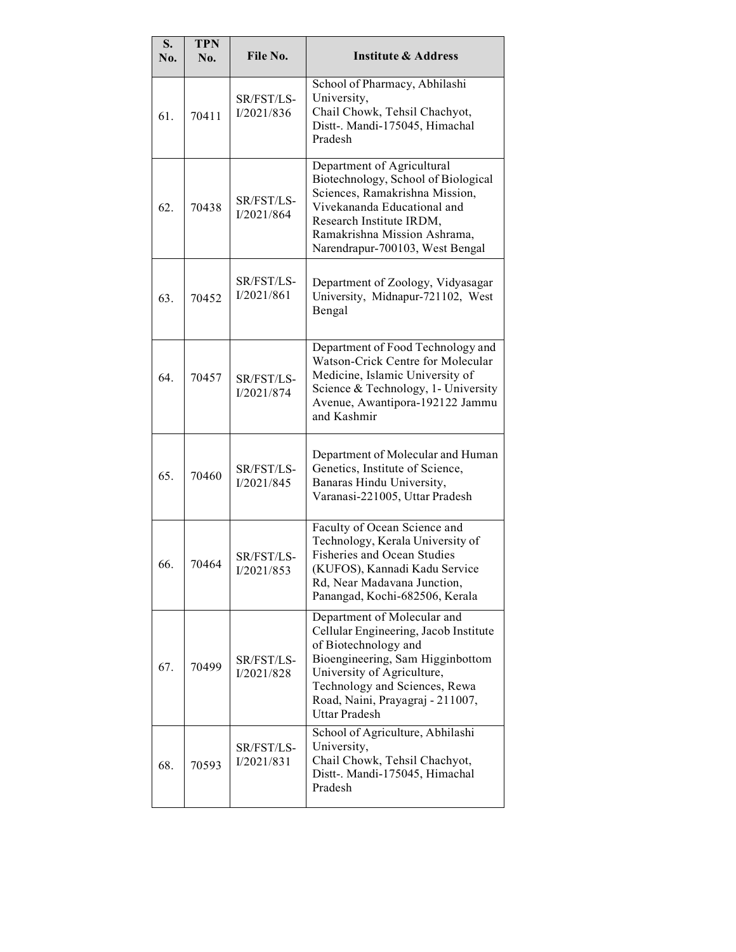| S.<br>No. | <b>TPN</b><br>No. | File No.                 | <b>Institute &amp; Address</b>                                                                                                                                                                                                                              |
|-----------|-------------------|--------------------------|-------------------------------------------------------------------------------------------------------------------------------------------------------------------------------------------------------------------------------------------------------------|
| 61.       | 70411             | SR/FST/LS-<br>I/2021/836 | School of Pharmacy, Abhilashi<br>University,<br>Chail Chowk, Tehsil Chachyot,<br>Distt-. Mandi-175045, Himachal<br>Pradesh                                                                                                                                  |
| 62.       | 70438             | SR/FST/LS-<br>I/2021/864 | Department of Agricultural<br>Biotechnology, School of Biological<br>Sciences, Ramakrishna Mission,<br>Vivekananda Educational and<br>Research Institute IRDM,<br>Ramakrishna Mission Ashrama,<br>Narendrapur-700103, West Bengal                           |
| 63.       | 70452             | SR/FST/LS-<br>I/2021/861 | Department of Zoology, Vidyasagar<br>University, Midnapur-721102, West<br>Bengal                                                                                                                                                                            |
| 64.       | 70457             | SR/FST/LS-<br>I/2021/874 | Department of Food Technology and<br>Watson-Crick Centre for Molecular<br>Medicine, Islamic University of<br>Science & Technology, 1- University<br>Avenue, Awantipora-192122 Jammu<br>and Kashmir                                                          |
| 65.       | 70460             | SR/FST/LS-<br>I/2021/845 | Department of Molecular and Human<br>Genetics, Institute of Science,<br>Banaras Hindu University,<br>Varanasi-221005, Uttar Pradesh                                                                                                                         |
| 66.       | 70464             | SR/FST/LS-<br>I/2021/853 | Faculty of Ocean Science and<br>Technology, Kerala University of<br><b>Fisheries and Ocean Studies</b><br>(KUFOS), Kannadi Kadu Service<br>Rd, Near Madavana Junction,<br>Panangad, Kochi-682506, Kerala                                                    |
| 67.       | 70499             | SR/FST/LS-<br>I/2021/828 | Department of Molecular and<br>Cellular Engineering, Jacob Institute<br>of Biotechnology and<br>Bioengineering, Sam Higginbottom<br>University of Agriculture,<br>Technology and Sciences, Rewa<br>Road, Naini, Prayagraj - 211007,<br><b>Uttar Pradesh</b> |
| 68.       | 70593             | SR/FST/LS-<br>I/2021/831 | School of Agriculture, Abhilashi<br>University,<br>Chail Chowk, Tehsil Chachyot,<br>Distt-. Mandi-175045, Himachal<br>Pradesh                                                                                                                               |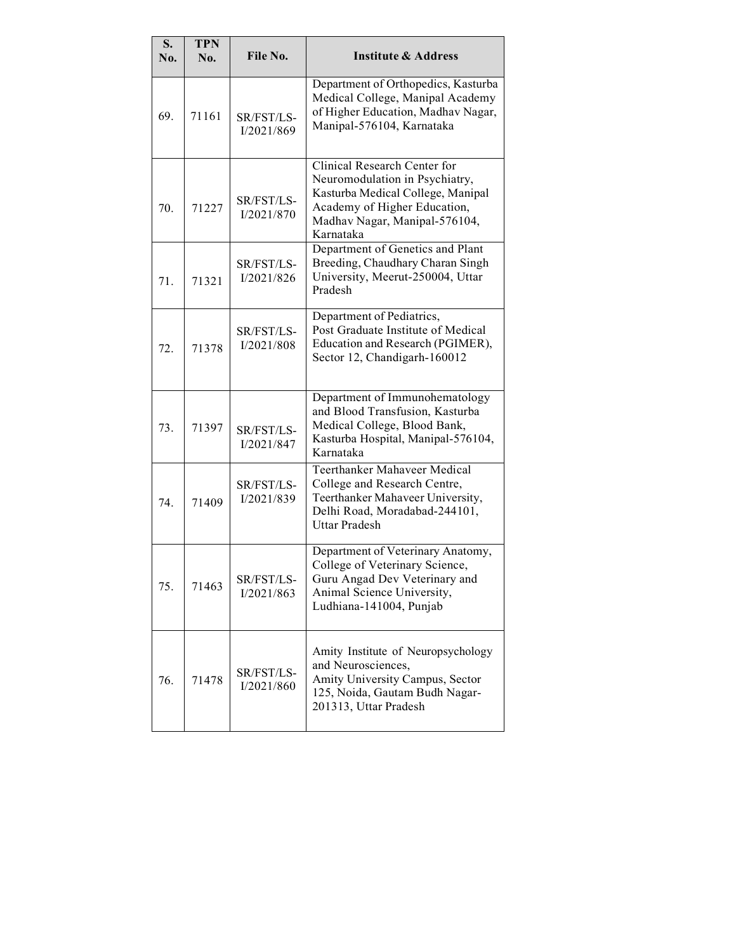| S.<br>No. | <b>TPN</b><br>No. | File No.                 | <b>Institute &amp; Address</b>                                                                                                                                                    |
|-----------|-------------------|--------------------------|-----------------------------------------------------------------------------------------------------------------------------------------------------------------------------------|
|           |                   |                          |                                                                                                                                                                                   |
| 69.       | 71161             | SR/FST/LS-<br>I/2021/869 | Department of Orthopedics, Kasturba<br>Medical College, Manipal Academy<br>of Higher Education, Madhav Nagar,<br>Manipal-576104, Karnataka                                        |
| 70.       | 71227             | SR/FST/LS-<br>I/2021/870 | Clinical Research Center for<br>Neuromodulation in Psychiatry,<br>Kasturba Medical College, Manipal<br>Academy of Higher Education,<br>Madhav Nagar, Manipal-576104,<br>Karnataka |
| 71.       | 71321             | SR/FST/LS-<br>I/2021/826 | Department of Genetics and Plant<br>Breeding, Chaudhary Charan Singh<br>University, Meerut-250004, Uttar<br>Pradesh                                                               |
| 72.       | 71378             | SR/FST/LS-<br>I/2021/808 | Department of Pediatrics,<br>Post Graduate Institute of Medical<br>Education and Research (PGIMER),<br>Sector 12, Chandigarh-160012                                               |
| 73.       | 71397             | SR/FST/LS-<br>I/2021/847 | Department of Immunohematology<br>and Blood Transfusion, Kasturba<br>Medical College, Blood Bank,<br>Kasturba Hospital, Manipal-576104,<br>Karnataka                              |
| 74.       | 71409             | SR/FST/LS-<br>I/2021/839 | <b>Teerthanker Mahaveer Medical</b><br>College and Research Centre,<br>Teerthanker Mahaveer University,<br>Delhi Road, Moradabad-244101,<br><b>Uttar Pradesh</b>                  |
| 75.       | 71463             | SR/FST/LS-<br>I/2021/863 | Department of Veterinary Anatomy,<br>College of Veterinary Science,<br>Guru Angad Dev Veterinary and<br>Animal Science University,<br>Ludhiana-141004, Punjab                     |
| 76.       | 71478             | SR/FST/LS-<br>I/2021/860 | Amity Institute of Neuropsychology<br>and Neurosciences,<br>Amity University Campus, Sector<br>125, Noida, Gautam Budh Nagar-<br>201313, Uttar Pradesh                            |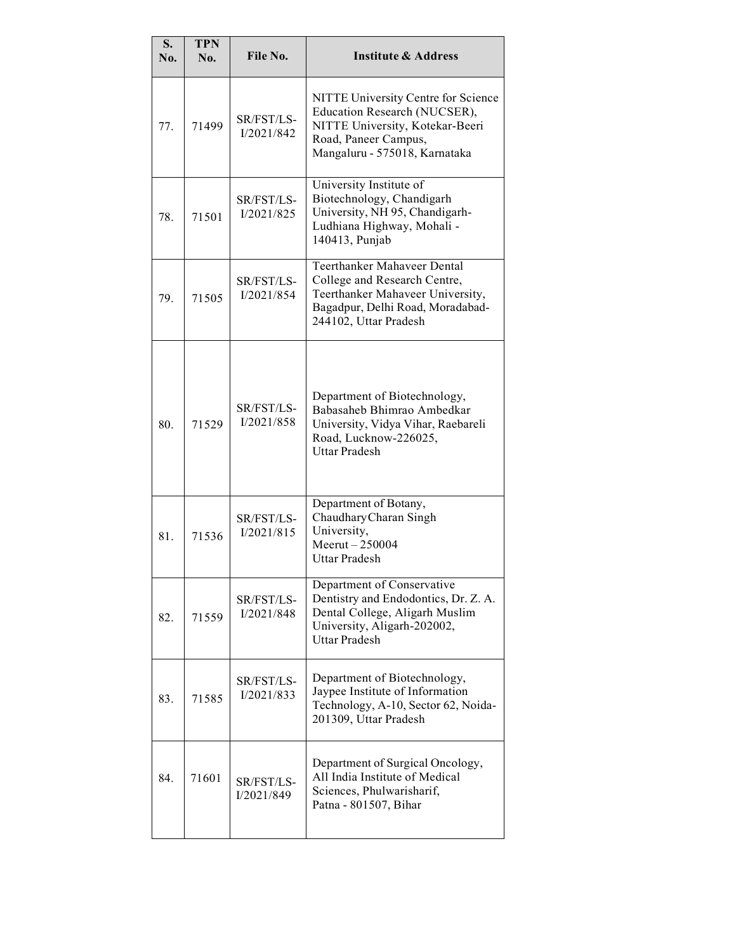| S.<br>No. | <b>TPN</b><br>No. | File No.                 | <b>Institute &amp; Address</b>                                                                                                                                      |
|-----------|-------------------|--------------------------|---------------------------------------------------------------------------------------------------------------------------------------------------------------------|
| 77.       | 71499             | SR/FST/LS-<br>I/2021/842 | NITTE University Centre for Science<br>Education Research (NUCSER),<br>NITTE University, Kotekar-Beeri<br>Road, Paneer Campus,<br>Mangaluru - 575018, Karnataka     |
| 78.       | 71501             | SR/FST/LS-<br>I/2021/825 | University Institute of<br>Biotechnology, Chandigarh<br>University, NH 95, Chandigarh-<br>Ludhiana Highway, Mohali -<br>140413, Punjab                              |
| 79.       | 71505             | SR/FST/LS-<br>I/2021/854 | <b>Teerthanker Mahaveer Dental</b><br>College and Research Centre,<br>Teerthanker Mahaveer University,<br>Bagadpur, Delhi Road, Moradabad-<br>244102, Uttar Pradesh |
| 80.       | 71529             | SR/FST/LS-<br>I/2021/858 | Department of Biotechnology,<br>Babasaheb Bhimrao Ambedkar<br>University, Vidya Vihar, Raebareli<br>Road, Lucknow-226025,<br><b>Uttar Pradesh</b>                   |
| 81.       | 71536             | SR/FST/LS-<br>I/2021/815 | Department of Botany,<br>Chaudhary Charan Singh<br>University,<br>Meerut-250004<br><b>Uttar Pradesh</b>                                                             |
| 82.       | 71559             | SR/FST/LS-<br>I/2021/848 | Department of Conservative<br>Dentistry and Endodontics, Dr. Z. A.<br>Dental College, Aligarh Muslim<br>University, Aligarh-202002,<br><b>Uttar Pradesh</b>         |
| 83.       | 71585             | SR/FST/LS-<br>I/2021/833 | Department of Biotechnology,<br>Jaypee Institute of Information<br>Technology, A-10, Sector 62, Noida-<br>201309, Uttar Pradesh                                     |
| 84.       | 71601             | SR/FST/LS-<br>I/2021/849 | Department of Surgical Oncology,<br>All India Institute of Medical<br>Sciences, Phulwarisharif,<br>Patna - 801507, Bihar                                            |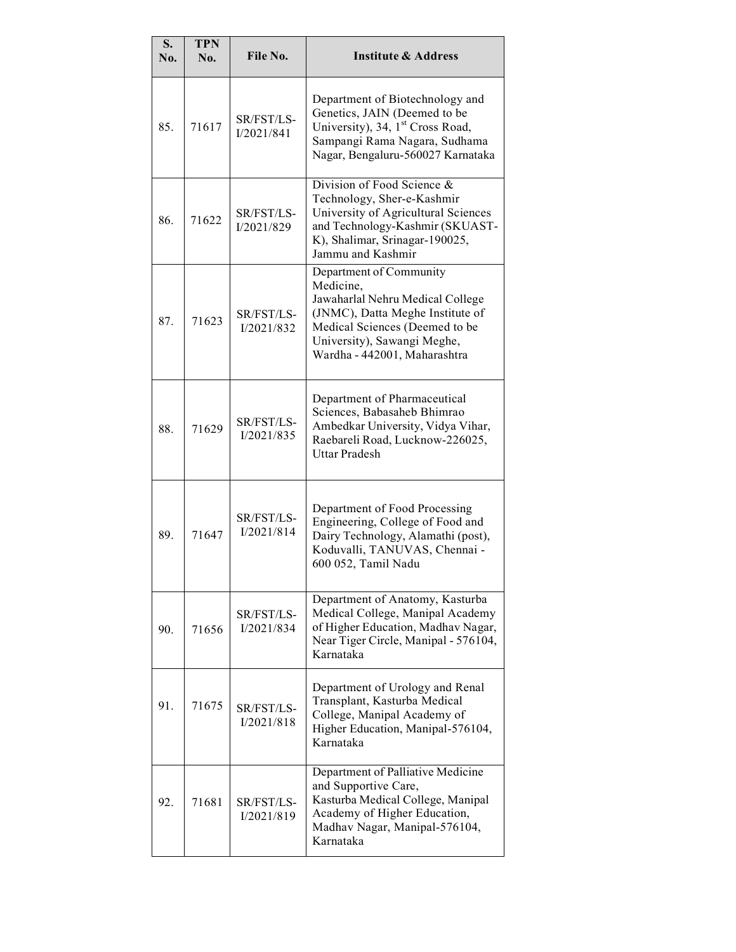| S.<br>No. | <b>TPN</b><br>No. | File No.                 | <b>Institute &amp; Address</b>                                                                                                                                                                                |
|-----------|-------------------|--------------------------|---------------------------------------------------------------------------------------------------------------------------------------------------------------------------------------------------------------|
| 85.       | 71617             | SR/FST/LS-<br>I/2021/841 | Department of Biotechnology and<br>Genetics, JAIN (Deemed to be<br>University), 34, 1 <sup>st</sup> Cross Road,<br>Sampangi Rama Nagara, Sudhama<br>Nagar, Bengaluru-560027 Karnataka                         |
| 86.       | 71622             | SR/FST/LS-<br>I/2021/829 | Division of Food Science &<br>Technology, Sher-e-Kashmir<br>University of Agricultural Sciences<br>and Technology-Kashmir (SKUAST-<br>K), Shalimar, Srinagar-190025,<br>Jammu and Kashmir                     |
| 87.       | 71623             | SR/FST/LS-<br>I/2021/832 | Department of Community<br>Medicine,<br>Jawaharlal Nehru Medical College<br>(JNMC), Datta Meghe Institute of<br>Medical Sciences (Deemed to be<br>University), Sawangi Meghe,<br>Wardha - 442001, Maharashtra |
| 88.       | 71629             | SR/FST/LS-<br>I/2021/835 | Department of Pharmaceutical<br>Sciences, Babasaheb Bhimrao<br>Ambedkar University, Vidya Vihar,<br>Raebareli Road, Lucknow-226025,<br><b>Uttar Pradesh</b>                                                   |
| 89.       | 71647             | SR/FST/LS-<br>I/2021/814 | Department of Food Processing<br>Engineering, College of Food and<br>Dairy Technology, Alamathi (post),<br>Koduvalli, TANUVAS, Chennai -<br>600 052, Tamil Nadu                                               |
| 90.       | 71656             | SR/FST/LS-<br>I/2021/834 | Department of Anatomy, Kasturba<br>Medical College, Manipal Academy<br>of Higher Education, Madhav Nagar,<br>Near Tiger Circle, Manipal - 576104,<br>Karnataka                                                |
| 91.       | 71675             | SR/FST/LS-<br>I/2021/818 | Department of Urology and Renal<br>Transplant, Kasturba Medical<br>College, Manipal Academy of<br>Higher Education, Manipal-576104,<br>Karnataka                                                              |
| 92.       | 71681             | SR/FST/LS-<br>I/2021/819 | Department of Palliative Medicine<br>and Supportive Care,<br>Kasturba Medical College, Manipal<br>Academy of Higher Education,<br>Madhav Nagar, Manipal-576104,<br>Karnataka                                  |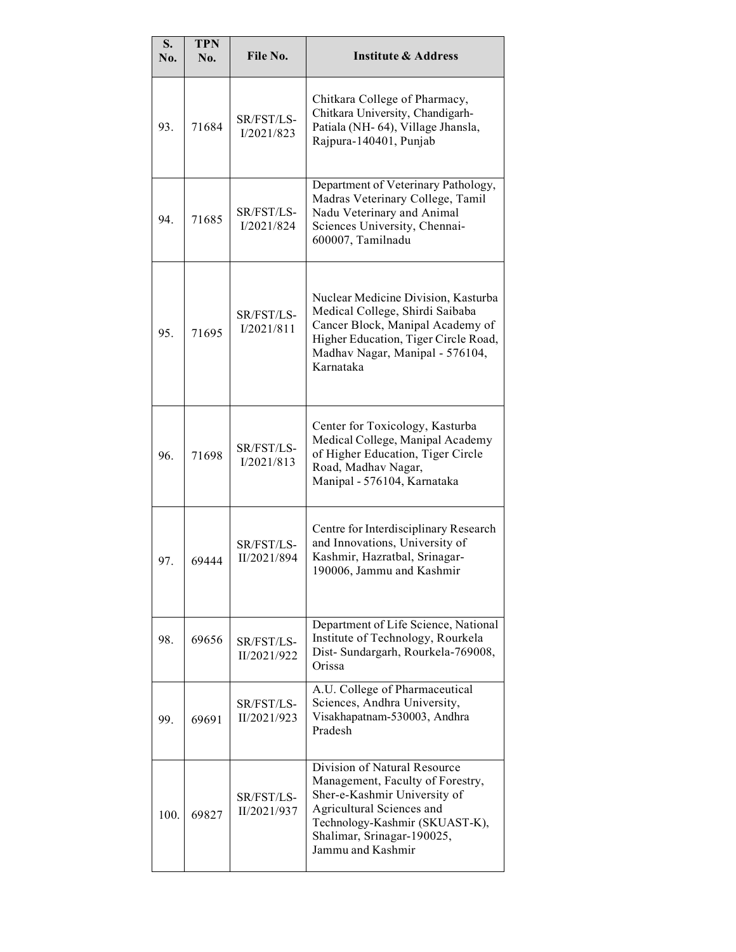| S.<br>No. | <b>TPN</b><br>No. | File No.                  | <b>Institute &amp; Address</b>                                                                                                                                                                                     |
|-----------|-------------------|---------------------------|--------------------------------------------------------------------------------------------------------------------------------------------------------------------------------------------------------------------|
| 93.       | 71684             | SR/FST/LS-<br>I/2021/823  | Chitkara College of Pharmacy,<br>Chitkara University, Chandigarh-<br>Patiala (NH-64), Village Jhansla,<br>Rajpura-140401, Punjab                                                                                   |
| 94.       | 71685             | SR/FST/LS-<br>I/2021/824  | Department of Veterinary Pathology,<br>Madras Veterinary College, Tamil<br>Nadu Veterinary and Animal<br>Sciences University, Chennai-<br>600007, Tamilnadu                                                        |
| 95.       | 71695             | SR/FST/LS-<br>I/2021/811  | Nuclear Medicine Division, Kasturba<br>Medical College, Shirdi Saibaba<br>Cancer Block, Manipal Academy of<br>Higher Education, Tiger Circle Road,<br>Madhav Nagar, Manipal - 576104,<br>Karnataka                 |
| 96.       | 71698             | SR/FST/LS-<br>I/2021/813  | Center for Toxicology, Kasturba<br>Medical College, Manipal Academy<br>of Higher Education, Tiger Circle<br>Road, Madhav Nagar,<br>Manipal - 576104, Karnataka                                                     |
| 97.       | 69444             | SR/FST/LS-<br>II/2021/894 | Centre for Interdisciplinary Research<br>and Innovations, University of<br>Kashmir, Hazratbal, Srinagar-<br>190006, Jammu and Kashmir                                                                              |
| 98.       | 69656             | SR/FST/LS-<br>II/2021/922 | Department of Life Science, National<br>Institute of Technology, Rourkela<br>Dist- Sundargarh, Rourkela-769008,<br>Orissa                                                                                          |
| 99.       | 69691             | SR/FST/LS-<br>II/2021/923 | A.U. College of Pharmaceutical<br>Sciences, Andhra University,<br>Visakhapatnam-530003, Andhra<br>Pradesh                                                                                                          |
| 100.      | 69827             | SR/FST/LS-<br>II/2021/937 | Division of Natural Resource<br>Management, Faculty of Forestry,<br>Sher-e-Kashmir University of<br>Agricultural Sciences and<br>Technology-Kashmir (SKUAST-K),<br>Shalimar, Srinagar-190025,<br>Jammu and Kashmir |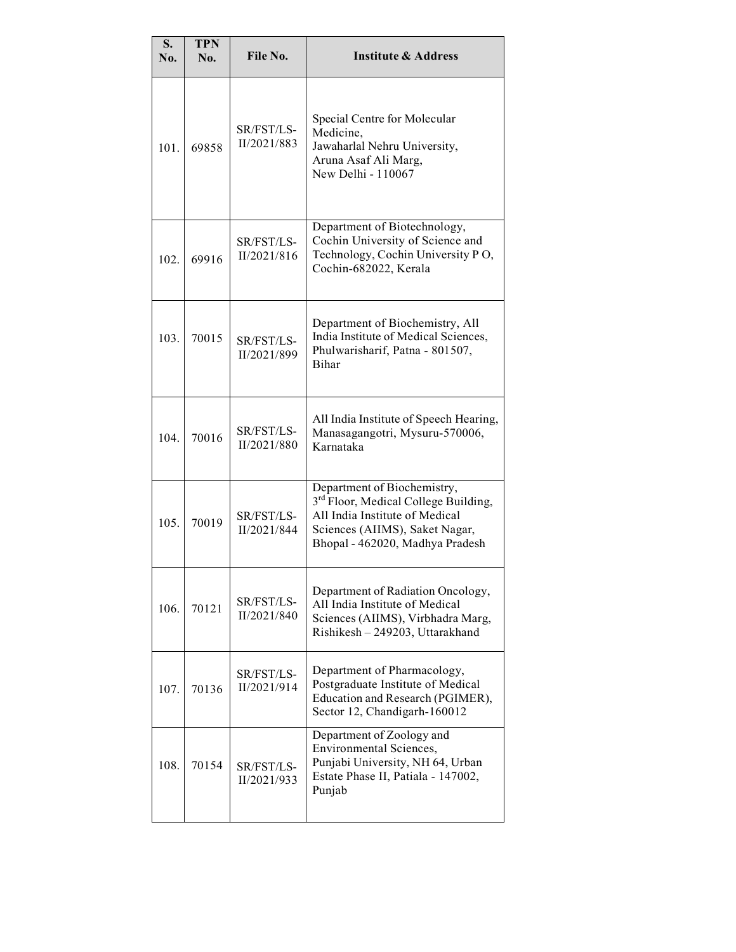| S.<br>No. | <b>TPN</b><br>No. | File No.                  | <b>Institute &amp; Address</b>                                                                                                                                                         |
|-----------|-------------------|---------------------------|----------------------------------------------------------------------------------------------------------------------------------------------------------------------------------------|
| 101.      | 69858             | SR/FST/LS-<br>II/2021/883 | Special Centre for Molecular<br>Medicine,<br>Jawaharlal Nehru University,<br>Aruna Asaf Ali Marg,<br>New Delhi - 110067                                                                |
| 102.      | 69916             | SR/FST/LS-<br>II/2021/816 | Department of Biotechnology,<br>Cochin University of Science and<br>Technology, Cochin University PO,<br>Cochin-682022, Kerala                                                         |
| 103.      | 70015             | SR/FST/LS-<br>II/2021/899 | Department of Biochemistry, All<br>India Institute of Medical Sciences,<br>Phulwarisharif, Patna - 801507,<br><b>Bihar</b>                                                             |
| 104.      | 70016             | SR/FST/LS-<br>II/2021/880 | All India Institute of Speech Hearing,<br>Manasagangotri, Mysuru-570006,<br>Karnataka                                                                                                  |
| 105.      | 70019             | SR/FST/LS-<br>II/2021/844 | Department of Biochemistry,<br>3 <sup>rd</sup> Floor, Medical College Building,<br>All India Institute of Medical<br>Sciences (AIIMS), Saket Nagar,<br>Bhopal - 462020, Madhya Pradesh |
| 106.      | 70121             | SR/FST/LS-<br>II/2021/840 | Department of Radiation Oncology,<br>All India Institute of Medical<br>Sciences (AIIMS), Virbhadra Marg,<br>Rishikesh - 249203, Uttarakhand                                            |
| 107.      | 70136             | SR/FST/LS-<br>II/2021/914 | Department of Pharmacology,<br>Postgraduate Institute of Medical<br>Education and Research (PGIMER),<br>Sector 12, Chandigarh-160012                                                   |
| 108.      | 70154             | SR/FST/LS-<br>II/2021/933 | Department of Zoology and<br><b>Environmental Sciences,</b><br>Punjabi University, NH 64, Urban<br>Estate Phase II, Patiala - 147002,<br>Punjab                                        |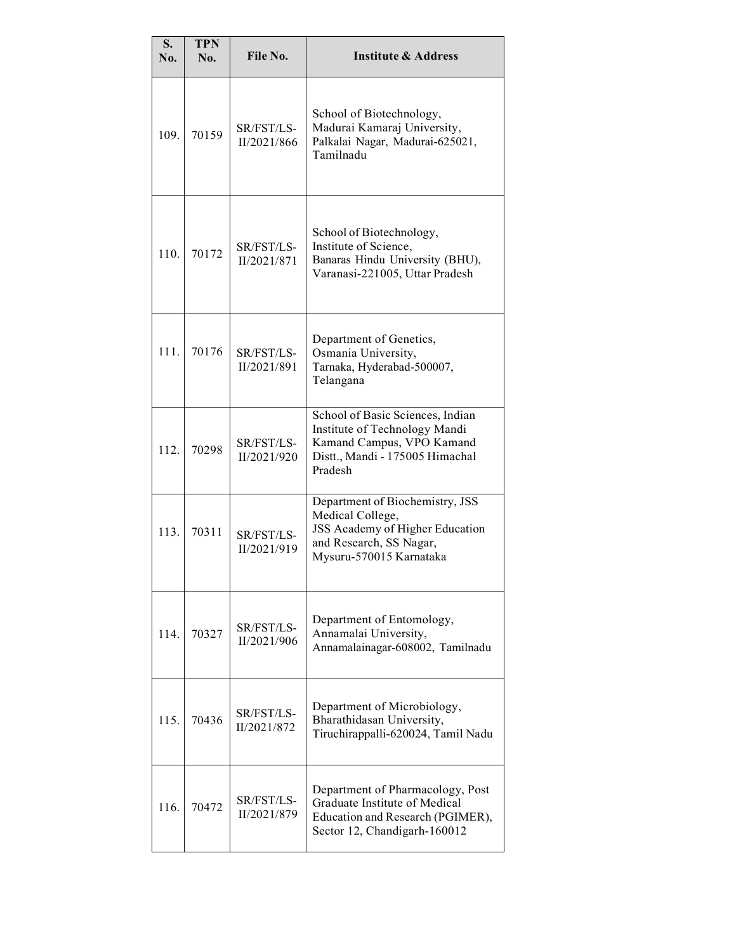| S.<br>No. | <b>TPN</b><br>No. | File No.                  | <b>Institute &amp; Address</b>                                                                                                               |
|-----------|-------------------|---------------------------|----------------------------------------------------------------------------------------------------------------------------------------------|
| 109.      | 70159             | SR/FST/LS-<br>II/2021/866 | School of Biotechnology,<br>Madurai Kamaraj University,<br>Palkalai Nagar, Madurai-625021,<br>Tamilnadu                                      |
| 110.      | 70172             | SR/FST/LS-<br>II/2021/871 | School of Biotechnology,<br>Institute of Science,<br>Banaras Hindu University (BHU),<br>Varanasi-221005, Uttar Pradesh                       |
| 111.      | 70176             | SR/FST/LS-<br>II/2021/891 | Department of Genetics,<br>Osmania University,<br>Tarnaka, Hyderabad-500007,<br>Telangana                                                    |
| 112.      | 70298             | SR/FST/LS-<br>II/2021/920 | School of Basic Sciences, Indian<br>Institute of Technology Mandi<br>Kamand Campus, VPO Kamand<br>Distt., Mandi - 175005 Himachal<br>Pradesh |
| 113.      | 70311             | SR/FST/LS-<br>II/2021/919 | Department of Biochemistry, JSS<br>Medical College,<br>JSS Academy of Higher Education<br>and Research, SS Nagar,<br>Mysuru-570015 Karnataka |
| 114.      | 70327             | SR/FST/LS-<br>II/2021/906 | Department of Entomology,<br>Annamalai University,<br>Annamalainagar-608002, Tamilnadu                                                       |
| 115.      | 70436             | SR/FST/LS-<br>II/2021/872 | Department of Microbiology,<br>Bharathidasan University,<br>Tiruchirappalli-620024, Tamil Nadu                                               |
| 116.      | 70472             | SR/FST/LS-<br>II/2021/879 | Department of Pharmacology, Post<br>Graduate Institute of Medical<br>Education and Research (PGIMER),<br>Sector 12, Chandigarh-160012        |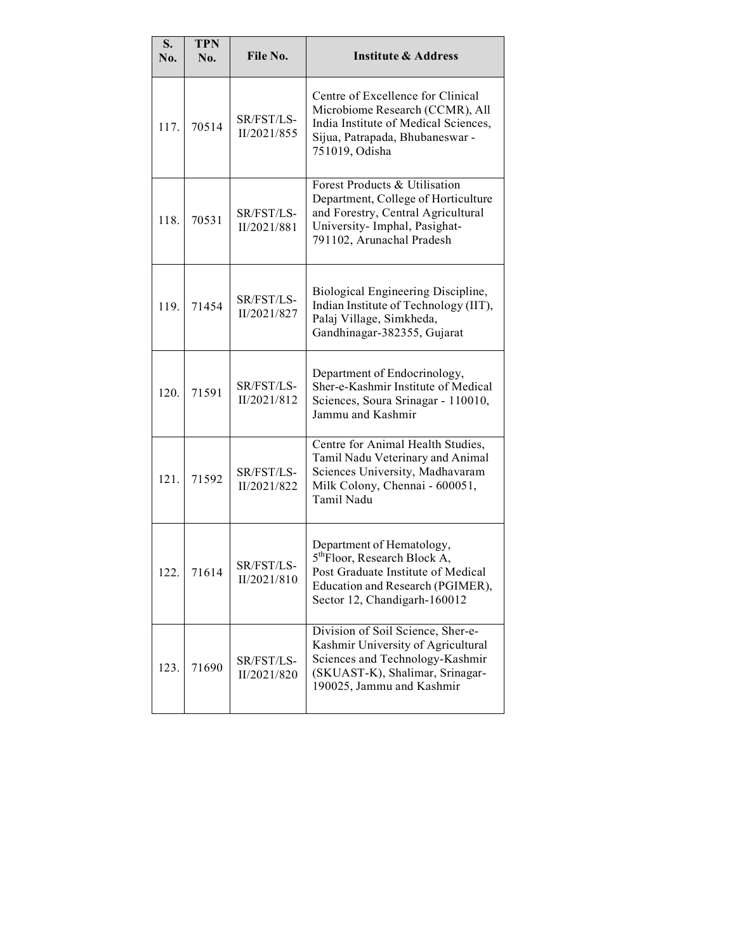| S.<br>No. | <b>TPN</b><br>No. | File No.                  | <b>Institute &amp; Address</b>                                                                                                                                                  |
|-----------|-------------------|---------------------------|---------------------------------------------------------------------------------------------------------------------------------------------------------------------------------|
| 117.      | 70514             | SR/FST/LS-<br>II/2021/855 | Centre of Excellence for Clinical<br>Microbiome Research (CCMR), All<br>India Institute of Medical Sciences,<br>Sijua, Patrapada, Bhubaneswar -<br>751019, Odisha               |
| 118.      | 70531             | SR/FST/LS-<br>II/2021/881 | Forest Products & Utilisation<br>Department, College of Horticulture<br>and Forestry, Central Agricultural<br>University- Imphal, Pasighat-<br>791102, Arunachal Pradesh        |
| 119.      | 71454             | SR/FST/LS-<br>II/2021/827 | Biological Engineering Discipline,<br>Indian Institute of Technology (IIT),<br>Palaj Village, Simkheda,<br>Gandhinagar-382355, Gujarat                                          |
| 120.      | 71591             | SR/FST/LS-<br>II/2021/812 | Department of Endocrinology,<br>Sher-e-Kashmir Institute of Medical<br>Sciences, Soura Srinagar - 110010,<br>Jammu and Kashmir                                                  |
| 121.      | 71592             | SR/FST/LS-<br>II/2021/822 | Centre for Animal Health Studies,<br>Tamil Nadu Veterinary and Animal<br>Sciences University, Madhavaram<br>Milk Colony, Chennai - 600051,<br>Tamil Nadu                        |
| 122.      | 71614             | SR/FST/LS-<br>II/2021/810 | Department of Hematology,<br>5 <sup>th</sup> Floor, Research Block A,<br>Post Graduate Institute of Medical<br>Education and Research (PGIMER),<br>Sector 12, Chandigarh-160012 |
| 123.      | 71690             | SR/FST/LS-<br>II/2021/820 | Division of Soil Science, Sher-e-<br>Kashmir University of Agricultural<br>Sciences and Technology-Kashmir<br>(SKUAST-K), Shalimar, Srinagar-<br>190025, Jammu and Kashmir      |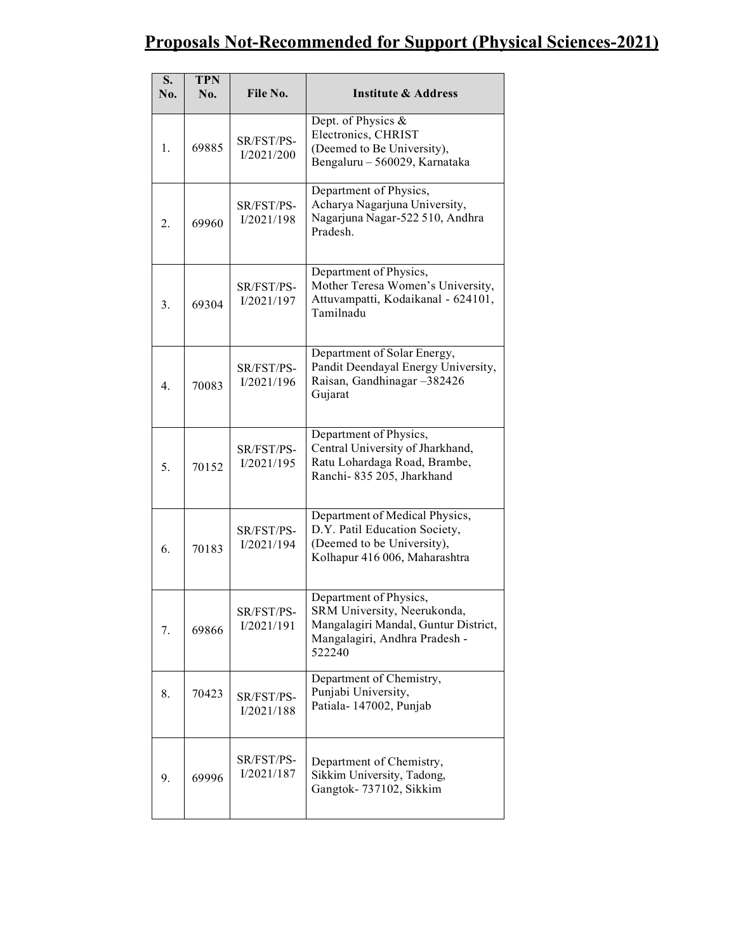#### Proposals Not-Recommended for Support (Physical Sciences-2021)

| S.<br>No. | <b>TPN</b><br>No. | File No.                 | <b>Institute &amp; Address</b>                                                                                                           |
|-----------|-------------------|--------------------------|------------------------------------------------------------------------------------------------------------------------------------------|
| 1.        | 69885             | SR/FST/PS-<br>I/2021/200 | Dept. of Physics &<br>Electronics, CHRIST<br>(Deemed to Be University),<br>Bengaluru - 560029, Karnataka                                 |
| 2.        | 69960             | SR/FST/PS-<br>I/2021/198 | Department of Physics,<br>Acharya Nagarjuna University,<br>Nagarjuna Nagar-522 510, Andhra<br>Pradesh.                                   |
| 3.        | 69304             | SR/FST/PS-<br>I/2021/197 | Department of Physics,<br>Mother Teresa Women's University,<br>Attuvampatti, Kodaikanal - 624101,<br>Tamilnadu                           |
| 4.        | 70083             | SR/FST/PS-<br>I/2021/196 | Department of Solar Energy,<br>Pandit Deendayal Energy University,<br>Raisan, Gandhinagar -382426<br>Gujarat                             |
| 5.        | 70152             | SR/FST/PS-<br>I/2021/195 | Department of Physics,<br>Central University of Jharkhand,<br>Ratu Lohardaga Road, Brambe,<br>Ranchi-835 205, Jharkhand                  |
| 6.        | 70183             | SR/FST/PS-<br>I/2021/194 | Department of Medical Physics,<br>D.Y. Patil Education Society,<br>(Deemed to be University),<br>Kolhapur 416 006, Maharashtra           |
| 7.        | 69866             | SR/FST/PS-<br>I/2021/191 | Department of Physics,<br>SRM University, Neerukonda,<br>Mangalagiri Mandal, Guntur District,<br>Mangalagiri, Andhra Pradesh -<br>522240 |
| 8.        | 70423             | SR/FST/PS-<br>I/2021/188 | Department of Chemistry,<br>Punjabi University,<br>Patiala-147002, Punjab                                                                |
| 9.        | 69996             | SR/FST/PS-<br>I/2021/187 | Department of Chemistry,<br>Sikkim University, Tadong,<br>Gangtok-737102, Sikkim                                                         |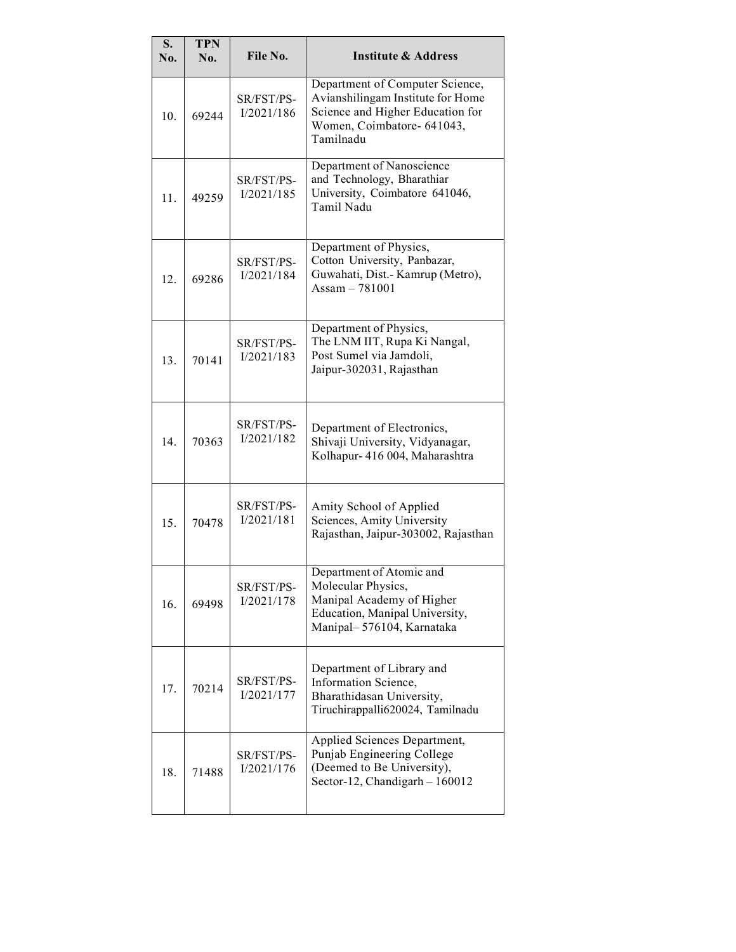| S.<br>No. | <b>TPN</b><br>No. | File No.                 | <b>Institute &amp; Address</b>                                                                                                                      |
|-----------|-------------------|--------------------------|-----------------------------------------------------------------------------------------------------------------------------------------------------|
| 10.       | 69244             | SR/FST/PS-<br>I/2021/186 | Department of Computer Science,<br>Avianshilingam Institute for Home<br>Science and Higher Education for<br>Women, Coimbatore- 641043,<br>Tamilnadu |
| 11.       | 49259             | SR/FST/PS-<br>I/2021/185 | Department of Nanoscience<br>and Technology, Bharathiar<br>University, Coimbatore 641046,<br>Tamil Nadu                                             |
| 12.       | 69286             | SR/FST/PS-<br>I/2021/184 | Department of Physics,<br>Cotton University, Panbazar,<br>Guwahati, Dist.- Kamrup (Metro),<br>Assam $-781001$                                       |
| 13.       | 70141             | SR/FST/PS-<br>I/2021/183 | Department of Physics,<br>The LNM IIT, Rupa Ki Nangal,<br>Post Sumel via Jamdoli,<br>Jaipur-302031, Rajasthan                                       |
| 14.       | 70363             | SR/FST/PS-<br>I/2021/182 | Department of Electronics,<br>Shivaji University, Vidyanagar,<br>Kolhapur- 416 004, Maharashtra                                                     |
| 15.       | 70478             | SR/FST/PS-<br>I/2021/181 | Amity School of Applied<br>Sciences, Amity University<br>Rajasthan, Jaipur-303002, Rajasthan                                                        |
| 16.       | 69498             | SR/FST/PS-<br>I/2021/178 | Department of Atomic and<br>Molecular Physics,<br>Manipal Academy of Higher<br>Education, Manipal University,<br>Manipal-576104, Karnataka          |
| 17.       | 70214             | SR/FST/PS-<br>I/2021/177 | Department of Library and<br>Information Science,<br>Bharathidasan University,<br>Tiruchirappalli620024, Tamilnadu                                  |
| 18.       | 71488             | SR/FST/PS-<br>I/2021/176 | Applied Sciences Department,<br>Punjab Engineering College<br>(Deemed to Be University),<br>Sector-12, Chandigarh - 160012                          |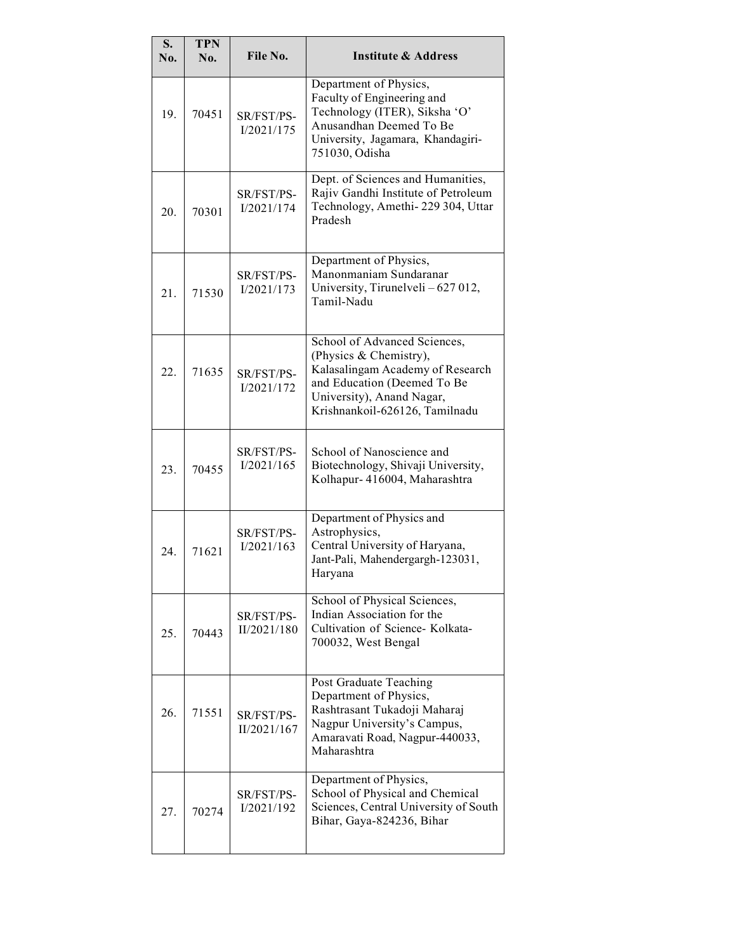| S.<br>No. | <b>TPN</b><br>No. | File No.                  | <b>Institute &amp; Address</b>                                                                                                                                                           |
|-----------|-------------------|---------------------------|------------------------------------------------------------------------------------------------------------------------------------------------------------------------------------------|
| 19.       | 70451             | SR/FST/PS-<br>I/2021/175  | Department of Physics,<br>Faculty of Engineering and<br>Technology (ITER), Siksha 'O'<br>Anusandhan Deemed To Be<br>University, Jagamara, Khandagiri-<br>751030, Odisha                  |
| 20.       | 70301             | SR/FST/PS-<br>I/2021/174  | Dept. of Sciences and Humanities,<br>Rajiv Gandhi Institute of Petroleum<br>Technology, Amethi-229 304, Uttar<br>Pradesh                                                                 |
| 21.       | 71530             | SR/FST/PS-<br>I/2021/173  | Department of Physics,<br>Manonmaniam Sundaranar<br>University, Tirunelveli - 627 012,<br>Tamil-Nadu                                                                                     |
| 22.       | 71635             | SR/FST/PS-<br>I/2021/172  | School of Advanced Sciences,<br>(Physics & Chemistry),<br>Kalasalingam Academy of Research<br>and Education (Deemed To Be<br>University), Anand Nagar,<br>Krishnankoil-626126, Tamilnadu |
| 23.       | 70455             | SR/FST/PS-<br>I/2021/165  | School of Nanoscience and<br>Biotechnology, Shivaji University,<br>Kolhapur-416004, Maharashtra                                                                                          |
| 24.       | 71621             | SR/FST/PS-<br>I/2021/163  | Department of Physics and<br>Astrophysics,<br>Central University of Haryana,<br>Jant-Pali, Mahendergargh-123031,<br>Haryana                                                              |
| 25.       | 70443             | SR/FST/PS-<br>II/2021/180 | School of Physical Sciences,<br>Indian Association for the<br>Cultivation of Science- Kolkata-<br>700032, West Bengal                                                                    |
| 26.       | 71551             | SR/FST/PS-<br>II/2021/167 | Post Graduate Teaching<br>Department of Physics,<br>Rashtrasant Tukadoji Maharaj<br>Nagpur University's Campus,<br>Amaravati Road, Nagpur-440033,<br>Maharashtra                         |
| 27.       | 70274             | SR/FST/PS-<br>I/2021/192  | Department of Physics,<br>School of Physical and Chemical<br>Sciences, Central University of South<br>Bihar, Gaya-824236, Bihar                                                          |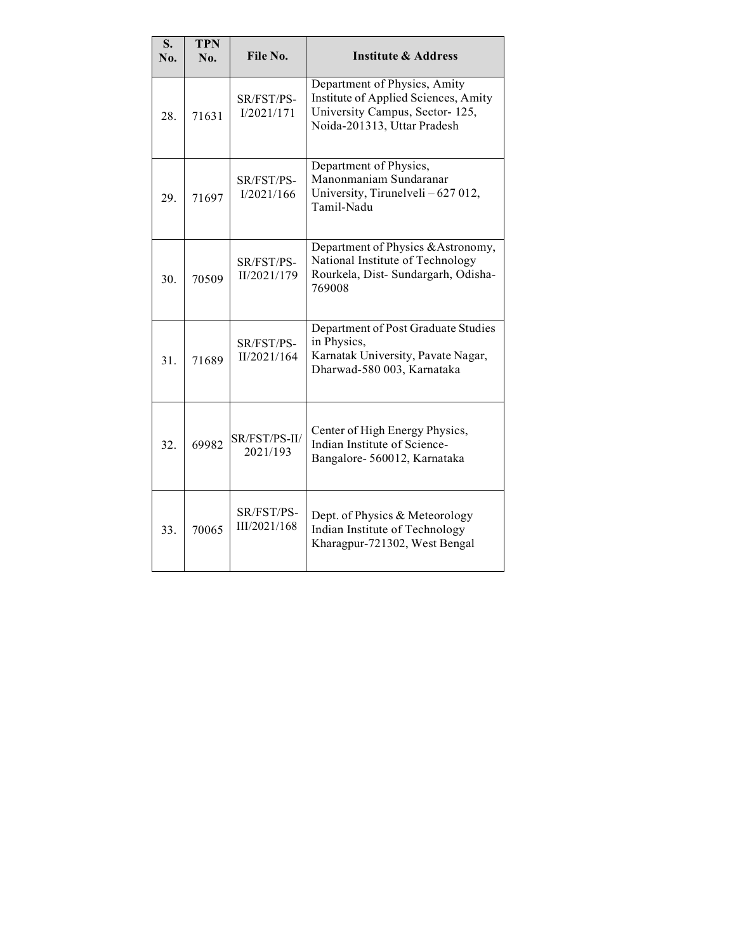| S.<br>No. | <b>TPN</b><br>No. | File No.                   | <b>Institute &amp; Address</b>                                                                                                        |
|-----------|-------------------|----------------------------|---------------------------------------------------------------------------------------------------------------------------------------|
| 28.       | 71631             | SR/FST/PS-<br>I/2021/171   | Department of Physics, Amity<br>Institute of Applied Sciences, Amity<br>University Campus, Sector-125,<br>Noida-201313, Uttar Pradesh |
| 29.       | 71697             | SR/FST/PS-<br>I/2021/166   | Department of Physics,<br>Manonmaniam Sundaranar<br>University, Tirunelveli - 627 012,<br>Tamil-Nadu                                  |
| 30.       | 70509             | SR/FST/PS-<br>II/2021/179  | Department of Physics & Astronomy,<br>National Institute of Technology<br>Rourkela, Dist- Sundargarh, Odisha-<br>769008               |
| 31.       | 71689             | SR/FST/PS-<br>II/2021/164  | Department of Post Graduate Studies<br>in Physics,<br>Karnatak University, Pavate Nagar,<br>Dharwad-580 003, Karnataka                |
| 32.       | 69982             | SR/FST/PS-II/<br>2021/193  | Center of High Energy Physics,<br>Indian Institute of Science-<br>Bangalore-560012, Karnataka                                         |
| 33.       | 70065             | SR/FST/PS-<br>III/2021/168 | Dept. of Physics & Meteorology<br>Indian Institute of Technology<br>Kharagpur-721302, West Bengal                                     |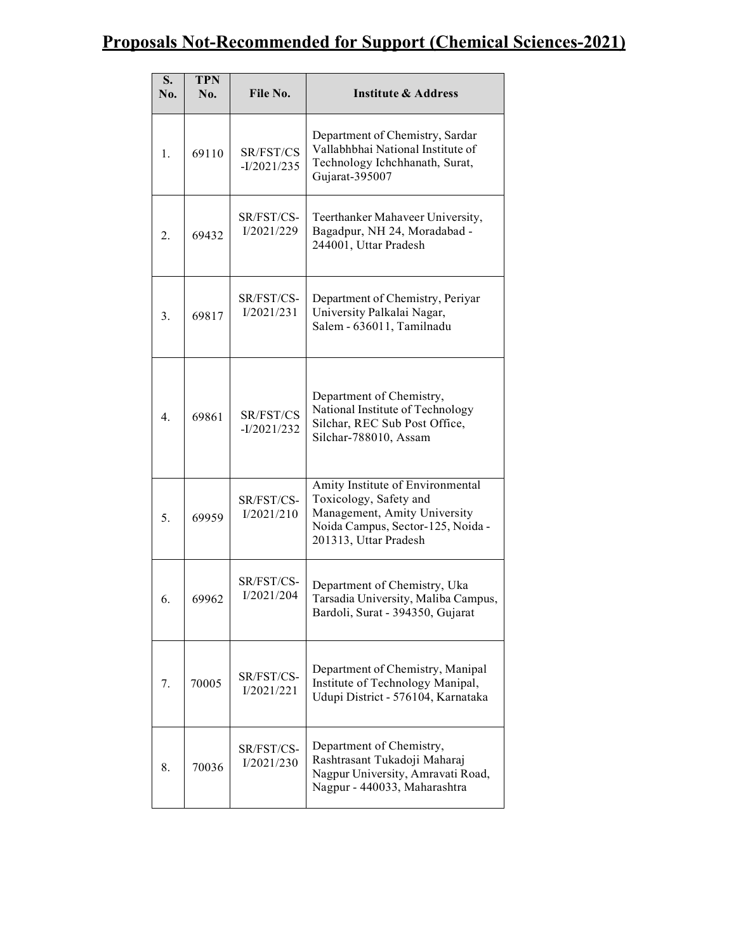# Proposals Not-Recommended for Support (Chemical Sciences-2021)

| S.<br>No.        | <b>TPN</b><br>No. | File No.                   | <b>Institute &amp; Address</b>                                                                                                                           |
|------------------|-------------------|----------------------------|----------------------------------------------------------------------------------------------------------------------------------------------------------|
| 1.               | 69110             | SR/FST/CS<br>$-I/2021/235$ | Department of Chemistry, Sardar<br>Vallabhbhai National Institute of<br>Technology Ichchhanath, Surat,<br>Gujarat-395007                                 |
| 2.               | 69432             | SR/FST/CS-<br>I/2021/229   | Teerthanker Mahaveer University,<br>Bagadpur, NH 24, Moradabad -<br>244001, Uttar Pradesh                                                                |
| 3.               | 69817             | SR/FST/CS-<br>I/2021/231   | Department of Chemistry, Periyar<br>University Palkalai Nagar,<br>Salem - 636011, Tamilnadu                                                              |
| $\overline{4}$ . | 69861             | SR/FST/CS<br>$-I/2021/232$ | Department of Chemistry,<br>National Institute of Technology<br>Silchar, REC Sub Post Office,<br>Silchar-788010, Assam                                   |
| 5.               | 69959             | SR/FST/CS-<br>I/2021/210   | Amity Institute of Environmental<br>Toxicology, Safety and<br>Management, Amity University<br>Noida Campus, Sector-125, Noida -<br>201313, Uttar Pradesh |
| 6.               | 69962             | SR/FST/CS-<br>I/2021/204   | Department of Chemistry, Uka<br>Tarsadia University, Maliba Campus,<br>Bardoli, Surat - 394350, Gujarat                                                  |
| 7.               | 70005             | SR/FST/CS-<br>I/2021/221   | Department of Chemistry, Manipal<br>Institute of Technology Manipal,<br>Udupi District - 576104, Karnataka                                               |
| 8.               | 70036             | SR/FST/CS-<br>I/2021/230   | Department of Chemistry,<br>Rashtrasant Tukadoji Maharaj<br>Nagpur University, Amravati Road,<br>Nagpur - 440033, Maharashtra                            |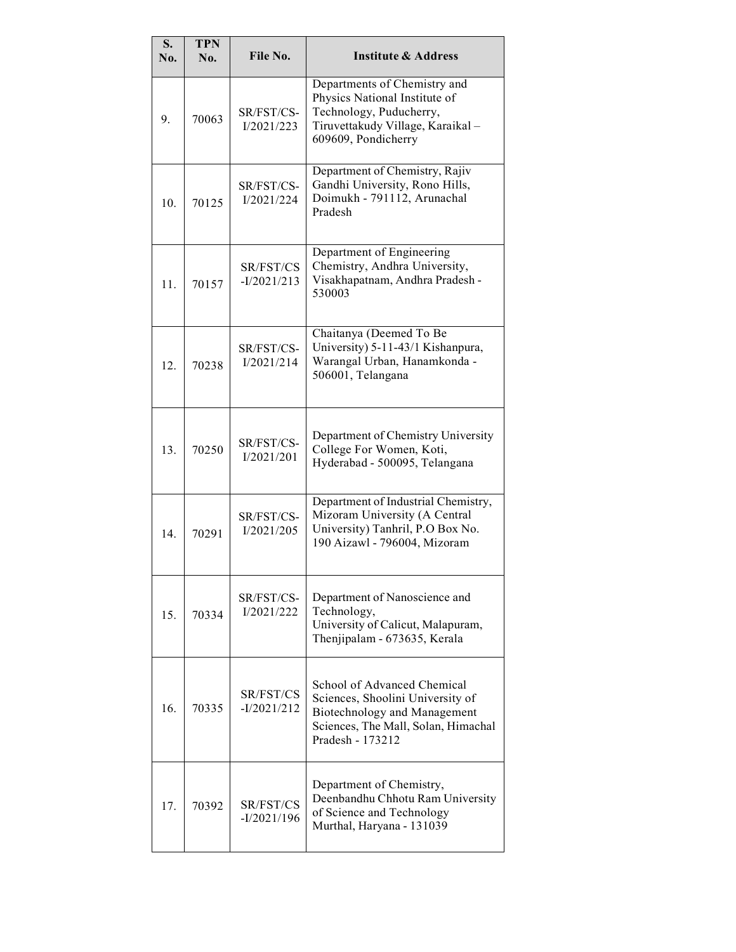| S.<br>No. | <b>TPN</b><br>No. | File No.                   | <b>Institute &amp; Address</b>                                                                                                                                    |
|-----------|-------------------|----------------------------|-------------------------------------------------------------------------------------------------------------------------------------------------------------------|
| 9.        | 70063             | SR/FST/CS-<br>I/2021/223   | Departments of Chemistry and<br>Physics National Institute of<br>Technology, Puducherry,<br>Tiruvettakudy Village, Karaikal-<br>609609, Pondicherry               |
| 10.       | 70125             | SR/FST/CS-<br>I/2021/224   | Department of Chemistry, Rajiv<br>Gandhi University, Rono Hills,<br>Doimukh - 791112, Arunachal<br>Pradesh                                                        |
| 11.       | 70157             | SR/FST/CS<br>$-I/2021/213$ | Department of Engineering<br>Chemistry, Andhra University,<br>Visakhapatnam, Andhra Pradesh -<br>530003                                                           |
| 12.       | 70238             | SR/FST/CS-<br>I/2021/214   | Chaitanya (Deemed To Be<br>University) 5-11-43/1 Kishanpura,<br>Warangal Urban, Hanamkonda -<br>506001, Telangana                                                 |
| 13.       | 70250             | SR/FST/CS-<br>I/2021/201   | Department of Chemistry University<br>College For Women, Koti,<br>Hyderabad - 500095, Telangana                                                                   |
| 14.       | 70291             | SR/FST/CS-<br>I/2021/205   | Department of Industrial Chemistry,<br>Mizoram University (A Central<br>University) Tanhril, P.O Box No.<br>190 Aizawl - 796004, Mizoram                          |
| 15.       | 70334             | SR/FST/CS-<br>I/2021/222   | Department of Nanoscience and<br>Technology,<br>University of Calicut, Malapuram,<br>Thenjipalam - 673635, Kerala                                                 |
| 16.       | 70335             | SR/FST/CS<br>$-I/2021/212$ | School of Advanced Chemical<br>Sciences, Shoolini University of<br><b>Biotechnology and Management</b><br>Sciences, The Mall, Solan, Himachal<br>Pradesh - 173212 |
| 17.       | 70392             | SR/FST/CS<br>$-I/2021/196$ | Department of Chemistry,<br>Deenbandhu Chhotu Ram University<br>of Science and Technology<br>Murthal, Haryana - 131039                                            |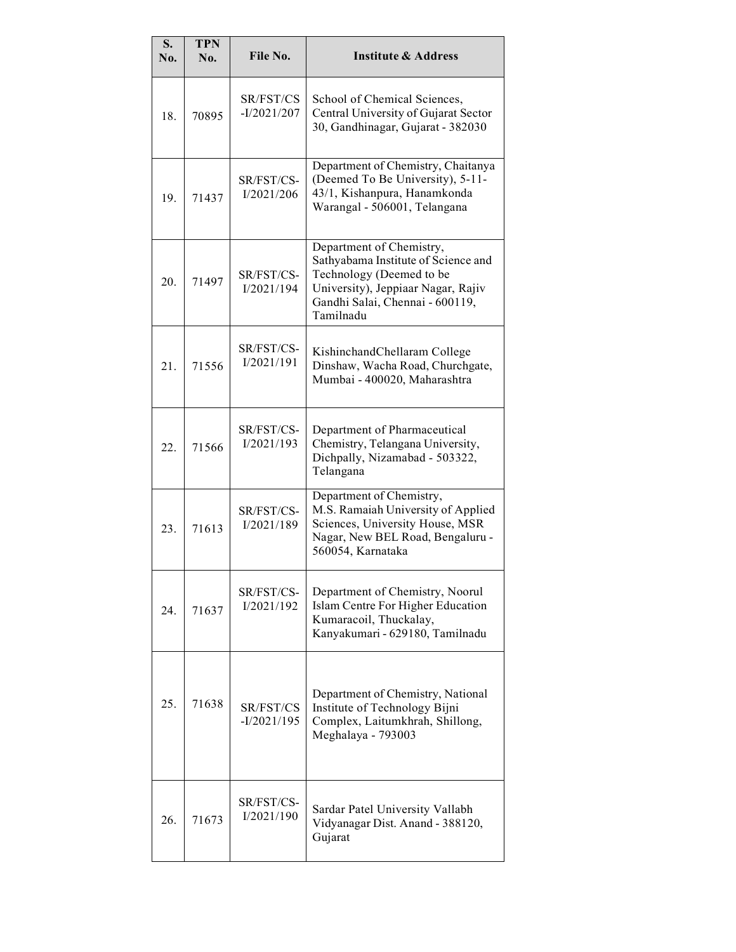| S.<br>No. | <b>TPN</b><br>No. | File No.                   | <b>Institute &amp; Address</b>                                                                                                                                                    |
|-----------|-------------------|----------------------------|-----------------------------------------------------------------------------------------------------------------------------------------------------------------------------------|
| 18.       | 70895             | SR/FST/CS<br>$-I/2021/207$ | School of Chemical Sciences,<br>Central University of Gujarat Sector<br>30, Gandhinagar, Gujarat - 382030                                                                         |
| 19.       | 71437             | SR/FST/CS-<br>I/2021/206   | Department of Chemistry, Chaitanya<br>(Deemed To Be University), 5-11-<br>43/1, Kishanpura, Hanamkonda<br>Warangal - 506001, Telangana                                            |
| 20.       | 71497             | SR/FST/CS-<br>I/2021/194   | Department of Chemistry,<br>Sathyabama Institute of Science and<br>Technology (Deemed to be<br>University), Jeppiaar Nagar, Rajiv<br>Gandhi Salai, Chennai - 600119,<br>Tamilnadu |
| 21.       | 71556             | SR/FST/CS-<br>I/2021/191   | KishinchandChellaram College<br>Dinshaw, Wacha Road, Churchgate,<br>Mumbai - 400020, Maharashtra                                                                                  |
| 22.       | 71566             | SR/FST/CS-<br>I/2021/193   | Department of Pharmaceutical<br>Chemistry, Telangana University,<br>Dichpally, Nizamabad - 503322,<br>Telangana                                                                   |
| 23.       | 71613             | SR/FST/CS-<br>I/2021/189   | Department of Chemistry,<br>M.S. Ramaiah University of Applied<br>Sciences, University House, MSR<br>Nagar, New BEL Road, Bengaluru -<br>560054, Karnataka                        |
| 24.       | 71637             | SR/FST/CS-<br>I/2021/192   | Department of Chemistry, Noorul<br>Islam Centre For Higher Education<br>Kumaracoil, Thuckalay,<br>Kanyakumari - 629180, Tamilnadu                                                 |
| 25.       | 71638             | SR/FST/CS<br>$-I/2021/195$ | Department of Chemistry, National<br>Institute of Technology Bijni<br>Complex, Laitumkhrah, Shillong,<br>Meghalaya - 793003                                                       |
| 26.       | 71673             | SR/FST/CS-<br>I/2021/190   | Sardar Patel University Vallabh<br>Vidyanagar Dist. Anand - 388120,<br>Gujarat                                                                                                    |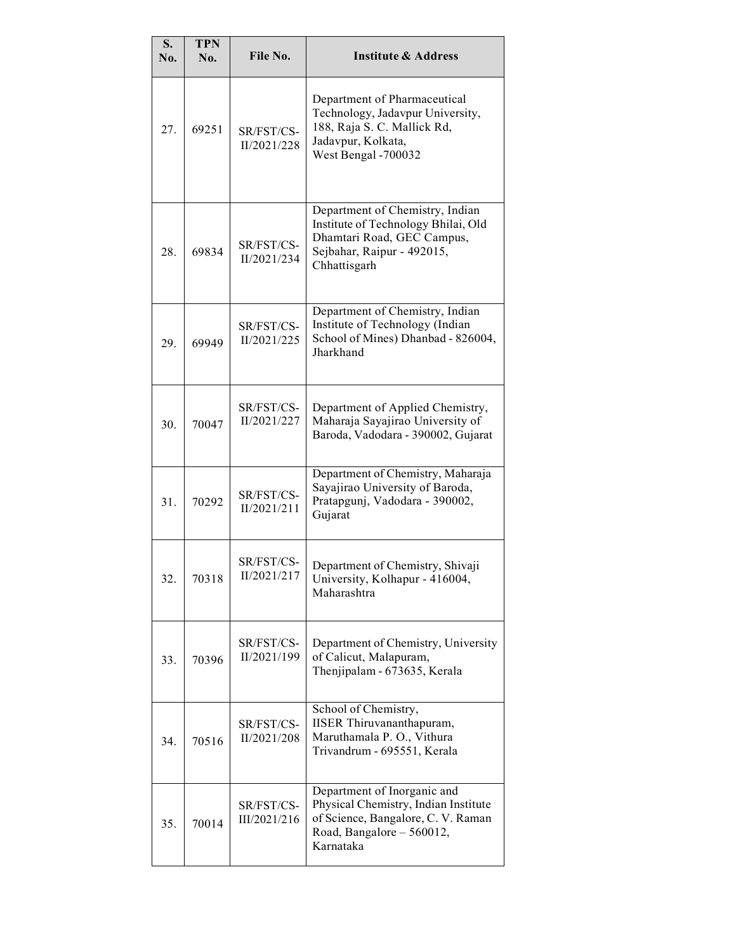| S.<br>No. | <b>TPN</b><br>No. | File No.                   | <b>Institute &amp; Address</b>                                                                                                                      |
|-----------|-------------------|----------------------------|-----------------------------------------------------------------------------------------------------------------------------------------------------|
| 27.       | 69251             | SR/FST/CS-<br>II/2021/228  | Department of Pharmaceutical<br>Technology, Jadavpur University,<br>188, Raja S. C. Mallick Rd,<br>Jadavpur, Kolkata,<br>West Bengal -700032        |
| 28.       | 69834             | SR/FST/CS-<br>II/2021/234  | Department of Chemistry, Indian<br>Institute of Technology Bhilai, Old<br>Dhamtari Road, GEC Campus,<br>Sejbahar, Raipur - 492015,<br>Chhattisgarh  |
| 29.       | 69949             | SR/FST/CS-<br>II/2021/225  | Department of Chemistry, Indian<br>Institute of Technology (Indian<br>School of Mines) Dhanbad - 826004,<br>Jharkhand                               |
| 30.       | 70047             | SR/FST/CS-<br>II/2021/227  | Department of Applied Chemistry,<br>Maharaja Sayajirao University of<br>Baroda, Vadodara - 390002, Gujarat                                          |
| 31.       | 70292             | SR/FST/CS-<br>II/2021/211  | Department of Chemistry, Maharaja<br>Sayajirao University of Baroda,<br>Pratapgunj, Vadodara - 390002,<br>Gujarat                                   |
| 32.       | 70318             | SR/FST/CS-<br>II/2021/217  | Department of Chemistry, Shivaji<br>University, Kolhapur - 416004,<br>Maharashtra                                                                   |
| 33.       | 70396             | SR/FST/CS-<br>II/2021/199  | Department of Chemistry, University<br>of Calicut, Malapuram,<br>Thenjipalam - 673635, Kerala                                                       |
| 34.       | 70516             | SR/FST/CS-<br>II/2021/208  | School of Chemistry,<br>IISER Thiruvananthapuram,<br>Maruthamala P. O., Vithura<br>Trivandrum - 695551, Kerala                                      |
| 35.       | 70014             | SR/FST/CS-<br>III/2021/216 | Department of Inorganic and<br>Physical Chemistry, Indian Institute<br>of Science, Bangalore, C. V. Raman<br>Road, Bangalore - 560012,<br>Karnataka |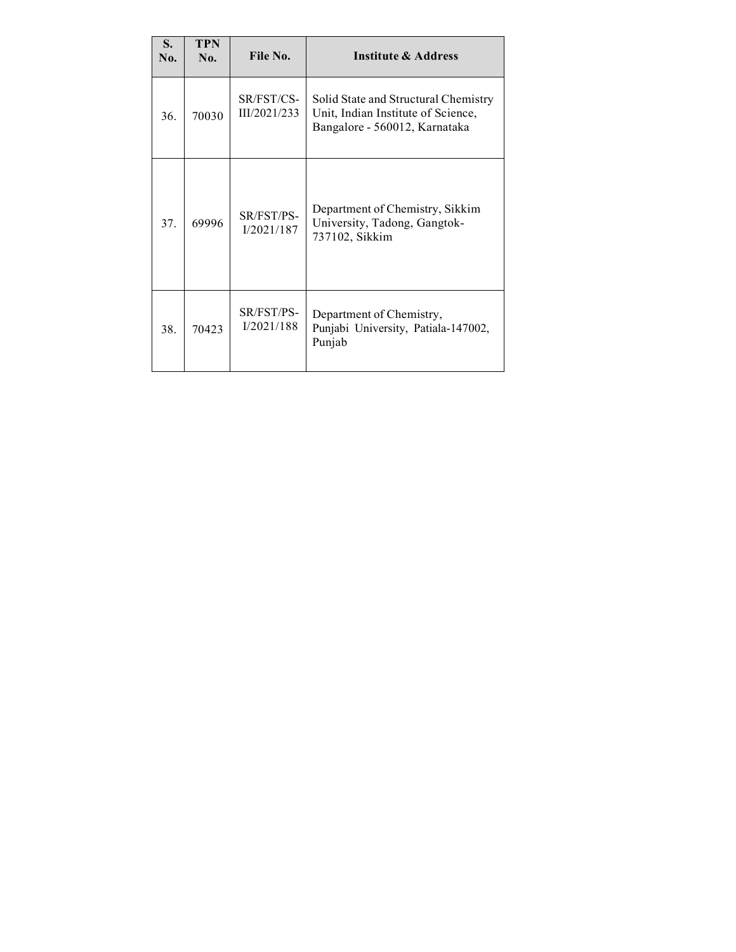| S.<br>No. | <b>TPN</b><br>No. | File No.                   | Institute & Address                                                                                         |
|-----------|-------------------|----------------------------|-------------------------------------------------------------------------------------------------------------|
| 36.       | 70030             | SR/FST/CS-<br>III/2021/233 | Solid State and Structural Chemistry<br>Unit, Indian Institute of Science,<br>Bangalore - 560012, Karnataka |
| 37.       | 69996             | SR/FST/PS-<br>I/2021/187   | Department of Chemistry, Sikkim<br>University, Tadong, Gangtok-<br>737102, Sikkim                           |
| 38.       | 70423             | SR/FST/PS-<br>I/2021/188   | Department of Chemistry,<br>Punjabi University, Patiala-147002,<br>Punjab                                   |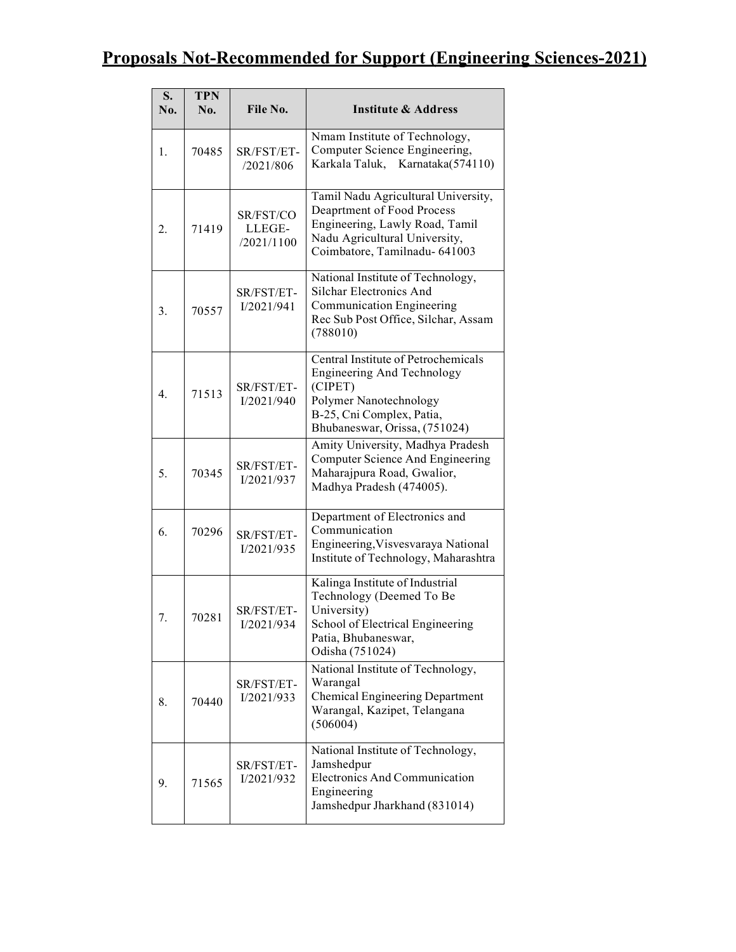# Proposals Not-Recommended for Support (Engineering Sciences-2021)

| S.<br>No.        | <b>TPN</b><br>No. | File No.                          | <b>Institute &amp; Address</b>                                                                                                                                              |
|------------------|-------------------|-----------------------------------|-----------------------------------------------------------------------------------------------------------------------------------------------------------------------------|
| 1.               | 70485             | SR/FST/ET-<br>/2021/806           | Nmam Institute of Technology,<br>Computer Science Engineering,<br>Karkala Taluk, Karnataka(574110)                                                                          |
| 2.               | 71419             | SR/FST/CO<br>LLEGE-<br>/2021/1100 | Tamil Nadu Agricultural University,<br>Deaprtment of Food Process<br>Engineering, Lawly Road, Tamil<br>Nadu Agricultural University,<br>Coimbatore, Tamilnadu- 641003       |
| 3.               | 70557             | SR/FST/ET-<br>I/2021/941          | National Institute of Technology,<br>Silchar Electronics And<br>Communication Engineering<br>Rec Sub Post Office, Silchar, Assam<br>(788010)                                |
| $\overline{4}$ . | 71513             | SR/FST/ET-<br>I/2021/940          | Central Institute of Petrochemicals<br><b>Engineering And Technology</b><br>(CIPET)<br>Polymer Nanotechnology<br>B-25, Cni Complex, Patia,<br>Bhubaneswar, Orissa, (751024) |
| 5.               | 70345             | SR/FST/ET-<br>I/2021/937          | Amity University, Madhya Pradesh<br>Computer Science And Engineering<br>Maharajpura Road, Gwalior,<br>Madhya Pradesh (474005).                                              |
| 6.               | 70296             | SR/FST/ET-<br>I/2021/935          | Department of Electronics and<br>Communication<br>Engineering, Visvesvaraya National<br>Institute of Technology, Maharashtra                                                |
| 7.               | 70281             | SR/FST/ET-<br>I/2021/934          | Kalinga Institute of Industrial<br>Technology (Deemed To Be<br>University)<br>School of Electrical Engineering<br>Patia, Bhubaneswar,<br>Odisha (751024)                    |
| 8.               | 70440             | SR/FST/ET-<br>I/2021/933          | National Institute of Technology,<br>Warangal<br><b>Chemical Engineering Department</b><br>Warangal, Kazipet, Telangana<br>(506004)                                         |
| 9.               | 71565             | SR/FST/ET-<br>I/2021/932          | National Institute of Technology,<br>Jamshedpur<br>Electronics And Communication<br>Engineering<br>Jamshedpur Jharkhand (831014)                                            |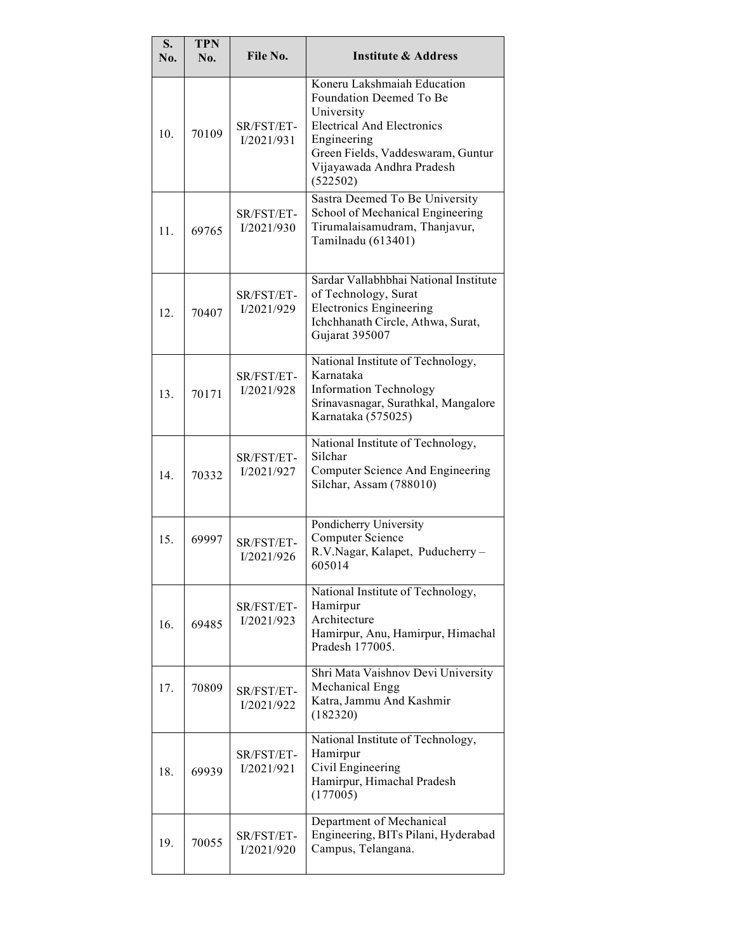| S.<br>No.       | <b>TPN</b><br>No. | File No.                 | <b>Institute &amp; Address</b>                                                                                                                                                                         |
|-----------------|-------------------|--------------------------|--------------------------------------------------------------------------------------------------------------------------------------------------------------------------------------------------------|
| 10 <sub>1</sub> | 70109             | SR/FST/ET-<br>I/2021/931 | Koneru Lakshmaiah Education<br>Foundation Deemed To Be<br>University<br><b>Electrical And Electronics</b><br>Engineering<br>Green Fields, Vaddeswaram, Guntur<br>Vijayawada Andhra Pradesh<br>(522502) |
| 11.             | 69765             | SR/FST/ET-<br>I/2021/930 | Sastra Deemed To Be University<br>School of Mechanical Engineering<br>Tirumalaisamudram, Thanjavur,<br>Tamilnadu (613401)                                                                              |
| 12.             | 70407             | SR/FST/ET-<br>I/2021/929 | Sardar Vallabhbhai National Institute<br>of Technology, Surat<br><b>Electronics Engineering</b><br>Ichchhanath Circle, Athwa, Surat,<br>Gujarat 395007                                                 |
| 13.             | 70171             | SR/FST/ET-<br>I/2021/928 | National Institute of Technology,<br>Karnataka<br><b>Information Technology</b><br>Srinavasnagar, Surathkal, Mangalore<br>Karnataka (575025)                                                           |
| 14.             | 70332             | SR/FST/ET-<br>I/2021/927 | National Institute of Technology,<br>Silchar<br>Computer Science And Engineering<br>Silchar, Assam (788010)                                                                                            |
| 15.             | 69997             | SR/FST/ET-<br>I/2021/926 | Pondicherry University<br>Computer Science<br>R.V.Nagar, Kalapet, Puducherry-<br>605014                                                                                                                |
| 16.             | 69485             | SR/FST/ET-<br>I/2021/923 | National Institute of Technology,<br>Hamirpur<br>Architecture<br>Hamirpur, Anu, Hamirpur, Himachal<br>Pradesh 177005.                                                                                  |
| 17.             | 70809             | SR/FST/ET-<br>I/2021/922 | Shri Mata Vaishnov Devi University<br>Mechanical Engg<br>Katra, Jammu And Kashmir<br>(182320)                                                                                                          |
| 18.             | 69939             | SR/FST/ET-<br>I/2021/921 | National Institute of Technology,<br>Hamirpur<br>Civil Engineering<br>Hamirpur, Himachal Pradesh<br>(177005)                                                                                           |
| 19.             | 70055             | SR/FST/ET-<br>I/2021/920 | Department of Mechanical<br>Engineering, BITs Pilani, Hyderabad<br>Campus, Telangana.                                                                                                                  |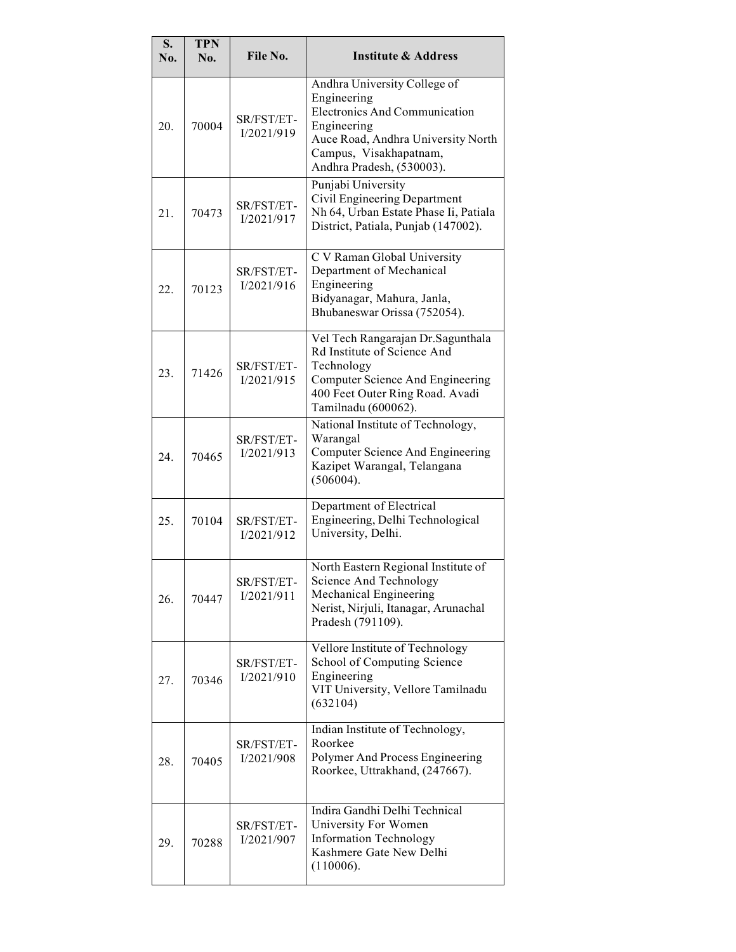| S.<br>No. | <b>TPN</b><br>No. | File No.                 | <b>Institute &amp; Address</b>                                                                                                                                                                  |
|-----------|-------------------|--------------------------|-------------------------------------------------------------------------------------------------------------------------------------------------------------------------------------------------|
| 20.       | 70004             | SR/FST/ET-<br>I/2021/919 | Andhra University College of<br>Engineering<br><b>Electronics And Communication</b><br>Engineering<br>Auce Road, Andhra University North<br>Campus, Visakhapatnam,<br>Andhra Pradesh, (530003). |
| 21.       | 70473             | SR/FST/ET-<br>I/2021/917 | Punjabi University<br>Civil Engineering Department<br>Nh 64, Urban Estate Phase Ii, Patiala<br>District, Patiala, Punjab (147002).                                                              |
| 22.       | 70123             | SR/FST/ET-<br>I/2021/916 | C V Raman Global University<br>Department of Mechanical<br>Engineering<br>Bidyanagar, Mahura, Janla,<br>Bhubaneswar Orissa (752054).                                                            |
| 23.       | 71426             | SR/FST/ET-<br>I/2021/915 | Vel Tech Rangarajan Dr. Sagunthala<br>Rd Institute of Science And<br>Technology<br>Computer Science And Engineering<br>400 Feet Outer Ring Road. Avadi<br>Tamilnadu (600062).                   |
| 24.       | 70465             | SR/FST/ET-<br>I/2021/913 | National Institute of Technology,<br>Warangal<br>Computer Science And Engineering<br>Kazipet Warangal, Telangana<br>(506004).                                                                   |
| 25.       | 70104             | SR/FST/ET-<br>I/2021/912 | Department of Electrical<br>Engineering, Delhi Technological<br>University, Delhi.                                                                                                              |
| 26.       | 70447             | SR/FST/ET-<br>I/2021/911 | North Eastern Regional Institute of<br>Science And Technology<br>Mechanical Engineering<br>Nerist, Nirjuli, Itanagar, Arunachal<br>Pradesh (791109).                                            |
| 27.       | 70346             | SR/FST/ET-<br>I/2021/910 | Vellore Institute of Technology<br>School of Computing Science<br>Engineering<br>VIT University, Vellore Tamilnadu<br>(632104)                                                                  |
| 28.       | 70405             | SR/FST/ET-<br>I/2021/908 | Indian Institute of Technology,<br>Roorkee<br>Polymer And Process Engineering<br>Roorkee, Uttrakhand, (247667).                                                                                 |
| 29.       | 70288             | SR/FST/ET-<br>I/2021/907 | Indira Gandhi Delhi Technical<br>University For Women<br><b>Information Technology</b><br>Kashmere Gate New Delhi<br>(110006).                                                                  |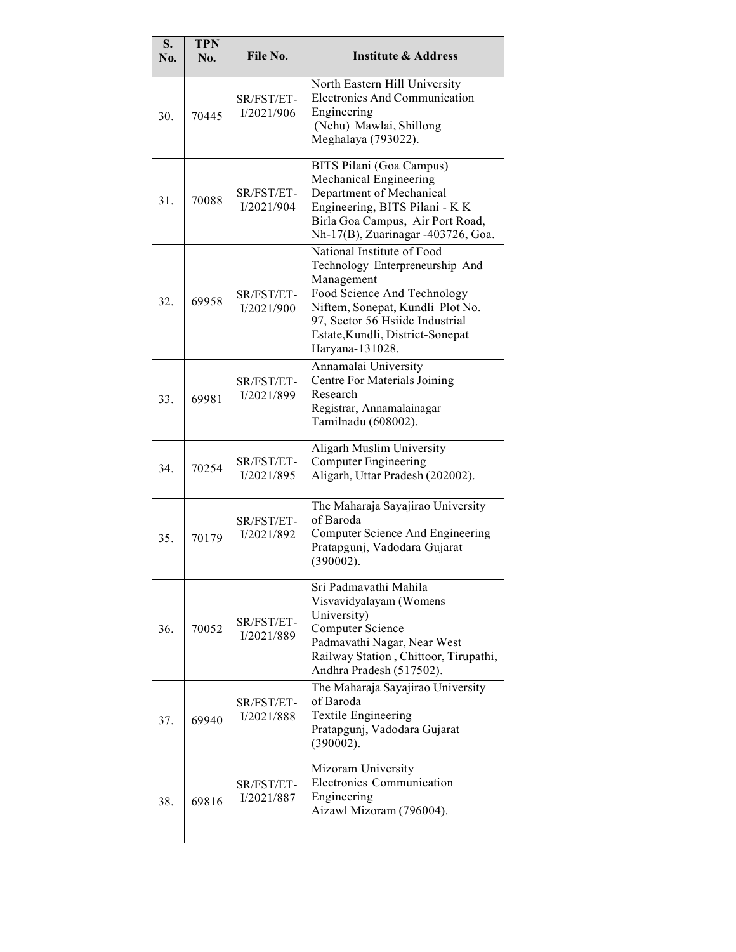| S.<br>No. | <b>TPN</b><br>No. | File No.                 | <b>Institute &amp; Address</b>                                                                                                                                                                                                           |
|-----------|-------------------|--------------------------|------------------------------------------------------------------------------------------------------------------------------------------------------------------------------------------------------------------------------------------|
| 30.       | 70445             | SR/FST/ET-<br>I/2021/906 | North Eastern Hill University<br><b>Electronics And Communication</b><br>Engineering<br>(Nehu) Mawlai, Shillong<br>Meghalaya (793022).                                                                                                   |
| 31.       | 70088             | SR/FST/ET-<br>I/2021/904 | BITS Pilani (Goa Campus)<br>Mechanical Engineering<br>Department of Mechanical<br>Engineering, BITS Pilani - K K<br>Birla Goa Campus, Air Port Road,<br>Nh-17(B), Zuarinagar -403726, Goa.                                               |
| 32.       | 69958             | SR/FST/ET-<br>I/2021/900 | National Institute of Food<br>Technology Enterpreneurship And<br>Management<br>Food Science And Technology<br>Niftem, Sonepat, Kundli Plot No.<br>97, Sector 56 Hsiidc Industrial<br>Estate, Kundli, District-Sonepat<br>Haryana-131028. |
| 33.       | 69981             | SR/FST/ET-<br>I/2021/899 | Annamalai University<br>Centre For Materials Joining<br>Research<br>Registrar, Annamalainagar<br>Tamilnadu (608002).                                                                                                                     |
| 34.       | 70254             | SR/FST/ET-<br>I/2021/895 | Aligarh Muslim University<br><b>Computer Engineering</b><br>Aligarh, Uttar Pradesh (202002).                                                                                                                                             |
| 35.       | 70179             | SR/FST/ET-<br>I/2021/892 | The Maharaja Sayajirao University<br>of Baroda<br>Computer Science And Engineering<br>Pratapgunj, Vadodara Gujarat<br>(390002).                                                                                                          |
| 36.       | 70052             | SR/FST/ET-<br>I/2021/889 | Sri Padmavathi Mahila<br>Visvavidyalayam (Womens<br>University)<br><b>Computer Science</b><br>Padmavathi Nagar, Near West<br>Railway Station, Chittoor, Tirupathi,<br>Andhra Pradesh (517502).                                           |
| 37.       | 69940             | SR/FST/ET-<br>I/2021/888 | The Maharaja Sayajirao University<br>of Baroda<br><b>Textile Engineering</b><br>Pratapgunj, Vadodara Gujarat<br>(390002).                                                                                                                |
| 38.       | 69816             | SR/FST/ET-<br>I/2021/887 | Mizoram University<br>Electronics Communication<br>Engineering<br>Aizawl Mizoram (796004).                                                                                                                                               |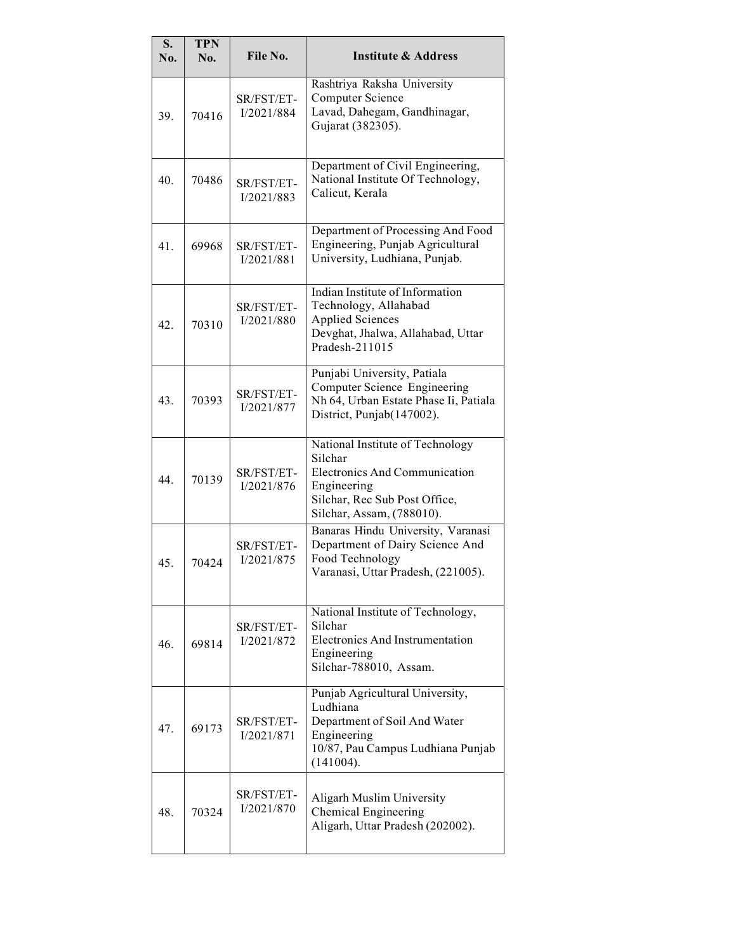| S.<br>No. | <b>TPN</b><br>No. | File No.                 | <b>Institute &amp; Address</b>                                                                                                                                   |
|-----------|-------------------|--------------------------|------------------------------------------------------------------------------------------------------------------------------------------------------------------|
| 39.       | 70416             | SR/FST/ET-<br>I/2021/884 | Rashtriya Raksha University<br><b>Computer Science</b><br>Lavad, Dahegam, Gandhinagar,<br>Gujarat (382305).                                                      |
| 40.       | 70486             | SR/FST/ET-<br>I/2021/883 | Department of Civil Engineering,<br>National Institute Of Technology,<br>Calicut, Kerala                                                                         |
| 41.       | 69968             | SR/FST/ET-<br>I/2021/881 | Department of Processing And Food<br>Engineering, Punjab Agricultural<br>University, Ludhiana, Punjab.                                                           |
| 42.       | 70310             | SR/FST/ET-<br>I/2021/880 | Indian Institute of Information<br>Technology, Allahabad<br><b>Applied Sciences</b><br>Devghat, Jhalwa, Allahabad, Uttar<br>Pradesh-211015                       |
| 43.       | 70393             | SR/FST/ET-<br>I/2021/877 | Punjabi University, Patiala<br>Computer Science Engineering<br>Nh 64, Urban Estate Phase Ii, Patiala<br>District, Punjab(147002).                                |
| 44.       | 70139             | SR/FST/ET-<br>I/2021/876 | National Institute of Technology<br>Silchar<br><b>Electronics And Communication</b><br>Engineering<br>Silchar, Rec Sub Post Office,<br>Silchar, Assam, (788010). |
| 45.       | 70424             | SR/FST/ET-<br>I/2021/875 | Banaras Hindu University, Varanasi<br>Department of Dairy Science And<br>Food Technology<br>Varanasi, Uttar Pradesh, (221005).                                   |
| 46.       | 69814             | SR/FST/ET-<br>I/2021/872 | National Institute of Technology,<br>Silchar<br><b>Electronics And Instrumentation</b><br>Engineering<br>Silchar-788010, Assam.                                  |
| 47.       | 69173             | SR/FST/ET-<br>I/2021/871 | Punjab Agricultural University,<br>Ludhiana<br>Department of Soil And Water<br>Engineering<br>10/87, Pau Campus Ludhiana Punjab<br>(141004).                     |
| 48.       | 70324             | SR/FST/ET-<br>I/2021/870 | Aligarh Muslim University<br>Chemical Engineering<br>Aligarh, Uttar Pradesh (202002).                                                                            |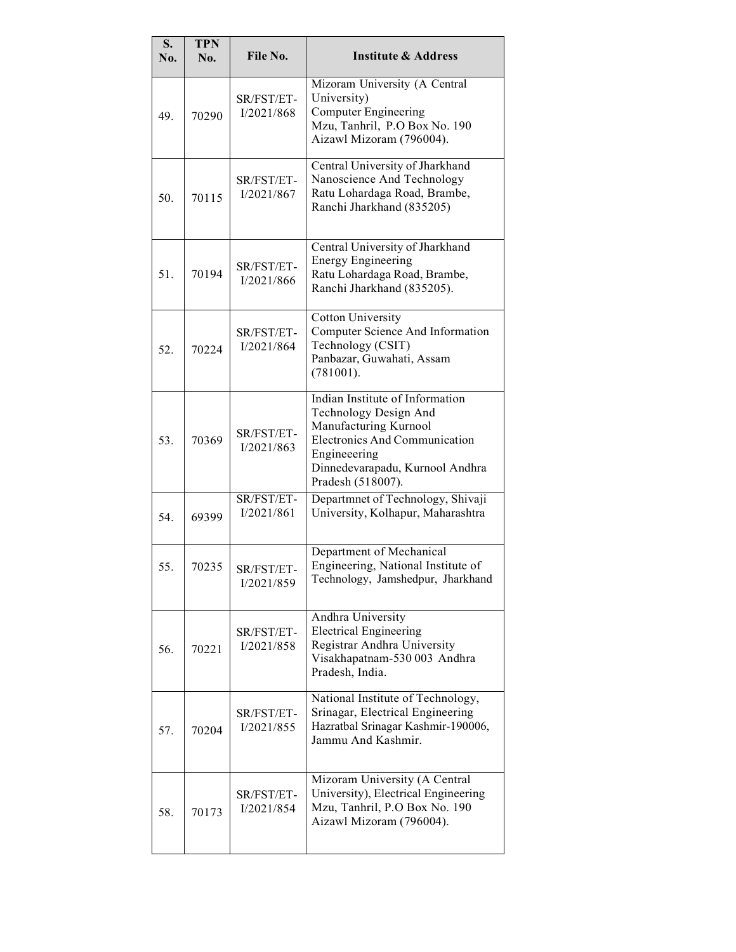| S.<br>No. | <b>TPN</b><br>No. | File No.                 | <b>Institute &amp; Address</b>                                                                                                                                                                    |
|-----------|-------------------|--------------------------|---------------------------------------------------------------------------------------------------------------------------------------------------------------------------------------------------|
| 49.       | 70290             | SR/FST/ET-<br>I/2021/868 | Mizoram University (A Central<br>University)<br><b>Computer Engineering</b><br>Mzu, Tanhril, P.O Box No. 190<br>Aizawl Mizoram (796004).                                                          |
| 50.       | 70115             | SR/FST/ET-<br>I/2021/867 | Central University of Jharkhand<br>Nanoscience And Technology<br>Ratu Lohardaga Road, Brambe,<br>Ranchi Jharkhand (835205)                                                                        |
| 51.       | 70194             | SR/FST/ET-<br>I/2021/866 | Central University of Jharkhand<br><b>Energy Engineering</b><br>Ratu Lohardaga Road, Brambe,<br>Ranchi Jharkhand (835205).                                                                        |
| 52.       | 70224             | SR/FST/ET-<br>I/2021/864 | <b>Cotton University</b><br>Computer Science And Information<br>Technology (CSIT)<br>Panbazar, Guwahati, Assam<br>$(781001)$ .                                                                    |
| 53.       | 70369             | SR/FST/ET-<br>I/2021/863 | Indian Institute of Information<br>Technology Design And<br>Manufacturing Kurnool<br><b>Electronics And Communication</b><br>Engineeering<br>Dinnedevarapadu, Kurnool Andhra<br>Pradesh (518007). |
| 54.       | 69399             | SR/FST/ET-<br>I/2021/861 | Departmnet of Technology, Shivaji<br>University, Kolhapur, Maharashtra                                                                                                                            |
| 55.       | 70235             | SR/FST/ET-<br>I/2021/859 | Department of Mechanical<br>Engineering, National Institute of<br>Technology, Jamshedpur, Jharkhand                                                                                               |
| 56.       | 70221             | SR/FST/ET-<br>I/2021/858 | Andhra University<br><b>Electrical Engineering</b><br>Registrar Andhra University<br>Visakhapatnam-530 003 Andhra<br>Pradesh, India.                                                              |
| 57.       | 70204             | SR/FST/ET-<br>I/2021/855 | National Institute of Technology,<br>Srinagar, Electrical Engineering<br>Hazratbal Srinagar Kashmir-190006,<br>Jammu And Kashmir.                                                                 |
| 58.       | 70173             | SR/FST/ET-<br>I/2021/854 | Mizoram University (A Central<br>University), Electrical Engineering<br>Mzu, Tanhril, P.O Box No. 190<br>Aizawl Mizoram (796004).                                                                 |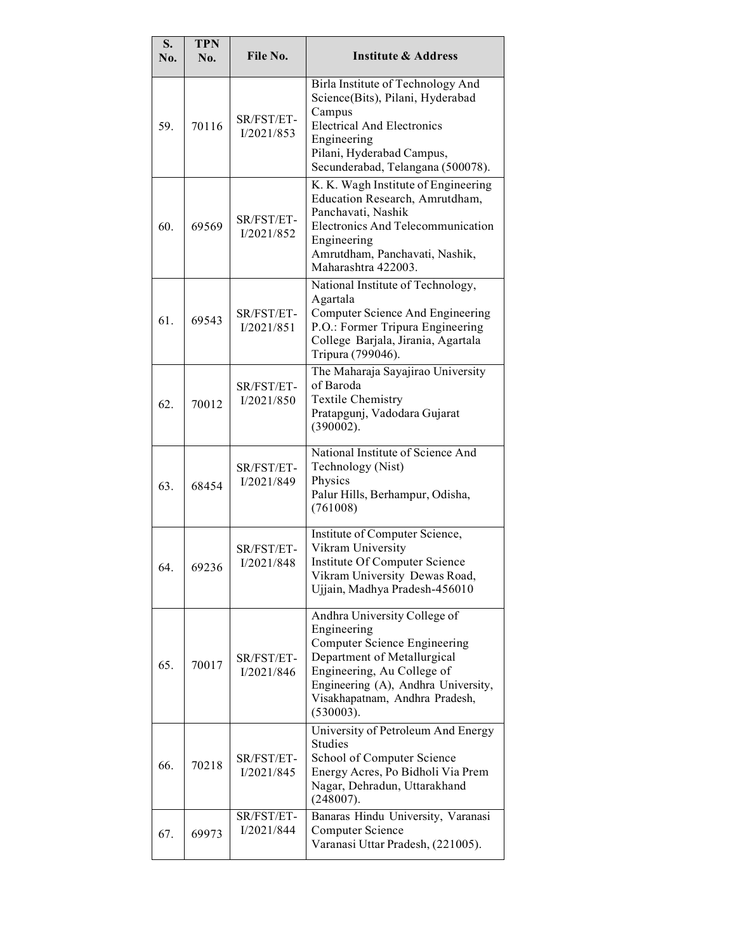| S.<br>No. | <b>TPN</b><br>No. | File No.                 | <b>Institute &amp; Address</b>                                                                                                                                                                                                 |
|-----------|-------------------|--------------------------|--------------------------------------------------------------------------------------------------------------------------------------------------------------------------------------------------------------------------------|
| 59.       | 70116             | SR/FST/ET-<br>I/2021/853 | Birla Institute of Technology And<br>Science(Bits), Pilani, Hyderabad<br>Campus<br><b>Electrical And Electronics</b><br>Engineering<br>Pilani, Hyderabad Campus,<br>Secunderabad, Telangana (500078).                          |
| 60.       | 69569             | SR/FST/ET-<br>I/2021/852 | K. K. Wagh Institute of Engineering<br>Education Research, Amrutdham,<br>Panchavati, Nashik<br><b>Electronics And Telecommunication</b><br>Engineering<br>Amrutdham, Panchavati, Nashik,<br>Maharashtra 422003.                |
| 61.       | 69543             | SR/FST/ET-<br>I/2021/851 | National Institute of Technology,<br>Agartala<br>Computer Science And Engineering<br>P.O.: Former Tripura Engineering<br>College Barjala, Jirania, Agartala<br>Tripura (799046).                                               |
| 62.       | 70012             | SR/FST/ET-<br>I/2021/850 | The Maharaja Sayajirao University<br>of Baroda<br><b>Textile Chemistry</b><br>Pratapgunj, Vadodara Gujarat<br>(390002).                                                                                                        |
| 63.       | 68454             | SR/FST/ET-<br>I/2021/849 | National Institute of Science And<br>Technology (Nist)<br>Physics<br>Palur Hills, Berhampur, Odisha,<br>(761008)                                                                                                               |
| 64.       | 69236             | SR/FST/ET-<br>I/2021/848 | Institute of Computer Science,<br>Vikram University<br>Institute Of Computer Science<br>Vikram University Dewas Road,<br>Ujjain, Madhya Pradesh-456010                                                                         |
| 65.       | 70017             | SR/FST/ET-<br>I/2021/846 | Andhra University College of<br>Engineering<br>Computer Science Engineering<br>Department of Metallurgical<br>Engineering, Au College of<br>Engineering (A), Andhra University,<br>Visakhapatnam, Andhra Pradesh,<br>(530003). |
| 66.       | 70218             | SR/FST/ET-<br>I/2021/845 | University of Petroleum And Energy<br><b>Studies</b><br>School of Computer Science<br>Energy Acres, Po Bidholi Via Prem<br>Nagar, Dehradun, Uttarakhand<br>(248007).                                                           |
| 67.       | 69973             | SR/FST/ET-<br>I/2021/844 | Banaras Hindu University, Varanasi<br><b>Computer Science</b><br>Varanasi Uttar Pradesh, (221005).                                                                                                                             |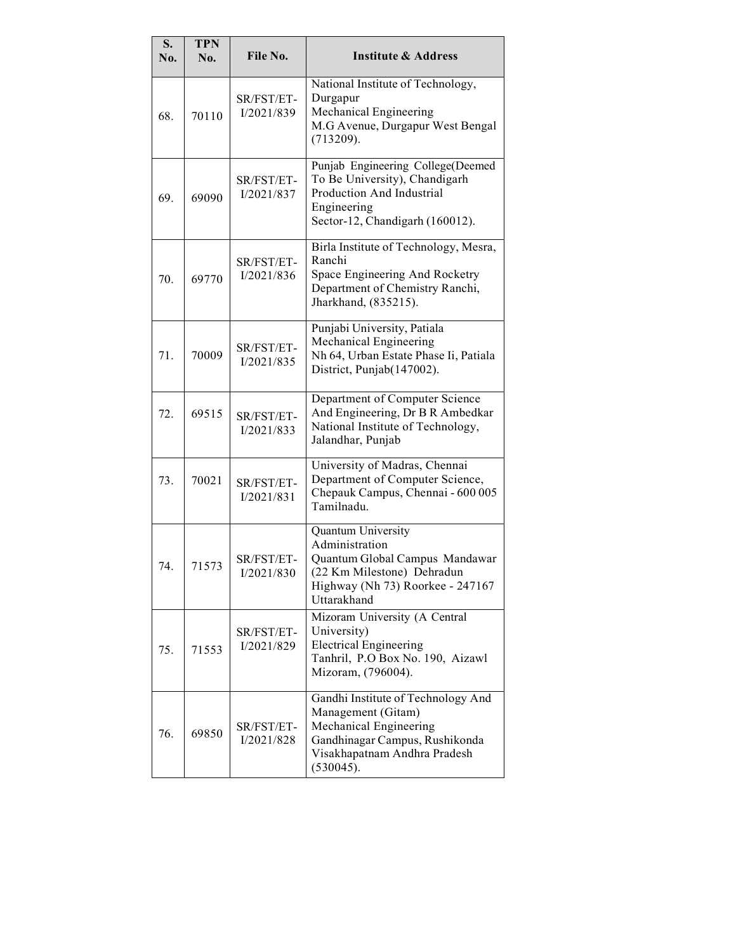| S.<br>No. | <b>TPN</b><br>No. | File No.                 | <b>Institute &amp; Address</b>                                                                                                                                    |
|-----------|-------------------|--------------------------|-------------------------------------------------------------------------------------------------------------------------------------------------------------------|
| 68.       | 70110             | SR/FST/ET-<br>I/2021/839 | National Institute of Technology,<br>Durgapur<br>Mechanical Engineering<br>M.G Avenue, Durgapur West Bengal<br>(713209).                                          |
| 69.       | 69090             | SR/FST/ET-<br>I/2021/837 | Punjab Engineering College(Deemed<br>To Be University), Chandigarh<br>Production And Industrial<br>Engineering<br>Sector-12, Chandigarh (160012).                 |
| 70.       | 69770             | SR/FST/ET-<br>I/2021/836 | Birla Institute of Technology, Mesra,<br>Ranchi<br>Space Engineering And Rocketry<br>Department of Chemistry Ranchi,<br>Jharkhand, (835215).                      |
| 71.       | 70009             | SR/FST/ET-<br>I/2021/835 | Punjabi University, Patiala<br>Mechanical Engineering<br>Nh 64, Urban Estate Phase Ii, Patiala<br>District, Punjab(147002).                                       |
| 72.       | 69515             | SR/FST/ET-<br>I/2021/833 | Department of Computer Science<br>And Engineering, Dr B R Ambedkar<br>National Institute of Technology,<br>Jalandhar, Punjab                                      |
| 73.       | 70021             | SR/FST/ET-<br>I/2021/831 | University of Madras, Chennai<br>Department of Computer Science,<br>Chepauk Campus, Chennai - 600 005<br>Tamilnadu.                                               |
| 74.       | 71573             | SR/FST/ET-<br>I/2021/830 | Quantum University<br>Administration<br>Quantum Global Campus Mandawar<br>(22 Km Milestone) Dehradun<br>Highway (Nh 73) Roorkee - 247167<br>Uttarakhand           |
| 75.       | 71553             | SR/FST/ET-<br>I/2021/829 | Mizoram University (A Central<br>University)<br><b>Electrical Engineering</b><br>Tanhril, P.O Box No. 190, Aizawl<br>Mizoram, (796004).                           |
| 76.       | 69850             | SR/FST/ET-<br>I/2021/828 | Gandhi Institute of Technology And<br>Management (Gitam)<br>Mechanical Engineering<br>Gandhinagar Campus, Rushikonda<br>Visakhapatnam Andhra Pradesh<br>(530045). |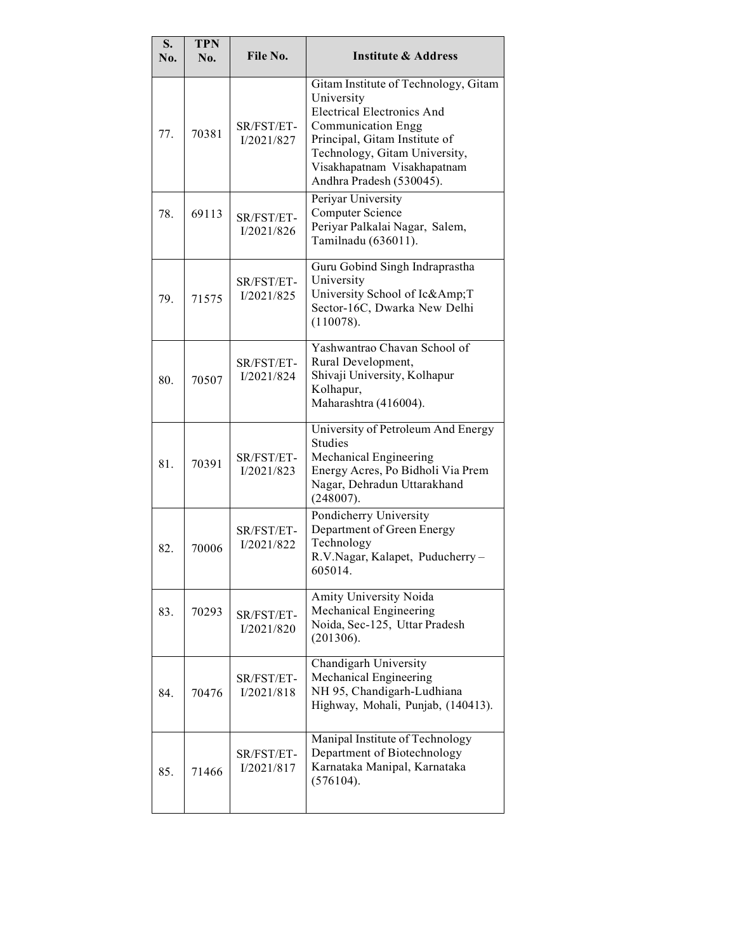| S.<br>No. | <b>TPN</b><br>No. | File No.                 | <b>Institute &amp; Address</b>                                                                                                                                                                                                                    |
|-----------|-------------------|--------------------------|---------------------------------------------------------------------------------------------------------------------------------------------------------------------------------------------------------------------------------------------------|
| 77.       | 70381             | SR/FST/ET-<br>I/2021/827 | Gitam Institute of Technology, Gitam<br>University<br><b>Electrical Electronics And</b><br><b>Communication Engg</b><br>Principal, Gitam Institute of<br>Technology, Gitam University,<br>Visakhapatnam Visakhapatnam<br>Andhra Pradesh (530045). |
| 78.       | 69113             | SR/FST/ET-<br>I/2021/826 | Periyar University<br><b>Computer Science</b><br>Periyar Palkalai Nagar, Salem,<br>Tamilnadu (636011).                                                                                                                                            |
| 79.       | 71575             | SR/FST/ET-<br>I/2021/825 | Guru Gobind Singh Indraprastha<br>University<br>University School of Ic&AmpT<br>Sector-16C, Dwarka New Delhi<br>(110078).                                                                                                                         |
| 80.       | 70507             | SR/FST/ET-<br>I/2021/824 | Yashwantrao Chavan School of<br>Rural Development,<br>Shivaji University, Kolhapur<br>Kolhapur,<br>Maharashtra (416004).                                                                                                                          |
| 81.       | 70391             | SR/FST/ET-<br>I/2021/823 | University of Petroleum And Energy<br><b>Studies</b><br>Mechanical Engineering<br>Energy Acres, Po Bidholi Via Prem<br>Nagar, Dehradun Uttarakhand<br>(248007).                                                                                   |
| 82.       | 70006             | SR/FST/ET-<br>I/2021/822 | Pondicherry University<br>Department of Green Energy<br>Technology<br>R.V.Nagar, Kalapet, Puducherry-<br>605014.                                                                                                                                  |
| 83.       | 70293             | SR/FST/ET-<br>I/2021/820 | Amity University Noida<br>Mechanical Engineering<br>Noida, Sec-125, Uttar Pradesh<br>(201306).                                                                                                                                                    |
| 84.       | 70476             | SR/FST/ET-<br>I/2021/818 | Chandigarh University<br>Mechanical Engineering<br>NH 95, Chandigarh-Ludhiana<br>Highway, Mohali, Punjab, (140413).                                                                                                                               |
| 85.       | 71466             | SR/FST/ET-<br>I/2021/817 | Manipal Institute of Technology<br>Department of Biotechnology<br>Karnataka Manipal, Karnataka<br>(576104).                                                                                                                                       |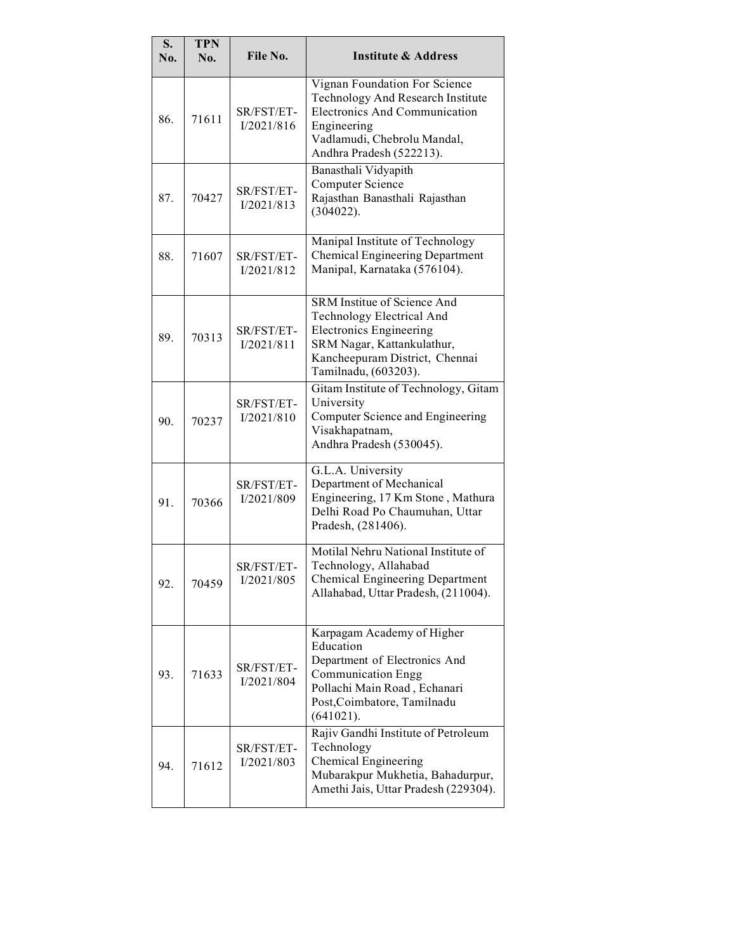| S.<br>No. | <b>TPN</b><br>No. | File No.                 | <b>Institute &amp; Address</b>                                                                                                                                                     |
|-----------|-------------------|--------------------------|------------------------------------------------------------------------------------------------------------------------------------------------------------------------------------|
| 86.       | 71611             | SR/FST/ET-<br>I/2021/816 | Vignan Foundation For Science<br>Technology And Research Institute<br>Electronics And Communication<br>Engineering<br>Vadlamudi, Chebrolu Mandal,<br>Andhra Pradesh (522213).      |
| 87.       | 70427             | SR/FST/ET-<br>I/2021/813 | Banasthali Vidyapith<br><b>Computer Science</b><br>Rajasthan Banasthali Rajasthan<br>(304022).                                                                                     |
| 88.       | 71607             | SR/FST/ET-<br>I/2021/812 | Manipal Institute of Technology<br>Chemical Engineering Department<br>Manipal, Karnataka (576104).                                                                                 |
| 89.       | 70313             | SR/FST/ET-<br>I/2021/811 | SRM Institue of Science And<br>Technology Electrical And<br><b>Electronics Engineering</b><br>SRM Nagar, Kattankulathur,<br>Kancheepuram District, Chennai<br>Tamilnadu, (603203). |
| 90.       | 70237             | SR/FST/ET-<br>I/2021/810 | Gitam Institute of Technology, Gitam<br>University<br>Computer Science and Engineering<br>Visakhapatnam,<br>Andhra Pradesh (530045).                                               |
| 91.       | 70366             | SR/FST/ET-<br>I/2021/809 | G.L.A. University<br>Department of Mechanical<br>Engineering, 17 Km Stone, Mathura<br>Delhi Road Po Chaumuhan, Uttar<br>Pradesh, (281406).                                         |
| 92.       | 70459             | SR/FST/ET-<br>I/2021/805 | Motilal Nehru National Institute of<br>Technology, Allahabad<br>Chemical Engineering Department<br>Allahabad, Uttar Pradesh, (211004).                                             |
| 93.       | 71633             | SR/FST/ET-<br>I/2021/804 | Karpagam Academy of Higher<br>Education<br>Department of Electronics And<br><b>Communication Engg</b><br>Pollachi Main Road, Echanari<br>Post, Coimbatore, Tamilnadu<br>(641021).  |
| 94.       | 71612             | SR/FST/ET-<br>I/2021/803 | Rajiv Gandhi Institute of Petroleum<br>Technology<br>Chemical Engineering<br>Mubarakpur Mukhetia, Bahadurpur,<br>Amethi Jais, Uttar Pradesh (229304).                              |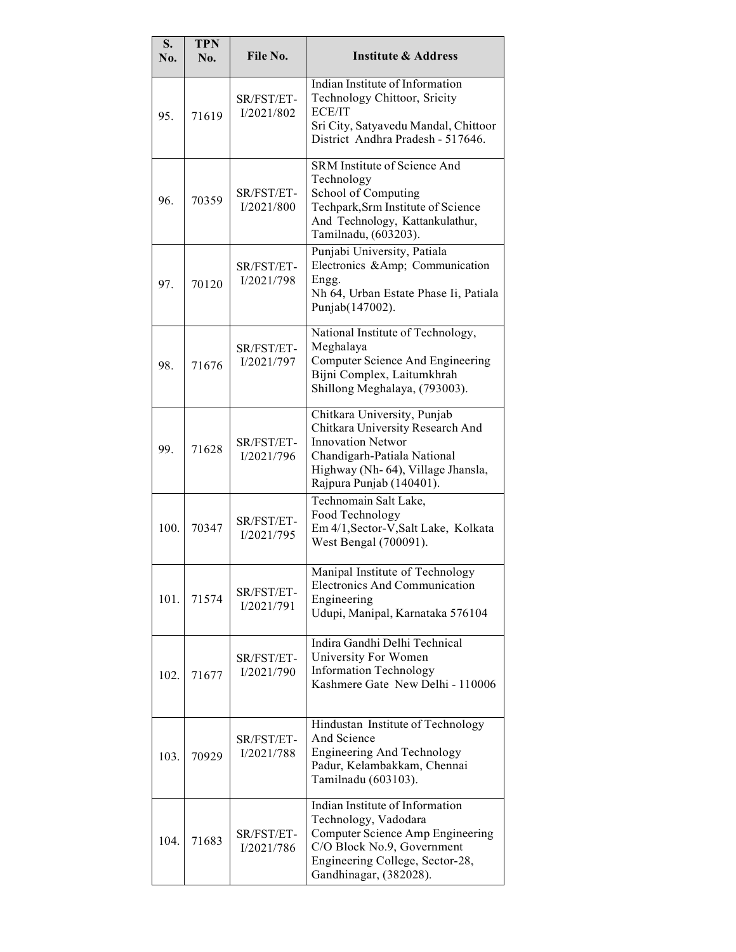| S.<br>No. | <b>TPN</b><br>No. | File No.                 | <b>Institute &amp; Address</b>                                                                                                                                                               |
|-----------|-------------------|--------------------------|----------------------------------------------------------------------------------------------------------------------------------------------------------------------------------------------|
| 95.       | 71619             | SR/FST/ET-<br>I/2021/802 | Indian Institute of Information<br>Technology Chittoor, Sricity<br>ECE/IT<br>Sri City, Satyavedu Mandal, Chittoor<br>District Andhra Pradesh - 517646.                                       |
| 96.       | 70359             | SR/FST/ET-<br>I/2021/800 | SRM Institute of Science And<br>Technology<br>School of Computing<br>Techpark, Srm Institute of Science<br>And Technology, Kattankulathur,<br>Tamilnadu, (603203).                           |
| 97.       | 70120             | SR/FST/ET-<br>I/2021/798 | Punjabi University, Patiala<br>Electronics &Amp Communication<br>Engg.<br>Nh 64, Urban Estate Phase Ii, Patiala<br>Punjab(147002).                                                           |
| 98.       | 71676             | SR/FST/ET-<br>I/2021/797 | National Institute of Technology,<br>Meghalaya<br>Computer Science And Engineering<br>Bijni Complex, Laitumkhrah<br>Shillong Meghalaya, (793003).                                            |
| 99.       | 71628             | SR/FST/ET-<br>I/2021/796 | Chitkara University, Punjab<br>Chitkara University Research And<br><b>Innovation Networ</b><br>Chandigarh-Patiala National<br>Highway (Nh- 64), Village Jhansla,<br>Rajpura Punjab (140401). |
| 100.      | 70347             | SR/FST/ET-<br>I/2021/795 | Technomain Salt Lake,<br>Food Technology<br>Em 4/1, Sector-V, Salt Lake, Kolkata<br>West Bengal (700091).                                                                                    |
| 101.      | 71574             | SR/FST/ET-<br>I/2021/791 | Manipal Institute of Technology<br><b>Electronics And Communication</b><br>Engineering<br>Udupi, Manipal, Karnataka 576104                                                                   |
| 102.      | 71677             | SR/FST/ET-<br>I/2021/790 | Indira Gandhi Delhi Technical<br>University For Women<br><b>Information Technology</b><br>Kashmere Gate New Delhi - 110006                                                                   |
| 103.      | 70929             | SR/FST/ET-<br>I/2021/788 | Hindustan Institute of Technology<br>And Science<br><b>Engineering And Technology</b><br>Padur, Kelambakkam, Chennai<br>Tamilnadu (603103).                                                  |
| 104.      | 71683             | SR/FST/ET-<br>I/2021/786 | Indian Institute of Information<br>Technology, Vadodara<br>Computer Science Amp Engineering<br>C/O Block No.9, Government<br>Engineering College, Sector-28,<br>Gandhinagar, (382028).       |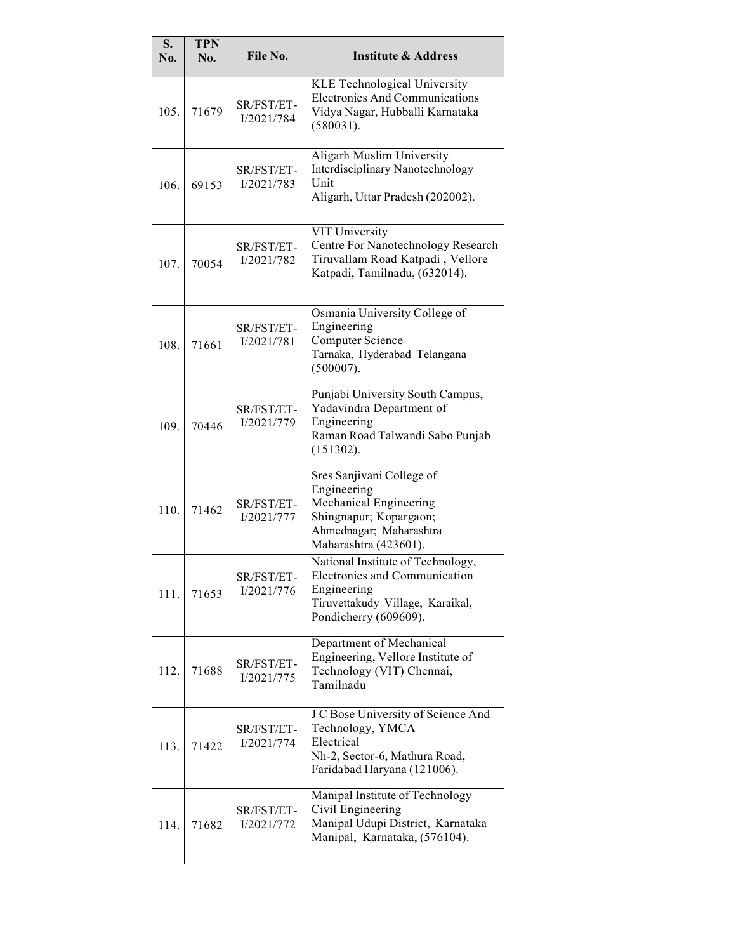| S.<br>No. | <b>TPN</b><br>No. | File No.                 | <b>Institute &amp; Address</b>                                                                                                                   |
|-----------|-------------------|--------------------------|--------------------------------------------------------------------------------------------------------------------------------------------------|
| 105.      | 71679             | SR/FST/ET-<br>I/2021/784 | <b>KLE Technological University</b><br><b>Electronics And Communications</b><br>Vidya Nagar, Hubballi Karnataka<br>(580031).                     |
| 106.      | 69153             | SR/FST/ET-<br>I/2021/783 | Aligarh Muslim University<br>Interdisciplinary Nanotechnology<br>Unit<br>Aligarh, Uttar Pradesh (202002).                                        |
| 107.      | 70054             | SR/FST/ET-<br>I/2021/782 | VIT University<br>Centre For Nanotechnology Research<br>Tiruvallam Road Katpadi, Vellore<br>Katpadi, Tamilnadu, (632014).                        |
| 108.      | 71661             | SR/FST/ET-<br>I/2021/781 | Osmania University College of<br>Engineering<br><b>Computer Science</b><br>Tarnaka, Hyderabad Telangana<br>(500007).                             |
| 109.      | 70446             | SR/FST/ET-<br>I/2021/779 | Punjabi University South Campus,<br>Yadavindra Department of<br>Engineering<br>Raman Road Talwandi Sabo Punjab<br>(151302).                      |
| 110.      | 71462             | SR/FST/ET-<br>I/2021/777 | Sres Sanjivani College of<br>Engineering<br>Mechanical Engineering<br>Shingnapur; Kopargaon;<br>Ahmednagar; Maharashtra<br>Maharashtra (423601). |
| 111.      | 71653             | SR/FST/ET-<br>I/2021/776 | National Institute of Technology,<br>Electronics and Communication<br>Engineering<br>Tiruvettakudy Village, Karaikal,<br>Pondicherry (609609).   |
| 112.      | 71688             | SR/FST/ET-<br>I/2021/775 | Department of Mechanical<br>Engineering, Vellore Institute of<br>Technology (VIT) Chennai,<br>Tamilnadu                                          |
| 113.      | 71422             | SR/FST/ET-<br>I/2021/774 | J C Bose University of Science And<br>Technology, YMCA<br>Electrical<br>Nh-2, Sector-6, Mathura Road,<br>Faridabad Haryana (121006).             |
| 114.      | 71682             | SR/FST/ET-<br>I/2021/772 | Manipal Institute of Technology<br>Civil Engineering<br>Manipal Udupi District, Karnataka<br>Manipal, Karnataka, (576104).                       |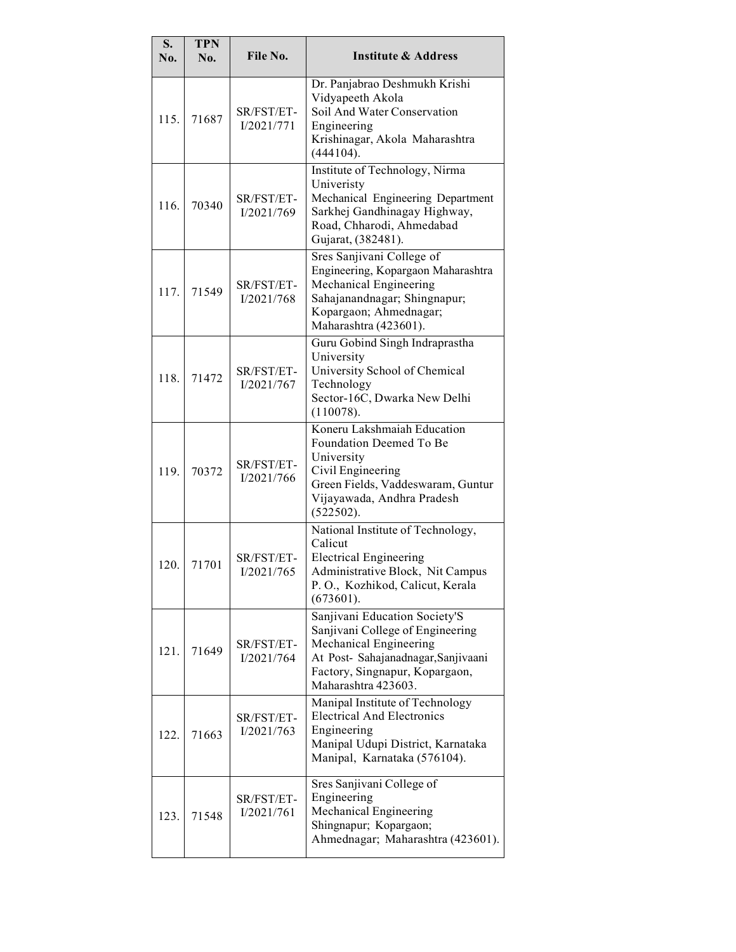| S.<br>No. | <b>TPN</b><br>No. | File No.                 | <b>Institute &amp; Address</b>                                                                                                                                                              |
|-----------|-------------------|--------------------------|---------------------------------------------------------------------------------------------------------------------------------------------------------------------------------------------|
| 115.      | 71687             | SR/FST/ET-<br>I/2021/771 | Dr. Panjabrao Deshmukh Krishi<br>Vidyapeeth Akola<br>Soil And Water Conservation<br>Engineering<br>Krishinagar, Akola Maharashtra<br>(444104).                                              |
| 116.      | 70340             | SR/FST/ET-<br>I/2021/769 | Institute of Technology, Nirma<br>Univeristy<br>Mechanical Engineering Department<br>Sarkhej Gandhinagay Highway,<br>Road, Chharodi, Ahmedabad<br>Gujarat, (382481).                        |
| 117.      | 71549             | SR/FST/ET-<br>I/2021/768 | Sres Sanjivani College of<br>Engineering, Kopargaon Maharashtra<br>Mechanical Engineering<br>Sahajanandnagar; Shingnapur;<br>Kopargaon; Ahmednagar;<br>Maharashtra (423601).                |
| 118.      | 71472             | SR/FST/ET-<br>I/2021/767 | Guru Gobind Singh Indraprastha<br>University<br>University School of Chemical<br>Technology<br>Sector-16C, Dwarka New Delhi<br>(110078).                                                    |
| 119.      | 70372             | SR/FST/ET-<br>I/2021/766 | Koneru Lakshmaiah Education<br>Foundation Deemed To Be<br>University<br>Civil Engineering<br>Green Fields, Vaddeswaram, Guntur<br>Vijayawada, Andhra Pradesh<br>(522502).                   |
| 120.      | 71701             | SR/FST/ET-<br>I/2021/765 | National Institute of Technology,<br>Calicut<br><b>Electrical Engineering</b><br>Administrative Block, Nit Campus<br>P.O., Kozhikod, Calicut, Kerala<br>(673601).                           |
| 121.      | 71649             | SR/FST/ET-<br>I/2021/764 | Sanjivani Education Society'S<br>Sanjivani College of Engineering<br>Mechanical Engineering<br>At Post- Sahajanadnagar, Sanjivaani<br>Factory, Singnapur, Kopargaon,<br>Maharashtra 423603. |
| 122.      | 71663             | SR/FST/ET-<br>I/2021/763 | Manipal Institute of Technology<br><b>Electrical And Electronics</b><br>Engineering<br>Manipal Udupi District, Karnataka<br>Manipal, Karnataka (576104).                                    |
| 123.      | 71548             | SR/FST/ET-<br>I/2021/761 | Sres Sanjivani College of<br>Engineering<br>Mechanical Engineering<br>Shingnapur; Kopargaon;<br>Ahmednagar; Maharashtra (423601).                                                           |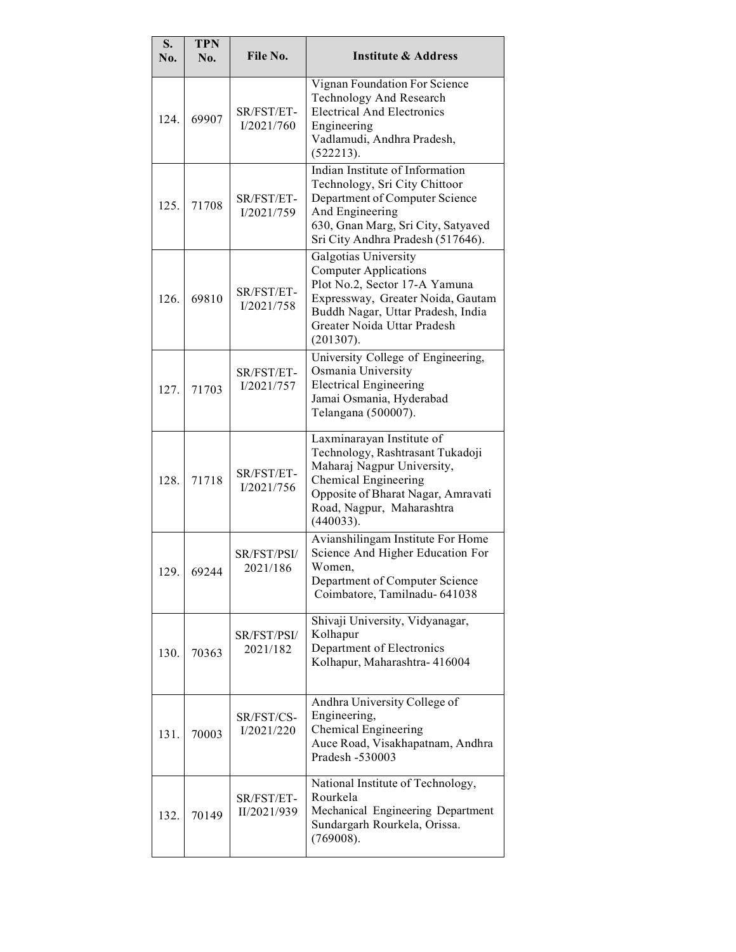| S.<br>No. | <b>TPN</b><br>No. | File No.                  | <b>Institute &amp; Address</b>                                                                                                                                                                              |
|-----------|-------------------|---------------------------|-------------------------------------------------------------------------------------------------------------------------------------------------------------------------------------------------------------|
| 124       | 69907             | SR/FST/ET-<br>I/2021/760  | Vignan Foundation For Science<br><b>Technology And Research</b><br><b>Electrical And Electronics</b><br>Engineering<br>Vadlamudi, Andhra Pradesh,<br>(522213).                                              |
| 125.      | 71708             | SR/FST/ET-<br>I/2021/759  | Indian Institute of Information<br>Technology, Sri City Chittoor<br>Department of Computer Science<br>And Engineering<br>630, Gnan Marg, Sri City, Satyaved<br>Sri City Andhra Pradesh (517646).            |
| 126.      | 69810             | SR/FST/ET-<br>I/2021/758  | Galgotias University<br><b>Computer Applications</b><br>Plot No.2, Sector 17-A Yamuna<br>Expressway, Greater Noida, Gautam<br>Buddh Nagar, Uttar Pradesh, India<br>Greater Noida Uttar Pradesh<br>(201307). |
| 127.      | 71703             | SR/FST/ET-<br>I/2021/757  | University College of Engineering,<br>Osmania University<br><b>Electrical Engineering</b><br>Jamai Osmania, Hyderabad<br>Telangana (500007).                                                                |
| 128.      | 71718             | SR/FST/ET-<br>I/2021/756  | Laxminarayan Institute of<br>Technology, Rashtrasant Tukadoji<br>Maharaj Nagpur University,<br>Chemical Engineering<br>Opposite of Bharat Nagar, Amravati<br>Road, Nagpur, Maharashtra<br>(440033).         |
| 129.      | 69244             | SR/FST/PSI/<br>2021/186   | Avianshilingam Institute For Home<br>Science And Higher Education For<br>Women,<br>Department of Computer Science<br>Coimbatore, Tamilnadu- 641038                                                          |
| 130.      | 70363             | SR/FST/PSI/<br>2021/182   | Shivaji University, Vidyanagar,<br>Kolhapur<br>Department of Electronics<br>Kolhapur, Maharashtra- 416004                                                                                                   |
| 131.      | 70003             | SR/FST/CS-<br>I/2021/220  | Andhra University College of<br>Engineering,<br><b>Chemical Engineering</b><br>Auce Road, Visakhapatnam, Andhra<br>Pradesh -530003                                                                          |
| 132.      | 70149             | SR/FST/ET-<br>II/2021/939 | National Institute of Technology,<br>Rourkela<br>Mechanical Engineering Department<br>Sundargarh Rourkela, Orissa.<br>(769008).                                                                             |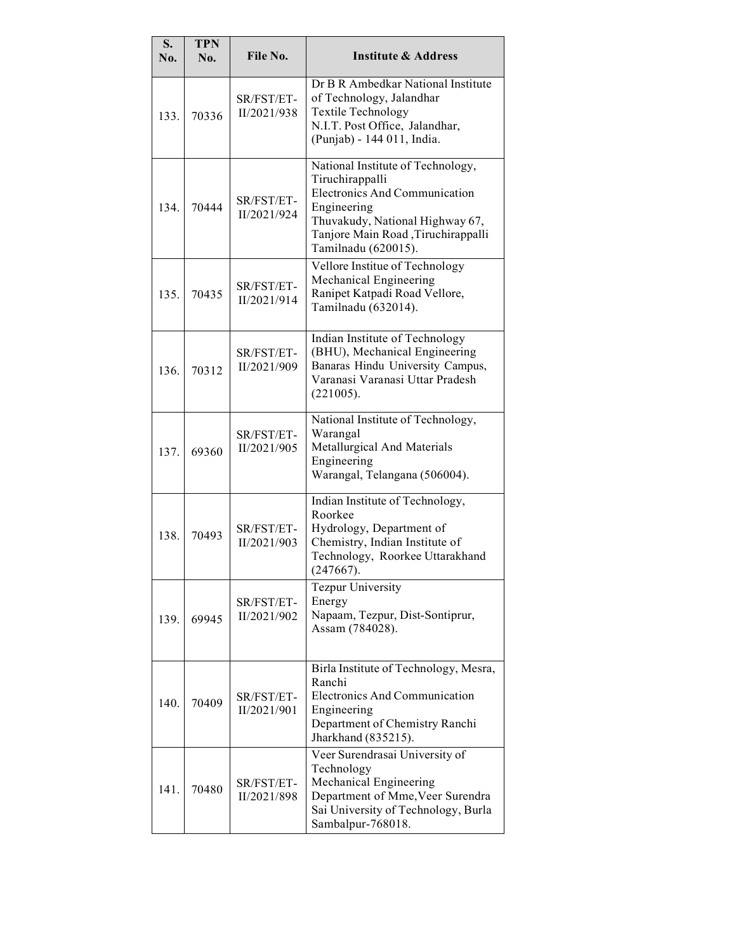| S.<br>No. | <b>TPN</b><br>No. | File No.                  | <b>Institute &amp; Address</b>                                                                                                                                                                              |
|-----------|-------------------|---------------------------|-------------------------------------------------------------------------------------------------------------------------------------------------------------------------------------------------------------|
| 133.      | 70336             | SR/FST/ET-<br>II/2021/938 | Dr B R Ambedkar National Institute<br>of Technology, Jalandhar<br><b>Textile Technology</b><br>N.I.T. Post Office, Jalandhar,<br>(Punjab) - 144 011, India.                                                 |
| 134.      | 70444             | SR/FST/ET-<br>II/2021/924 | National Institute of Technology,<br>Tiruchirappalli<br><b>Electronics And Communication</b><br>Engineering<br>Thuvakudy, National Highway 67,<br>Tanjore Main Road, Tiruchirappalli<br>Tamilnadu (620015). |
| 135.      | 70435             | SR/FST/ET-<br>II/2021/914 | Vellore Institue of Technology<br>Mechanical Engineering<br>Ranipet Katpadi Road Vellore,<br>Tamilnadu (632014).                                                                                            |
| 136.      | 70312             | SR/FST/ET-<br>II/2021/909 | Indian Institute of Technology<br>(BHU), Mechanical Engineering<br>Banaras Hindu University Campus,<br>Varanasi Varanasi Uttar Pradesh<br>(221005).                                                         |
| 137.      | 69360             | SR/FST/ET-<br>II/2021/905 | National Institute of Technology,<br>Warangal<br>Metallurgical And Materials<br>Engineering<br>Warangal, Telangana (506004).                                                                                |
| 138.      | 70493             | SR/FST/ET-<br>II/2021/903 | Indian Institute of Technology,<br>Roorkee<br>Hydrology, Department of<br>Chemistry, Indian Institute of<br>Technology, Roorkee Uttarakhand<br>(247667).                                                    |
| 139.      | 69945             | SR/FST/ET-<br>II/2021/902 | <b>Tezpur University</b><br>Energy<br>Napaam, Tezpur, Dist-Sontiprur,<br>Assam (784028).                                                                                                                    |
| 140.      | 70409             | SR/FST/ET-<br>II/2021/901 | Birla Institute of Technology, Mesra,<br>Ranchi<br><b>Electronics And Communication</b><br>Engineering<br>Department of Chemistry Ranchi<br>Jharkhand (835215).                                             |
| 141.      | 70480             | SR/FST/ET-<br>II/2021/898 | Veer Surendrasai University of<br>Technology<br>Mechanical Engineering<br>Department of Mme, Veer Surendra<br>Sai University of Technology, Burla<br>Sambalpur-768018.                                      |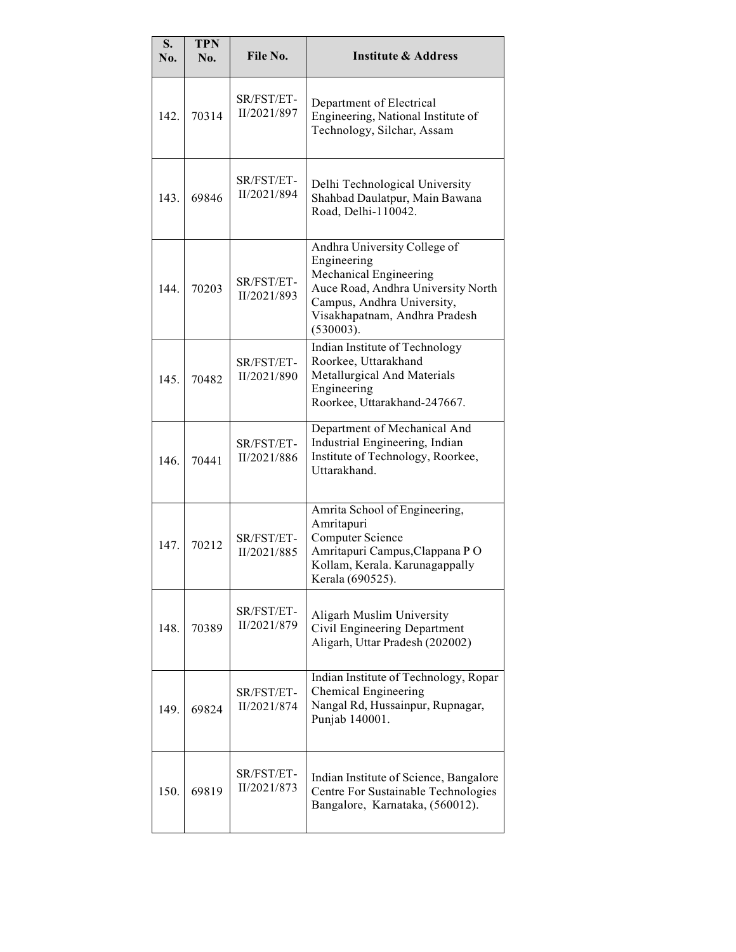| S.<br>No. | <b>TPN</b><br>No. | File No.                  | <b>Institute &amp; Address</b>                                                                                                                                                          |
|-----------|-------------------|---------------------------|-----------------------------------------------------------------------------------------------------------------------------------------------------------------------------------------|
| 142.      | 70314             | SR/FST/ET-<br>II/2021/897 | Department of Electrical<br>Engineering, National Institute of<br>Technology, Silchar, Assam                                                                                            |
| 143.      | 69846             | SR/FST/ET-<br>II/2021/894 | Delhi Technological University<br>Shahbad Daulatpur, Main Bawana<br>Road, Delhi-110042.                                                                                                 |
| 144.      | 70203             | SR/FST/ET-<br>II/2021/893 | Andhra University College of<br>Engineering<br>Mechanical Engineering<br>Auce Road, Andhra University North<br>Campus, Andhra University,<br>Visakhapatnam, Andhra Pradesh<br>(530003). |
| 145.      | 70482             | SR/FST/ET-<br>II/2021/890 | Indian Institute of Technology<br>Roorkee, Uttarakhand<br>Metallurgical And Materials<br>Engineering<br>Roorkee, Uttarakhand-247667.                                                    |
| 146.      | 70441             | SR/FST/ET-<br>II/2021/886 | Department of Mechanical And<br>Industrial Engineering, Indian<br>Institute of Technology, Roorkee,<br>Uttarakhand.                                                                     |
| 147.      | 70212             | SR/FST/ET-<br>II/2021/885 | Amrita School of Engineering,<br>Amritapuri<br><b>Computer Science</b><br>Amritapuri Campus, Clappana PO<br>Kollam, Kerala. Karunagappally<br>Kerala (690525).                          |
| 148.      | 70389             | SR/FST/ET-<br>II/2021/879 | Aligarh Muslim University<br>Civil Engineering Department<br>Aligarh, Uttar Pradesh (202002)                                                                                            |
| 149.      | 69824             | SR/FST/ET-<br>II/2021/874 | Indian Institute of Technology, Ropar<br>Chemical Engineering<br>Nangal Rd, Hussainpur, Rupnagar,<br>Punjab 140001.                                                                     |
| 150.      | 69819             | SR/FST/ET-<br>II/2021/873 | Indian Institute of Science, Bangalore<br>Centre For Sustainable Technologies<br>Bangalore, Karnataka, (560012).                                                                        |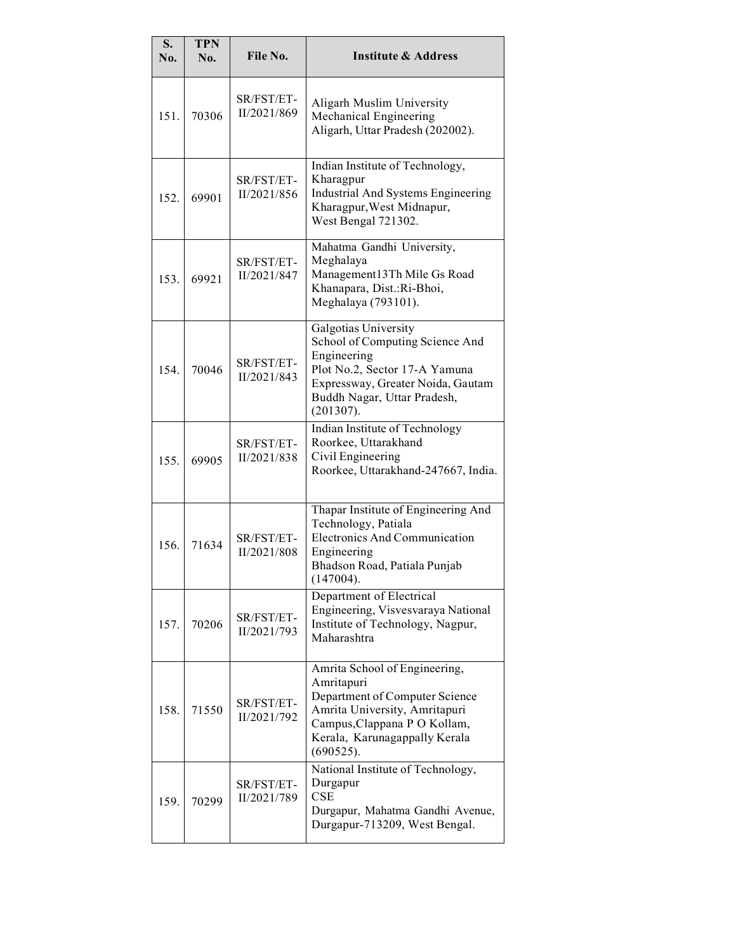| S.<br>No. | <b>TPN</b><br>No. | File No.                  | <b>Institute &amp; Address</b>                                                                                                                                                               |
|-----------|-------------------|---------------------------|----------------------------------------------------------------------------------------------------------------------------------------------------------------------------------------------|
| 151.      | 70306             | SR/FST/ET-<br>II/2021/869 | Aligarh Muslim University<br>Mechanical Engineering<br>Aligarh, Uttar Pradesh (202002).                                                                                                      |
| 152.      | 69901             | SR/FST/ET-<br>II/2021/856 | Indian Institute of Technology,<br>Kharagpur<br><b>Industrial And Systems Engineering</b><br>Kharagpur, West Midnapur,<br>West Bengal 721302.                                                |
| 153.      | 69921             | SR/FST/ET-<br>II/2021/847 | Mahatma Gandhi University,<br>Meghalaya<br>Management13Th Mile Gs Road<br>Khanapara, Dist.: Ri-Bhoi,<br>Meghalaya (793101).                                                                  |
| 154.      | 70046             | SR/FST/ET-<br>II/2021/843 | Galgotias University<br>School of Computing Science And<br>Engineering<br>Plot No.2, Sector 17-A Yamuna<br>Expressway, Greater Noida, Gautam<br>Buddh Nagar, Uttar Pradesh,<br>(201307).     |
| 155.      | 69905             | SR/FST/ET-<br>II/2021/838 | Indian Institute of Technology<br>Roorkee, Uttarakhand<br>Civil Engineering<br>Roorkee, Uttarakhand-247667, India.                                                                           |
| 156.      | 71634             | SR/FST/ET-<br>II/2021/808 | Thapar Institute of Engineering And<br>Technology, Patiala<br><b>Electronics And Communication</b><br>Engineering<br>Bhadson Road, Patiala Punjab<br>(147004).                               |
| 157.      | 70206             | SR/FST/ET-<br>II/2021/793 | Department of Electrical<br>Engineering, Visvesvaraya National<br>Institute of Technology, Nagpur,<br>Maharashtra                                                                            |
| 158.      | 71550             | SR/FST/ET-<br>II/2021/792 | Amrita School of Engineering,<br>Amritapuri<br>Department of Computer Science<br>Amrita University, Amritapuri<br>Campus, Clappana P O Kollam,<br>Kerala, Karunagappally Kerala<br>(690525). |
| 159.      | 70299             | SR/FST/ET-<br>II/2021/789 | National Institute of Technology,<br>Durgapur<br><b>CSE</b><br>Durgapur, Mahatma Gandhi Avenue,<br>Durgapur-713209, West Bengal.                                                             |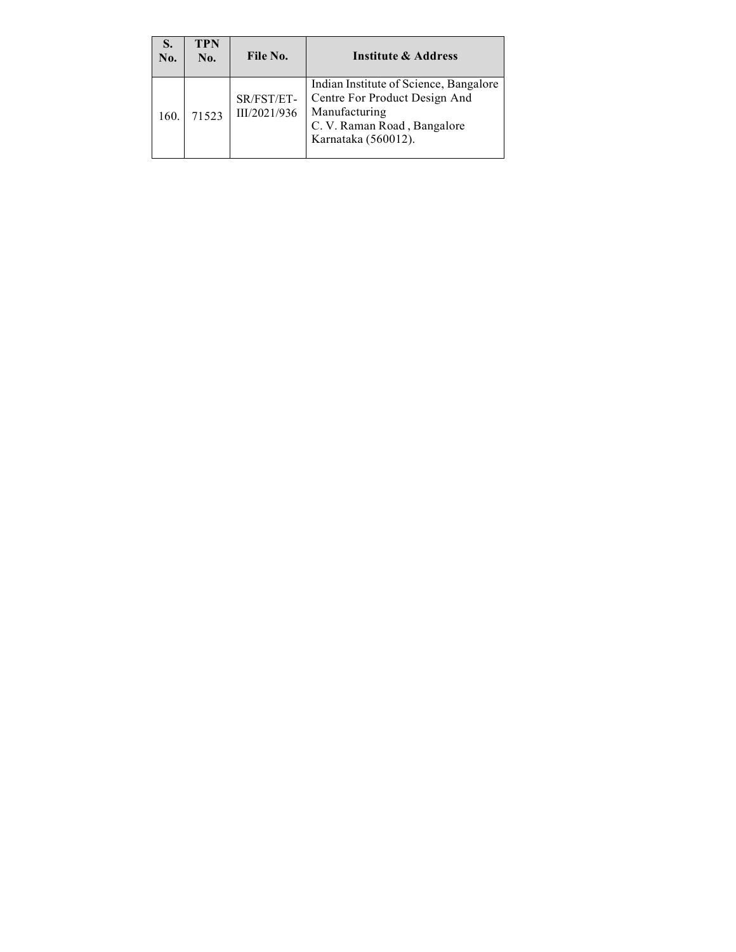| S.<br>No. | <b>TPN</b><br>No. | File No.                   | <b>Institute &amp; Address</b>                                                                                                                 |
|-----------|-------------------|----------------------------|------------------------------------------------------------------------------------------------------------------------------------------------|
| 160.      | 71523             | SR/FST/ET-<br>III/2021/936 | Indian Institute of Science, Bangalore<br>Centre For Product Design And<br>Manufacturing<br>C. V. Raman Road, Bangalore<br>Karnataka (560012). |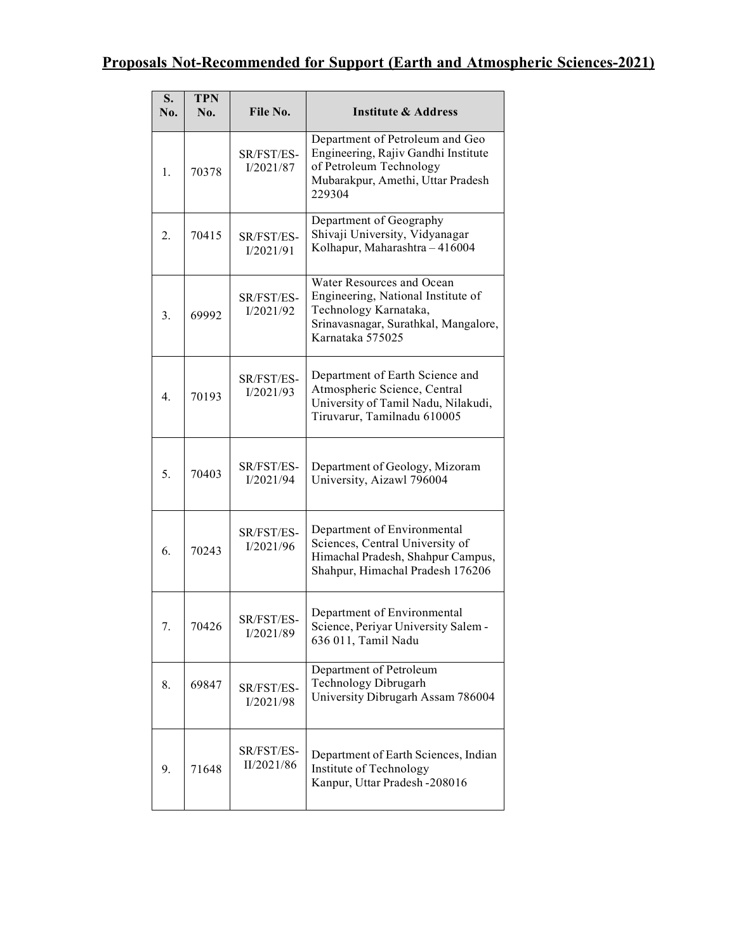#### Proposals Not-Recommended for Support (Earth and Atmospheric Sciences-2021)

| S.<br>No. | <b>TPN</b><br>No. | File No.                 | <b>Institute &amp; Address</b>                                                                                                                       |
|-----------|-------------------|--------------------------|------------------------------------------------------------------------------------------------------------------------------------------------------|
| 1.        | 70378             | SR/FST/ES-<br>I/2021/87  | Department of Petroleum and Geo<br>Engineering, Rajiv Gandhi Institute<br>of Petroleum Technology<br>Mubarakpur, Amethi, Uttar Pradesh<br>229304     |
| 2.        | 70415             | SR/FST/ES-<br>I/2021/91  | Department of Geography<br>Shivaji University, Vidyanagar<br>Kolhapur, Maharashtra - 416004                                                          |
| 3.        | 69992             | SR/FST/ES-<br>I/2021/92  | Water Resources and Ocean<br>Engineering, National Institute of<br>Technology Karnataka,<br>Srinavasnagar, Surathkal, Mangalore,<br>Karnataka 575025 |
| 4.        | 70193             | SR/FST/ES-<br>I/2021/93  | Department of Earth Science and<br>Atmospheric Science, Central<br>University of Tamil Nadu, Nilakudi,<br>Tiruvarur, Tamilnadu 610005                |
| 5.        | 70403             | SR/FST/ES-<br>I/2021/94  | Department of Geology, Mizoram<br>University, Aizawl 796004                                                                                          |
| 6.        | 70243             | SR/FST/ES-<br>I/2021/96  | Department of Environmental<br>Sciences, Central University of<br>Himachal Pradesh, Shahpur Campus,<br>Shahpur, Himachal Pradesh 176206              |
| 7.        | 70426             | SR/FST/ES-<br>I/2021/89  | Department of Environmental<br>Science, Periyar University Salem -<br>636 011, Tamil Nadu                                                            |
| 8.        | 69847             | SR/FST/ES-<br>I/2021/98  | Department of Petroleum<br>Technology Dibrugarh<br>University Dibrugarh Assam 786004                                                                 |
| 9.        | 71648             | SR/FST/ES-<br>II/2021/86 | Department of Earth Sciences, Indian<br>Institute of Technology<br>Kanpur, Uttar Pradesh -208016                                                     |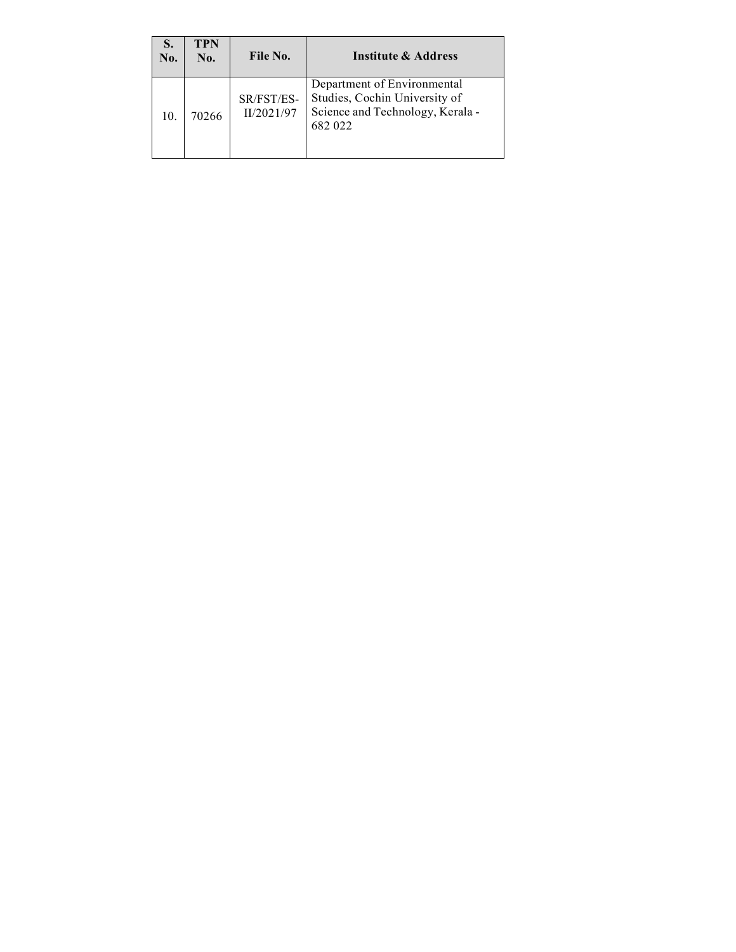| S.<br>No. | <b>TPN</b><br>No. | File No.                 | Institute & Address                                                                                         |
|-----------|-------------------|--------------------------|-------------------------------------------------------------------------------------------------------------|
| 10.       | 70266             | SR/FST/ES-<br>II/2021/97 | Department of Environmental<br>Studies, Cochin University of<br>Science and Technology, Kerala -<br>682 022 |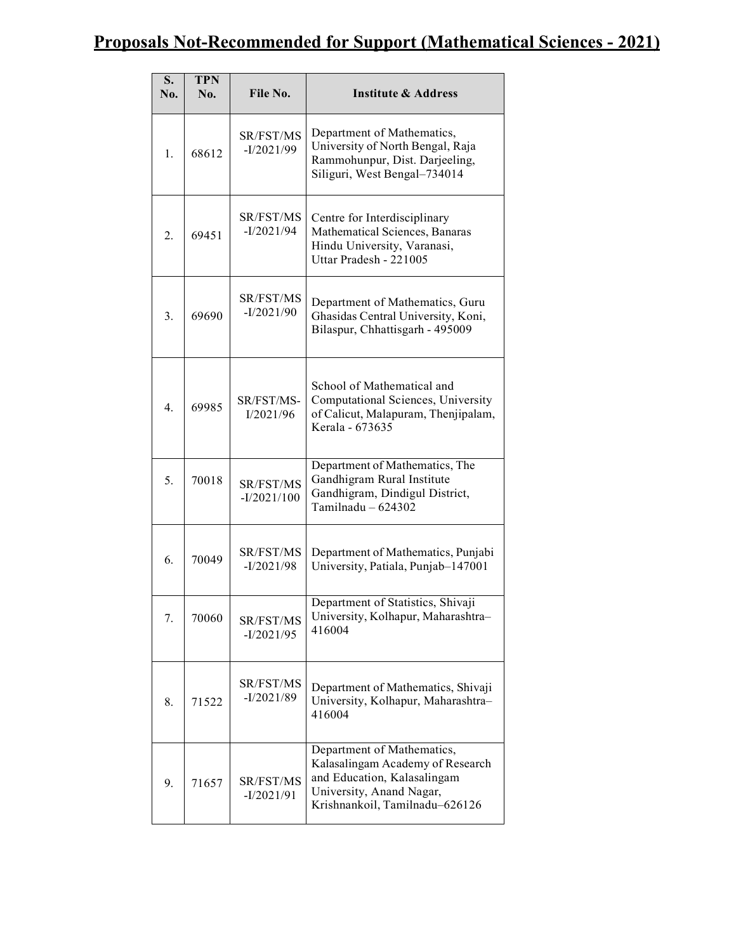#### Proposals Not-Recommended for Support (Mathematical Sciences - 2021)

| S.<br>No.        | <b>TPN</b><br>No. | File No.                         | <b>Institute &amp; Address</b>                                                                                                                              |
|------------------|-------------------|----------------------------------|-------------------------------------------------------------------------------------------------------------------------------------------------------------|
| 1.               | 68612             | <b>SR/FST/MS</b><br>$-I/2021/99$ | Department of Mathematics,<br>University of North Bengal, Raja<br>Rammohunpur, Dist. Darjeeling,<br>Siliguri, West Bengal-734014                            |
| 2.               | 69451             | SR/FST/MS<br>$-I/2021/94$        | Centre for Interdisciplinary<br>Mathematical Sciences, Banaras<br>Hindu University, Varanasi,<br>Uttar Pradesh - 221005                                     |
| 3.               | 69690             | <b>SR/FST/MS</b><br>$-I/2021/90$ | Department of Mathematics, Guru<br>Ghasidas Central University, Koni,<br>Bilaspur, Chhattisgarh - 495009                                                    |
| $\overline{4}$ . | 69985             | SR/FST/MS-<br>I/2021/96          | School of Mathematical and<br>Computational Sciences, University<br>of Calicut, Malapuram, Thenjipalam,<br>Kerala - 673635                                  |
| 5.               | 70018             | SR/FST/MS<br>$-I/2021/100$       | Department of Mathematics, The<br>Gandhigram Rural Institute<br>Gandhigram, Dindigul District,<br>Tamilnadu $-624302$                                       |
| 6.               | 70049             | <b>SR/FST/MS</b><br>$-I/2021/98$ | Department of Mathematics, Punjabi<br>University, Patiala, Punjab-147001                                                                                    |
| 7.               | 70060             | SR/FST/MS<br>$-I/2021/95$        | Department of Statistics, Shivaji<br>University, Kolhapur, Maharashtra-<br>416004                                                                           |
| 8.               | 71522             | SR/FST/MS<br>$-I/2021/89$        | Department of Mathematics, Shivaji<br>University, Kolhapur, Maharashtra-<br>416004                                                                          |
| 9.               | 71657             | SR/FST/MS<br>$-I/2021/91$        | Department of Mathematics,<br>Kalasalingam Academy of Research<br>and Education, Kalasalingam<br>University, Anand Nagar,<br>Krishnankoil, Tamilnadu-626126 |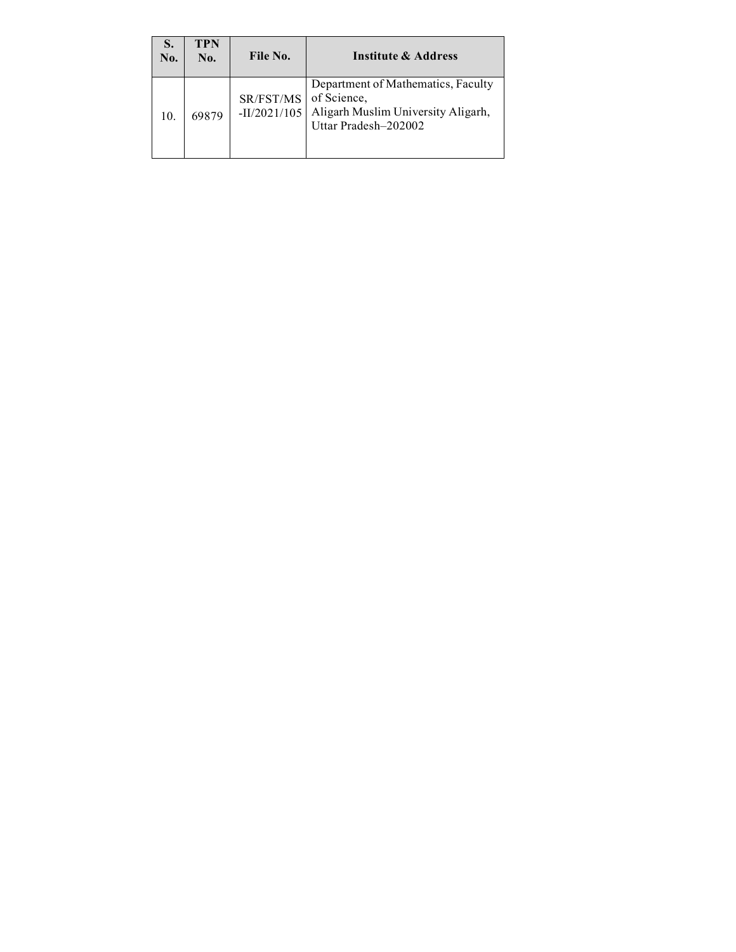| S.<br>No. | <b>TPN</b><br>No. | File No.                    | Institute & Address                                                                                             |
|-----------|-------------------|-----------------------------|-----------------------------------------------------------------------------------------------------------------|
| 10.       | 69879             | SR/FST/MS<br>$-II/2021/105$ | Department of Mathematics, Faculty<br>of Science,<br>Aligarh Muslim University Aligarh,<br>Uttar Pradesh-202002 |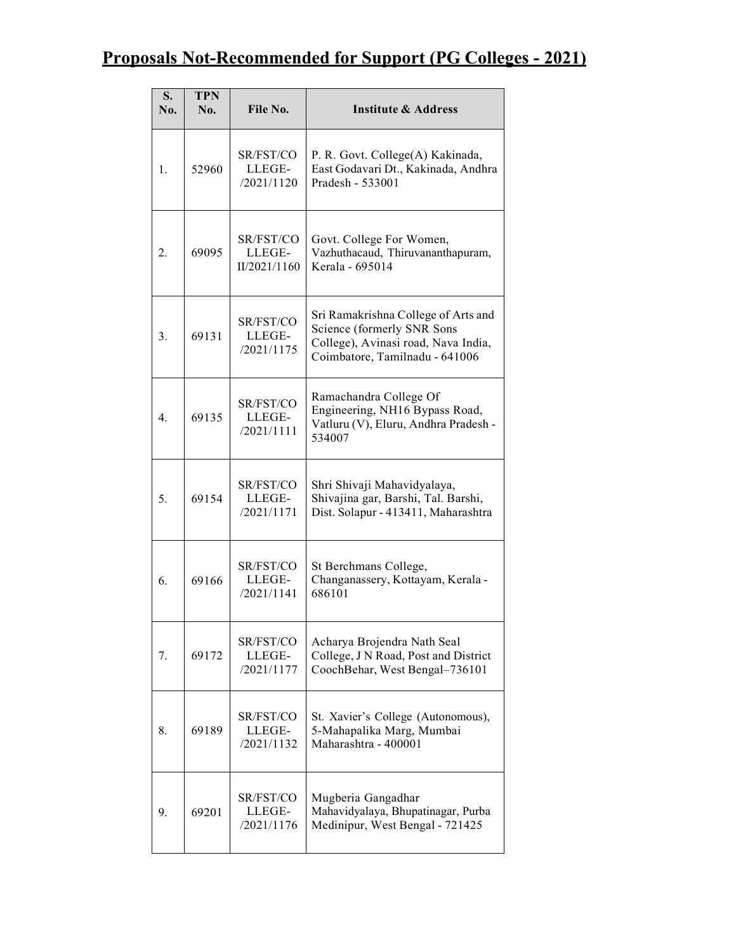# Proposals Not-Recommended for Support (PG Colleges - 2021)

| S.<br>No.        | <b>TPN</b><br>No. | File No.                            | <b>Institute &amp; Address</b>                                                                                                             |
|------------------|-------------------|-------------------------------------|--------------------------------------------------------------------------------------------------------------------------------------------|
| 1.               | 52960             | SR/FST/CO<br>LLEGE-<br>/2021/1120   | P. R. Govt. College(A) Kakinada,<br>East Godavari Dt., Kakinada, Andhra<br>Pradesh - 533001                                                |
| 2.               | 69095             | SR/FST/CO<br>LLEGE-<br>II/2021/1160 | Govt. College For Women,<br>Vazhuthacaud, Thiruvananthapuram,<br>Kerala - 695014                                                           |
| 3.               | 69131             | SR/FST/CO<br>LLEGE-<br>/2021/1175   | Sri Ramakrishna College of Arts and<br>Science (formerly SNR Sons<br>College), Avinasi road, Nava India,<br>Coimbatore, Tamilnadu - 641006 |
| $\overline{4}$ . | 69135             | SR/FST/CO<br>LLEGE-<br>/2021/1111   | Ramachandra College Of<br>Engineering, NH16 Bypass Road,<br>Vatluru (V), Eluru, Andhra Pradesh -<br>534007                                 |
| 5.               | 69154             | SR/FST/CO<br>LLEGE-<br>/2021/1171   | Shri Shivaji Mahavidyalaya,<br>Shivajina gar, Barshi, Tal. Barshi,<br>Dist. Solapur - 413411, Maharashtra                                  |
| 6.               | 69166             | SR/FST/CO<br>LLEGE-<br>/2021/1141   | St Berchmans College,<br>Changanassery, Kottayam, Kerala -<br>686101                                                                       |
| 7.               | 69172             | SR/FST/CO<br>LLEGE-<br>/2021/1177   | Acharya Brojendra Nath Seal<br>College, J N Road, Post and District<br>CoochBehar, West Bengal-736101                                      |
| 8.               | 69189             | SR/FST/CO<br>LLEGE-<br>/2021/1132   | St. Xavier's College (Autonomous),<br>5-Mahapalika Marg, Mumbai<br>Maharashtra - 400001                                                    |
| 9.               | 69201             | SR/FST/CO<br>LLEGE-<br>/2021/1176   | Mugberia Gangadhar<br>Mahavidyalaya, Bhupatinagar, Purba<br>Medinipur, West Bengal - 721425                                                |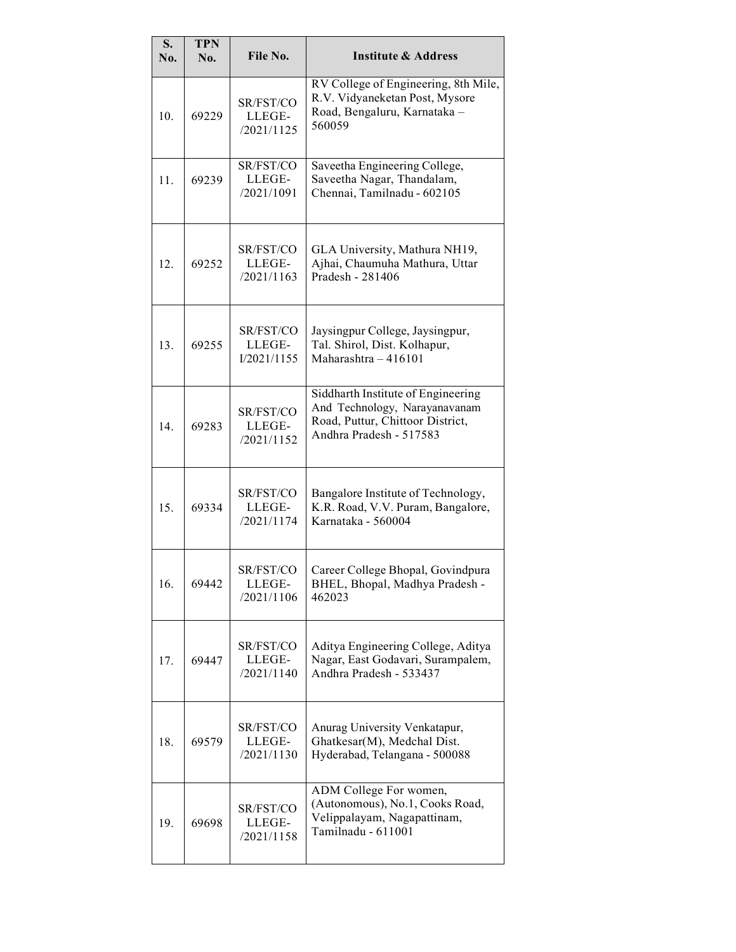| S.<br>No. | <b>TPN</b><br>No. | File No.                           | <b>Institute &amp; Address</b>                                                                                                     |
|-----------|-------------------|------------------------------------|------------------------------------------------------------------------------------------------------------------------------------|
| 10.       | 69229             | SR/FST/CO<br>LLEGE-<br>/2021/1125  | RV College of Engineering, 8th Mile,<br>R.V. Vidyaneketan Post, Mysore<br>Road, Bengaluru, Karnataka -<br>560059                   |
| 11.       | 69239             | SR/FST/CO<br>LLEGE-<br>/2021/1091  | Saveetha Engineering College,<br>Saveetha Nagar, Thandalam,<br>Chennai, Tamilnadu - 602105                                         |
| 12.       | 69252             | SR/FST/CO<br>LLEGE-<br>/2021/1163  | GLA University, Mathura NH19,<br>Ajhai, Chaumuha Mathura, Uttar<br>Pradesh - 281406                                                |
| 13.       | 69255             | SR/FST/CO<br>LLEGE-<br>I/2021/1155 | Jaysingpur College, Jaysingpur,<br>Tal. Shirol, Dist. Kolhapur,<br>Maharashtra $-416101$                                           |
| 14.       | 69283             | SR/FST/CO<br>LLEGE-<br>/2021/1152  | Siddharth Institute of Engineering<br>And Technology, Narayanavanam<br>Road, Puttur, Chittoor District,<br>Andhra Pradesh - 517583 |
| 15.       | 69334             | SR/FST/CO<br>LLEGE-<br>/2021/1174  | Bangalore Institute of Technology,<br>K.R. Road, V.V. Puram, Bangalore,<br>Karnataka - 560004                                      |
| 16.       | 69442             | SR/FST/CO<br>LLEGE-<br>/2021/1106  | Career College Bhopal, Govindpura<br>BHEL, Bhopal, Madhya Pradesh -<br>462023                                                      |
| 17.       | 69447             | SR/FST/CO<br>LLEGE-<br>/2021/1140  | Aditya Engineering College, Aditya<br>Nagar, East Godavari, Surampalem,<br>Andhra Pradesh - 533437                                 |
| 18.       | 69579             | SR/FST/CO<br>LLEGE-<br>/2021/1130  | Anurag University Venkatapur,<br>Ghatkesar(M), Medchal Dist.<br>Hyderabad, Telangana - 500088                                      |
| 19.       | 69698             | SR/FST/CO<br>LLEGE-<br>/2021/1158  | ADM College For women,<br>(Autonomous), No.1, Cooks Road,<br>Velippalayam, Nagapattinam,<br>Tamilnadu - 611001                     |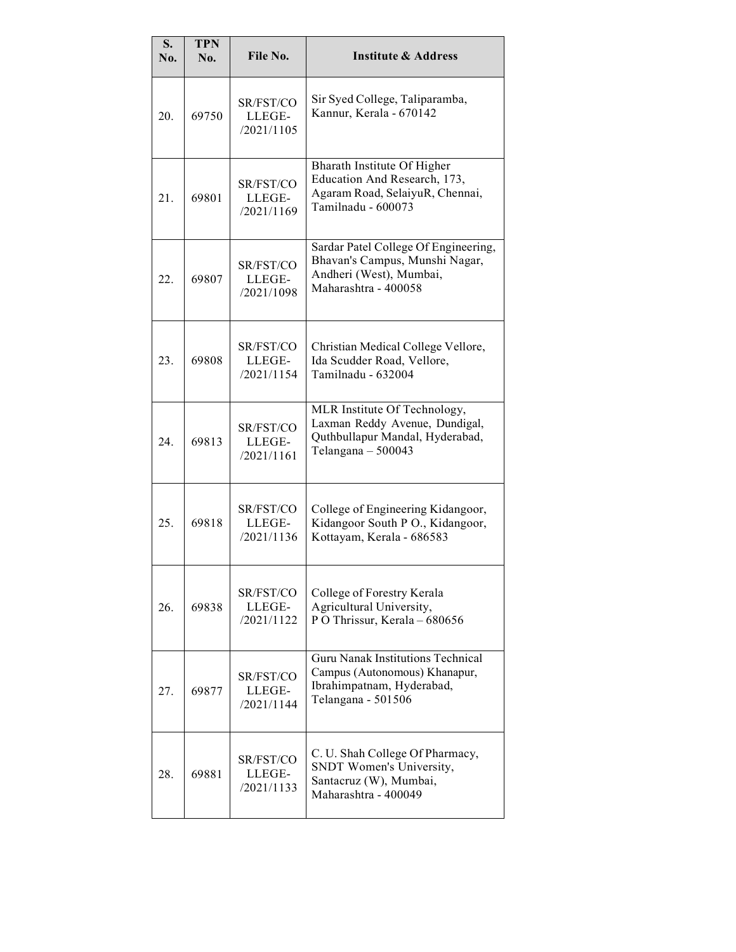| S.<br>No. | <b>TPN</b><br>No. | File No.                          | <b>Institute &amp; Address</b>                                                                                               |
|-----------|-------------------|-----------------------------------|------------------------------------------------------------------------------------------------------------------------------|
| 20.       | 69750             | SR/FST/CO<br>LLEGE-<br>/2021/1105 | Sir Syed College, Taliparamba,<br>Kannur, Kerala - 670142                                                                    |
| 21.       | 69801             | SR/FST/CO<br>LLEGE-<br>/2021/1169 | Bharath Institute Of Higher<br>Education And Research, 173,<br>Agaram Road, SelaiyuR, Chennai,<br>Tamilnadu - 600073         |
| 22.       | 69807             | SR/FST/CO<br>LLEGE-<br>/2021/1098 | Sardar Patel College Of Engineering,<br>Bhavan's Campus, Munshi Nagar,<br>Andheri (West), Mumbai,<br>Maharashtra - 400058    |
| 23.       | 69808             | SR/FST/CO<br>LLEGE-<br>/2021/1154 | Christian Medical College Vellore,<br>Ida Scudder Road, Vellore,<br>Tamilnadu - 632004                                       |
| 24.       | 69813             | SR/FST/CO<br>LLEGE-<br>/2021/1161 | MLR Institute Of Technology,<br>Laxman Reddy Avenue, Dundigal,<br>Quthbullapur Mandal, Hyderabad,<br>Telangana - 500043      |
| 25.       | 69818             | SR/FST/CO<br>LLEGE-<br>/2021/1136 | College of Engineering Kidangoor,<br>Kidangoor South P O., Kidangoor,<br>Kottayam, Kerala - 686583                           |
| 26.       | 69838             | SR/FST/CO<br>LLEGE-<br>/2021/1122 | College of Forestry Kerala<br>Agricultural University,<br>P O Thrissur, Kerala - 680656                                      |
| 27.       | 69877             | SR/FST/CO<br>LLEGE-<br>/2021/1144 | <b>Guru Nanak Institutions Technical</b><br>Campus (Autonomous) Khanapur,<br>Ibrahimpatnam, Hyderabad,<br>Telangana - 501506 |
| 28.       | 69881             | SR/FST/CO<br>LLEGE-<br>/2021/1133 | C. U. Shah College Of Pharmacy,<br>SNDT Women's University,<br>Santacruz (W), Mumbai,<br>Maharashtra - 400049                |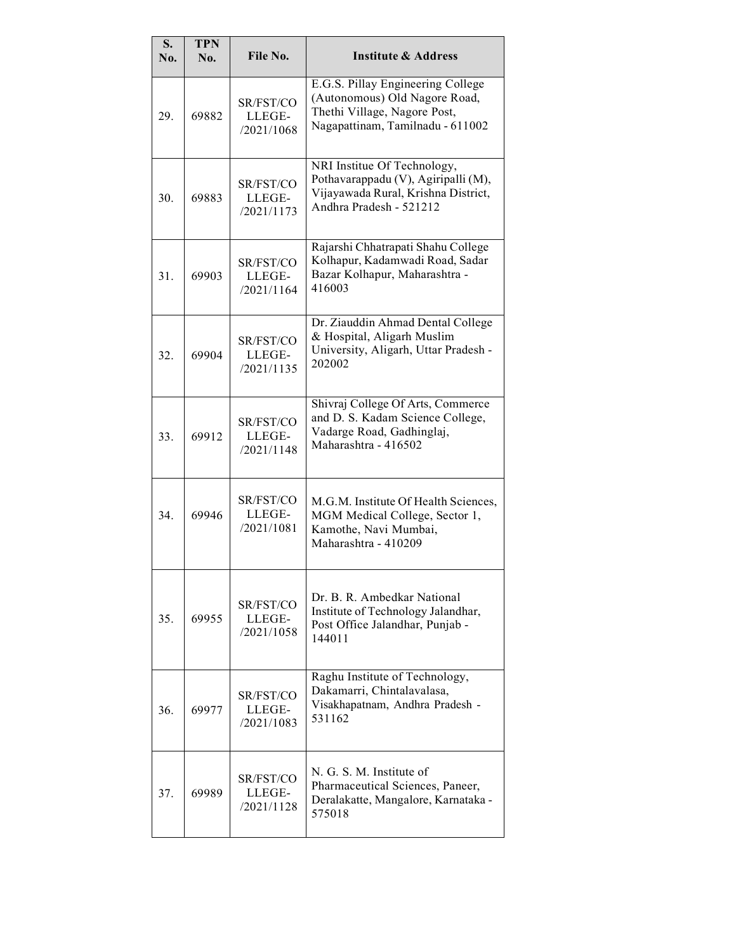| S.<br>No. | <b>TPN</b><br>No. | File No.                          | <b>Institute &amp; Address</b>                                                                                                         |
|-----------|-------------------|-----------------------------------|----------------------------------------------------------------------------------------------------------------------------------------|
| 29.       | 69882             | SR/FST/CO<br>LLEGE-<br>/2021/1068 | E.G.S. Pillay Engineering College<br>(Autonomous) Old Nagore Road,<br>Thethi Village, Nagore Post,<br>Nagapattinam, Tamilnadu - 611002 |
| 30.       | 69883             | SR/FST/CO<br>LLEGE-<br>/2021/1173 | NRI Institue Of Technology,<br>Pothavarappadu (V), Agiripalli (M),<br>Vijayawada Rural, Krishna District,<br>Andhra Pradesh - 521212   |
| 31.       | 69903             | SR/FST/CO<br>LLEGE-<br>/2021/1164 | Rajarshi Chhatrapati Shahu College<br>Kolhapur, Kadamwadi Road, Sadar<br>Bazar Kolhapur, Maharashtra -<br>416003                       |
| 32.       | 69904             | SR/FST/CO<br>LLEGE-<br>/2021/1135 | Dr. Ziauddin Ahmad Dental College<br>& Hospital, Aligarh Muslim<br>University, Aligarh, Uttar Pradesh -<br>202002                      |
| 33.       | 69912             | SR/FST/CO<br>LLEGE-<br>/2021/1148 | Shivraj College Of Arts, Commerce<br>and D. S. Kadam Science College,<br>Vadarge Road, Gadhinglaj,<br>Maharashtra - 416502             |
| 34.       | 69946             | SR/FST/CO<br>LLEGE-<br>/2021/1081 | M.G.M. Institute Of Health Sciences,<br>MGM Medical College, Sector 1,<br>Kamothe, Navi Mumbai,<br>Maharashtra - 410209                |
| 35.       | 69955             | SR/FST/CO<br>LLEGE-<br>/2021/1058 | Dr. B. R. Ambedkar National<br>Institute of Technology Jalandhar,<br>Post Office Jalandhar, Punjab -<br>144011                         |
| 36.       | 69977             | SR/FST/CO<br>LLEGE-<br>/2021/1083 | Raghu Institute of Technology,<br>Dakamarri, Chintalavalasa,<br>Visakhapatnam, Andhra Pradesh -<br>531162                              |
| 37.       | 69989             | SR/FST/CO<br>LLEGE-<br>/2021/1128 | N. G. S. M. Institute of<br>Pharmaceutical Sciences, Paneer,<br>Deralakatte, Mangalore, Karnataka -<br>575018                          |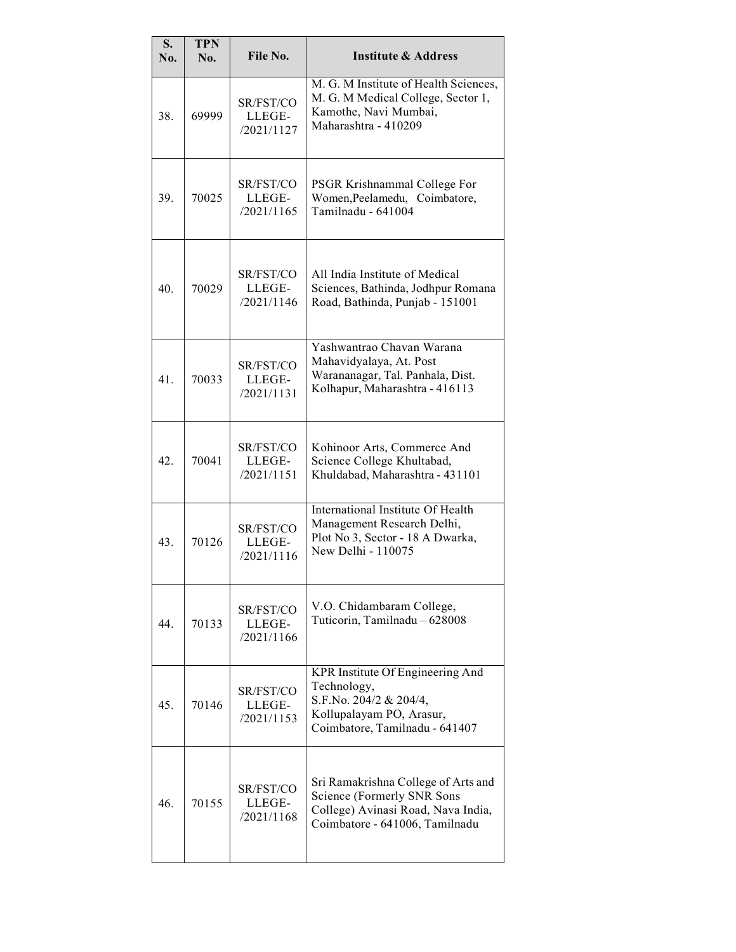| S.<br>No. | <b>TPN</b><br>No. | File No.                          | <b>Institute &amp; Address</b>                                                                                                            |
|-----------|-------------------|-----------------------------------|-------------------------------------------------------------------------------------------------------------------------------------------|
| 38.       | 69999             | SR/FST/CO<br>LLEGE-<br>/2021/1127 | M. G. M Institute of Health Sciences,<br>M. G. M Medical College, Sector 1,<br>Kamothe, Navi Mumbai,<br>Maharashtra - 410209              |
| 39.       | 70025             | SR/FST/CO<br>LLEGE-<br>/2021/1165 | PSGR Krishnammal College For<br>Women, Peelamedu, Coimbatore,<br>Tamilnadu - 641004                                                       |
| 40        | 70029             | SR/FST/CO<br>LLEGE-<br>/2021/1146 | All India Institute of Medical<br>Sciences, Bathinda, Jodhpur Romana<br>Road, Bathinda, Punjab - 151001                                   |
| 41.       | 70033             | SR/FST/CO<br>LLEGE-<br>/2021/1131 | Yashwantrao Chavan Warana<br>Mahavidyalaya, At. Post<br>Warananagar, Tal. Panhala, Dist.<br>Kolhapur, Maharashtra - 416113                |
| 42.       | 70041             | SR/FST/CO<br>LLEGE-<br>/2021/1151 | Kohinoor Arts, Commerce And<br>Science College Khultabad,<br>Khuldabad, Maharashtra - 431101                                              |
| 43.       | 70126             | SR/FST/CO<br>LLEGE-<br>/2021/1116 | International Institute Of Health<br>Management Research Delhi,<br>Plot No 3, Sector - 18 A Dwarka,<br>New Delhi - 110075                 |
| 44.       | 70133             | SR/FST/CO<br>LLEGE-<br>/2021/1166 | V.O. Chidambaram College,<br>Tuticorin, Tamilnadu - 628008                                                                                |
| 45.       | 70146             | SR/FST/CO<br>LLEGE-<br>/2021/1153 | KPR Institute Of Engineering And<br>Technology,<br>S.F.No. 204/2 & 204/4,<br>Kollupalayam PO, Arasur,<br>Coimbatore, Tamilnadu - 641407   |
| 46.       | 70155             | SR/FST/CO<br>LLEGE-<br>/2021/1168 | Sri Ramakrishna College of Arts and<br>Science (Formerly SNR Sons<br>College) Avinasi Road, Nava India,<br>Coimbatore - 641006, Tamilnadu |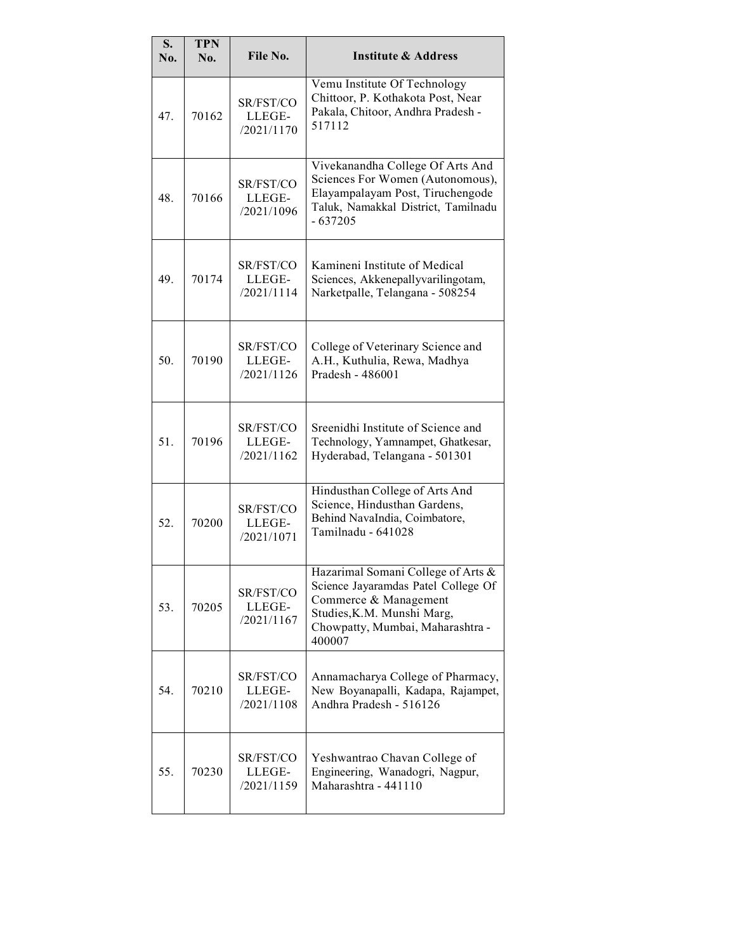| S.<br>No. | <b>TPN</b><br>No. | File No.                          | <b>Institute &amp; Address</b>                                                                                                                                                 |
|-----------|-------------------|-----------------------------------|--------------------------------------------------------------------------------------------------------------------------------------------------------------------------------|
| 47.       | 70162             | SR/FST/CO<br>LLEGE-<br>/2021/1170 | Vemu Institute Of Technology<br>Chittoor, P. Kothakota Post, Near<br>Pakala, Chitoor, Andhra Pradesh -<br>517112                                                               |
| 48.       | 70166             | SR/FST/CO<br>LLEGE-<br>/2021/1096 | Vivekanandha College Of Arts And<br>Sciences For Women (Autonomous),<br>Elayampalayam Post, Tiruchengode<br>Taluk, Namakkal District, Tamilnadu<br>$-637205$                   |
| 49.       | 70174             | SR/FST/CO<br>LLEGE-<br>/2021/1114 | Kamineni Institute of Medical<br>Sciences, Akkenepallyvarilingotam,<br>Narketpalle, Telangana - 508254                                                                         |
| 50.       | 70190             | SR/FST/CO<br>LLEGE-<br>/2021/1126 | College of Veterinary Science and<br>A.H., Kuthulia, Rewa, Madhya<br>Pradesh - 486001                                                                                          |
| 51.       | 70196             | SR/FST/CO<br>LLEGE-<br>/2021/1162 | Sreenidhi Institute of Science and<br>Technology, Yamnampet, Ghatkesar,<br>Hyderabad, Telangana - 501301                                                                       |
| 52.       | 70200             | SR/FST/CO<br>LLEGE-<br>/2021/1071 | Hindusthan College of Arts And<br>Science, Hindusthan Gardens,<br>Behind NavaIndia, Coimbatore,<br>Tamilnadu - 641028                                                          |
| 53.       | 70205             | SR/FST/CO<br>LLEGE-<br>/2021/1167 | Hazarimal Somani College of Arts &<br>Science Jayaramdas Patel College Of<br>Commerce & Management<br>Studies, K.M. Munshi Marg,<br>Chowpatty, Mumbai, Maharashtra -<br>400007 |
| 54.       | 70210             | SR/FST/CO<br>LLEGE-<br>/2021/1108 | Annamacharya College of Pharmacy,<br>New Boyanapalli, Kadapa, Rajampet,<br>Andhra Pradesh - 516126                                                                             |
| 55.       | 70230             | SR/FST/CO<br>LLEGE-<br>/2021/1159 | Yeshwantrao Chavan College of<br>Engineering, Wanadogri, Nagpur,<br>Maharashtra - 441110                                                                                       |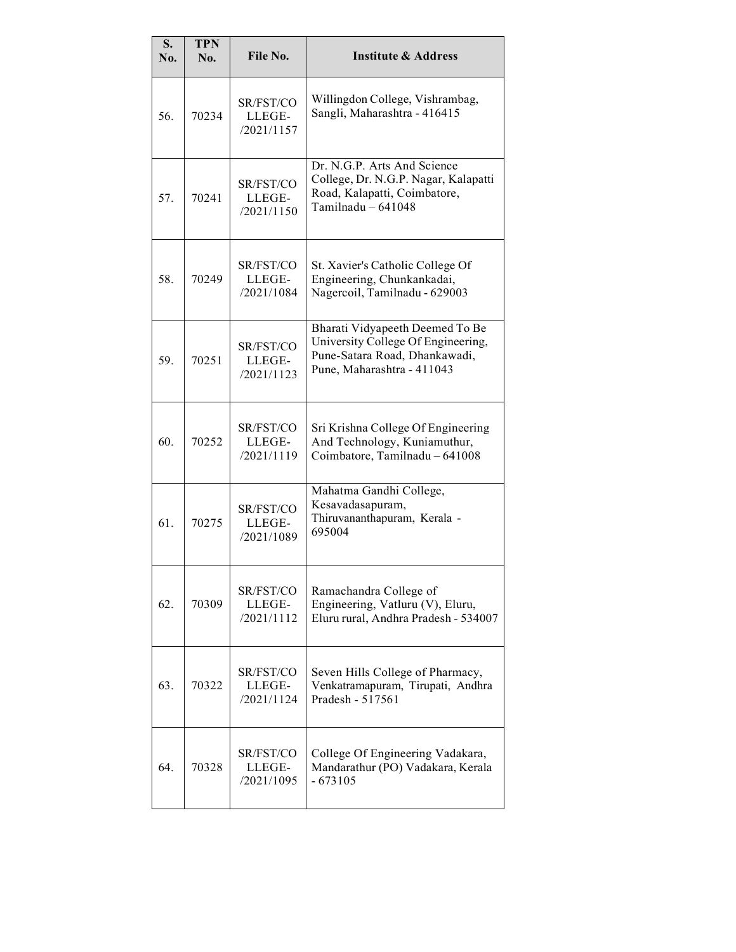| S.<br>No. | <b>TPN</b><br>No. | File No.                          | <b>Institute &amp; Address</b>                                                                                                       |
|-----------|-------------------|-----------------------------------|--------------------------------------------------------------------------------------------------------------------------------------|
| 56.       | 70234             | SR/FST/CO<br>LLEGE-<br>/2021/1157 | Willingdon College, Vishrambag,<br>Sangli, Maharashtra - 416415                                                                      |
| 57.       | 70241             | SR/FST/CO<br>LLEGE-<br>/2021/1150 | Dr. N.G.P. Arts And Science<br>College, Dr. N.G.P. Nagar, Kalapatti<br>Road, Kalapatti, Coimbatore,<br>Tamilnadu $-641048$           |
| 58.       | 70249             | SR/FST/CO<br>LLEGE-<br>/2021/1084 | St. Xavier's Catholic College Of<br>Engineering, Chunkankadai,<br>Nagercoil, Tamilnadu - 629003                                      |
| 59.       | 70251             | SR/FST/CO<br>LLEGE-<br>/2021/1123 | Bharati Vidyapeeth Deemed To Be<br>University College Of Engineering,<br>Pune-Satara Road, Dhankawadi,<br>Pune, Maharashtra - 411043 |
| 60.       | 70252             | SR/FST/CO<br>LLEGE-<br>/2021/1119 | Sri Krishna College Of Engineering<br>And Technology, Kuniamuthur,<br>Coimbatore, Tamilnadu - 641008                                 |
| 61.       | 70275             | SR/FST/CO<br>LLEGE-<br>/2021/1089 | Mahatma Gandhi College,<br>Kesavadasapuram,<br>Thiruvananthapuram, Kerala -<br>695004                                                |
| 62.       | 70309             | SR/FST/CO<br>LLEGE-<br>/2021/1112 | Ramachandra College of<br>Engineering, Vatluru (V), Eluru,<br>Eluru rural, Andhra Pradesh - 534007                                   |
| 63.       | 70322             | SR/FST/CO<br>LLEGE-<br>/2021/1124 | Seven Hills College of Pharmacy,<br>Venkatramapuram, Tirupati, Andhra<br>Pradesh - 517561                                            |
| 64.       | 70328             | SR/FST/CO<br>LLEGE-<br>/2021/1095 | College Of Engineering Vadakara,<br>Mandarathur (PO) Vadakara, Kerala<br>$-673105$                                                   |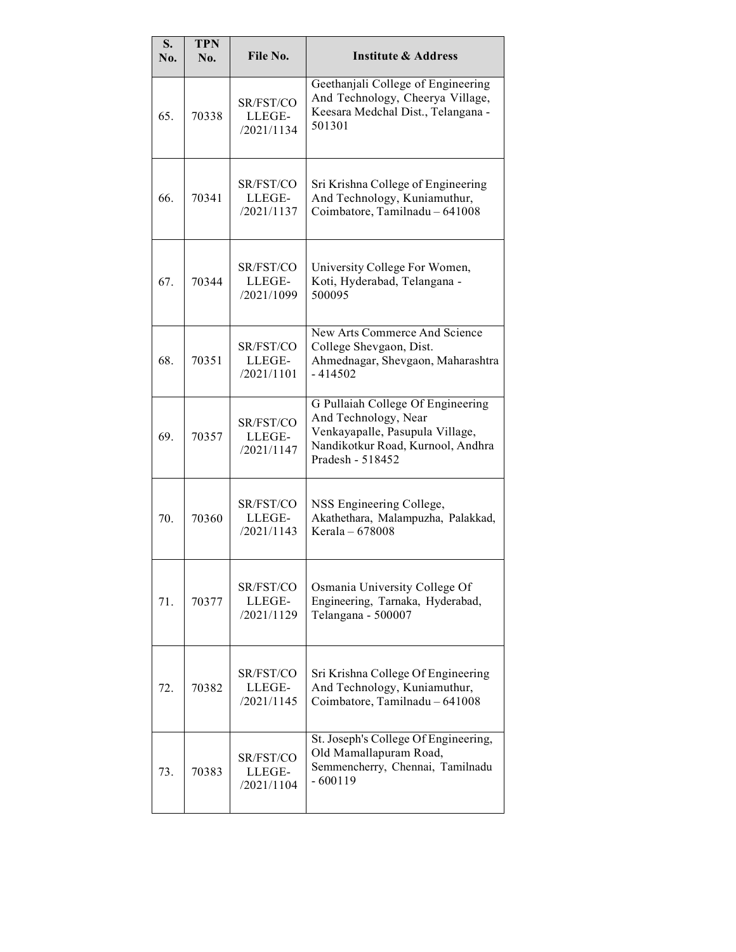| S.<br>No. | <b>TPN</b><br>No. | File No.                          | <b>Institute &amp; Address</b>                                                                                                                        |
|-----------|-------------------|-----------------------------------|-------------------------------------------------------------------------------------------------------------------------------------------------------|
| 65.       | 70338             | SR/FST/CO<br>LLEGE-<br>/2021/1134 | Geethanjali College of Engineering<br>And Technology, Cheerya Village,<br>Keesara Medchal Dist., Telangana -<br>501301                                |
| 66.       | 70341             | SR/FST/CO<br>LLEGE-<br>/2021/1137 | Sri Krishna College of Engineering<br>And Technology, Kuniamuthur,<br>Coimbatore, Tamilnadu - 641008                                                  |
| 67.       | 70344             | SR/FST/CO<br>LLEGE-<br>/2021/1099 | University College For Women,<br>Koti, Hyderabad, Telangana -<br>500095                                                                               |
| 68.       | 70351             | SR/FST/CO<br>LLEGE-<br>/2021/1101 | New Arts Commerce And Science<br>College Shevgaon, Dist.<br>Ahmednagar, Shevgaon, Maharashtra<br>- 414502                                             |
| 69.       | 70357             | SR/FST/CO<br>LLEGE-<br>/2021/1147 | G Pullaiah College Of Engineering<br>And Technology, Near<br>Venkayapalle, Pasupula Village,<br>Nandikotkur Road, Kurnool, Andhra<br>Pradesh - 518452 |
| 70.       | 70360             | SR/FST/CO<br>LLEGE-<br>/2021/1143 | NSS Engineering College,<br>Akathethara, Malampuzha, Palakkad,<br>Kerala - 678008                                                                     |
| 71.       | 70377             | SR/FST/CO<br>LLEGE-<br>/2021/1129 | Osmania University College Of<br>Engineering, Tarnaka, Hyderabad,<br>Telangana - 500007                                                               |
| 72.       | 70382             | SR/FST/CO<br>LLEGE-<br>/2021/1145 | Sri Krishna College Of Engineering<br>And Technology, Kuniamuthur,<br>Coimbatore, Tamilnadu - 641008                                                  |
| 73.       | 70383             | SR/FST/CO<br>LLEGE-<br>/2021/1104 | St. Joseph's College Of Engineering,<br>Old Mamallapuram Road,<br>Semmencherry, Chennai, Tamilnadu<br>$-600119$                                       |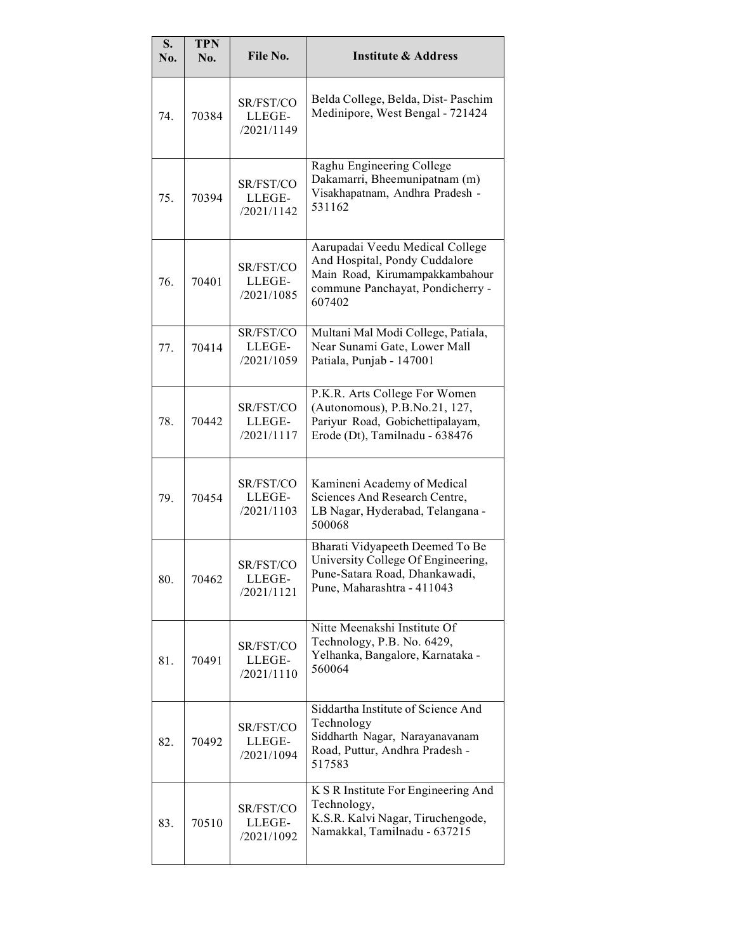| S.<br>No. | <b>TPN</b><br>No. | File No.                          | <b>Institute &amp; Address</b>                                                                                                                   |
|-----------|-------------------|-----------------------------------|--------------------------------------------------------------------------------------------------------------------------------------------------|
| 74.       | 70384             | SR/FST/CO<br>LLEGE-<br>/2021/1149 | Belda College, Belda, Dist-Paschim<br>Medinipore, West Bengal - 721424                                                                           |
| 75.       | 70394             | SR/FST/CO<br>LLEGE-<br>/2021/1142 | Raghu Engineering College<br>Dakamarri, Bheemunipatnam (m)<br>Visakhapatnam, Andhra Pradesh -<br>531162                                          |
| 76.       | 70401             | SR/FST/CO<br>LLEGE-<br>/2021/1085 | Aarupadai Veedu Medical College<br>And Hospital, Pondy Cuddalore<br>Main Road, Kirumampakkambahour<br>commune Panchayat, Pondicherry -<br>607402 |
| 77.       | 70414             | SR/FST/CO<br>LLEGE-<br>/2021/1059 | Multani Mal Modi College, Patiala,<br>Near Sunami Gate, Lower Mall<br>Patiala, Punjab - 147001                                                   |
| 78.       | 70442             | SR/FST/CO<br>LLEGE-<br>/2021/1117 | P.K.R. Arts College For Women<br>(Autonomous), P.B.No.21, 127,<br>Pariyur Road, Gobichettipalayam,<br>Erode (Dt), Tamilnadu - 638476             |
| 79.       | 70454             | SR/FST/CO<br>LLEGE-<br>/2021/1103 | Kamineni Academy of Medical<br>Sciences And Research Centre,<br>LB Nagar, Hyderabad, Telangana -<br>500068                                       |
| 80.       | 70462             | SR/FST/CO<br>LLEGE-<br>/2021/1121 | Bharati Vidyapeeth Deemed To Be<br>University College Of Engineering,<br>Pune-Satara Road, Dhankawadi,<br>Pune, Maharashtra - 411043             |
| 81.       | 70491             | SR/FST/CO<br>LLEGE-<br>/2021/1110 | Nitte Meenakshi Institute Of<br>Technology, P.B. No. 6429,<br>Yelhanka, Bangalore, Karnataka -<br>560064                                         |
| 82.       | 70492             | SR/FST/CO<br>LLEGE-<br>/2021/1094 | Siddartha Institute of Science And<br>Technology<br>Siddharth Nagar, Narayanavanam<br>Road, Puttur, Andhra Pradesh -<br>517583                   |
| 83.       | 70510             | SR/FST/CO<br>LLEGE-<br>/2021/1092 | K S R Institute For Engineering And<br>Technology,<br>K.S.R. Kalvi Nagar, Tiruchengode,<br>Namakkal, Tamilnadu - 637215                          |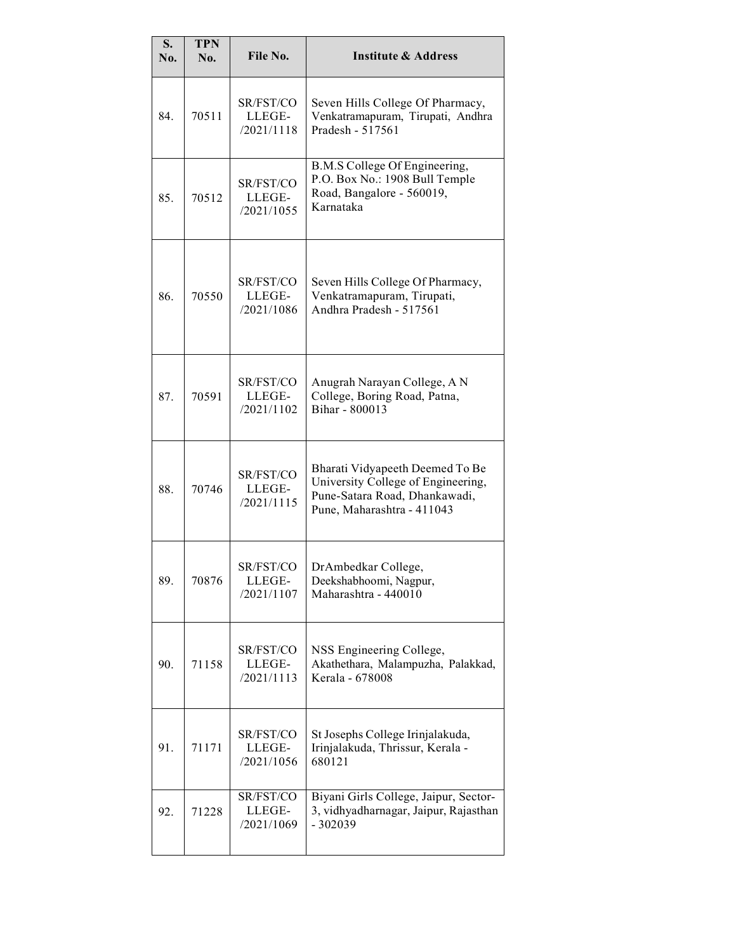| S.<br>No. | <b>TPN</b><br>No. | File No.                          | <b>Institute &amp; Address</b>                                                                                                       |
|-----------|-------------------|-----------------------------------|--------------------------------------------------------------------------------------------------------------------------------------|
| 84.       | 70511             | SR/FST/CO<br>LLEGE-<br>/2021/1118 | Seven Hills College Of Pharmacy,<br>Venkatramapuram, Tirupati, Andhra<br>Pradesh - 517561                                            |
| 85.       | 70512             | SR/FST/CO<br>LLEGE-<br>/2021/1055 | B.M.S College Of Engineering,<br>P.O. Box No.: 1908 Bull Temple<br>Road, Bangalore - 560019,<br>Karnataka                            |
| 86.       | 70550             | SR/FST/CO<br>LLEGE-<br>/2021/1086 | Seven Hills College Of Pharmacy,<br>Venkatramapuram, Tirupati,<br>Andhra Pradesh - 517561                                            |
| 87.       | 70591             | SR/FST/CO<br>LLEGE-<br>/2021/1102 | Anugrah Narayan College, A N<br>College, Boring Road, Patna,<br>Bihar - 800013                                                       |
| 88.       | 70746             | SR/FST/CO<br>LLEGE-<br>/2021/1115 | Bharati Vidyapeeth Deemed To Be<br>University College of Engineering,<br>Pune-Satara Road, Dhankawadi,<br>Pune, Maharashtra - 411043 |
| 89.       | 70876             | SR/FST/CO<br>LLEGE-<br>/2021/1107 | DrAmbedkar College,<br>Deekshabhoomi, Nagpur,<br>Maharashtra - 440010                                                                |
| 90.       | 71158             | SR/FST/CO<br>LLEGE-<br>/2021/1113 | NSS Engineering College,<br>Akathethara, Malampuzha, Palakkad,<br>Kerala - 678008                                                    |
| 91.       | 71171             | SR/FST/CO<br>LLEGE-<br>/2021/1056 | St Josephs College Irinjalakuda,<br>Irinjalakuda, Thrissur, Kerala -<br>680121                                                       |
| 92.       | 71228             | SR/FST/CO<br>LLEGE-<br>/2021/1069 | Biyani Girls College, Jaipur, Sector-<br>3, vidhyadharnagar, Jaipur, Rajasthan<br>$-302039$                                          |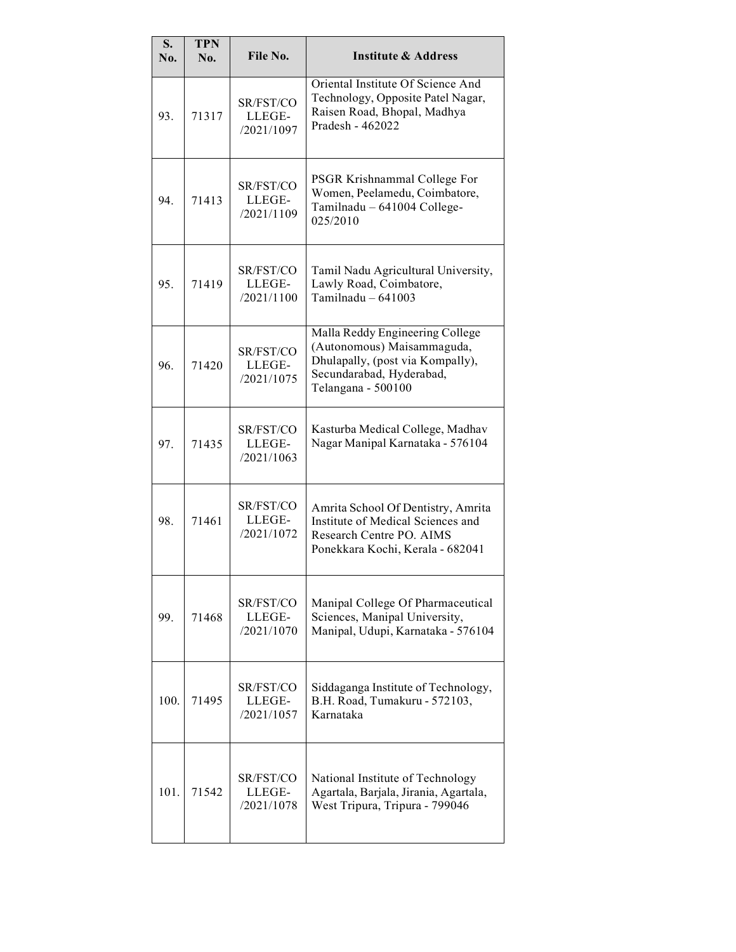| S.<br>No. | <b>TPN</b><br>No. | File No.                          | <b>Institute &amp; Address</b>                                                                                                                      |
|-----------|-------------------|-----------------------------------|-----------------------------------------------------------------------------------------------------------------------------------------------------|
| 93.       | 71317             | SR/FST/CO<br>LLEGE-<br>/2021/1097 | Oriental Institute Of Science And<br>Technology, Opposite Patel Nagar,<br>Raisen Road, Bhopal, Madhya<br>Pradesh - 462022                           |
| 94.       | 71413             | SR/FST/CO<br>LLEGE-<br>/2021/1109 | PSGR Krishnammal College For<br>Women, Peelamedu, Coimbatore,<br>Tamilnadu - 641004 College-<br>025/2010                                            |
| 95.       | 71419             | SR/FST/CO<br>LLEGE-<br>/2021/1100 | Tamil Nadu Agricultural University,<br>Lawly Road, Coimbatore,<br>Tamilnadu $-641003$                                                               |
| 96.       | 71420             | SR/FST/CO<br>LLEGE-<br>/2021/1075 | Malla Reddy Engineering College<br>(Autonomous) Maisammaguda,<br>Dhulapally, (post via Kompally),<br>Secundarabad, Hyderabad,<br>Telangana - 500100 |
| 97.       | 71435             | SR/FST/CO<br>LLEGE-<br>/2021/1063 | Kasturba Medical College, Madhav<br>Nagar Manipal Karnataka - 576104                                                                                |
| 98.       | 71461             | SR/FST/CO<br>LLEGE-<br>/2021/1072 | Amrita School Of Dentistry, Amrita<br>Institute of Medical Sciences and<br>Research Centre PO. AIMS<br>Ponekkara Kochi, Kerala - 682041             |
| 99.       | 71468             | SR/FST/CO<br>LLEGE-<br>/2021/1070 | Manipal College Of Pharmaceutical<br>Sciences, Manipal University,<br>Manipal, Udupi, Karnataka - 576104                                            |
| 100.      | 71495             | SR/FST/CO<br>LLEGE-<br>/2021/1057 | Siddaganga Institute of Technology,<br>B.H. Road, Tumakuru - 572103,<br>Karnataka                                                                   |
| 101.      | 71542             | SR/FST/CO<br>LLEGE-<br>/2021/1078 | National Institute of Technology<br>Agartala, Barjala, Jirania, Agartala,<br>West Tripura, Tripura - 799046                                         |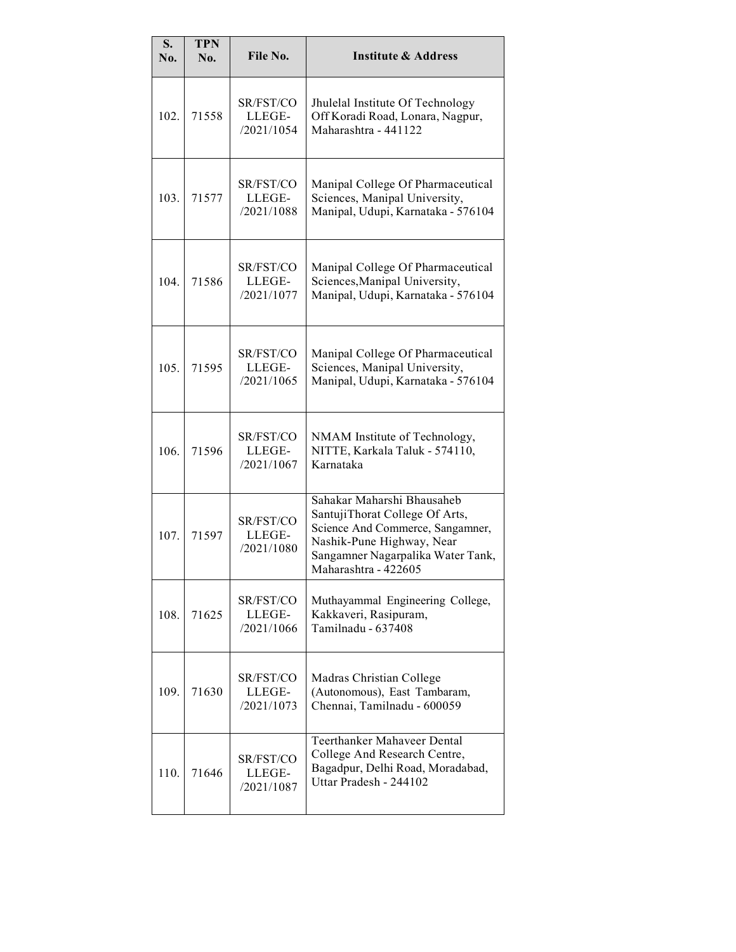| S.<br>No. | <b>TPN</b><br>No. | File No.                          | <b>Institute &amp; Address</b>                                                                                                                                                             |
|-----------|-------------------|-----------------------------------|--------------------------------------------------------------------------------------------------------------------------------------------------------------------------------------------|
| 102.      | 71558             | SR/FST/CO<br>LLEGE-<br>/2021/1054 | Jhulelal Institute Of Technology<br>Off Koradi Road, Lonara, Nagpur,<br>Maharashtra - 441122                                                                                               |
| 103.      | 71577             | SR/FST/CO<br>LLEGE-<br>/2021/1088 | Manipal College Of Pharmaceutical<br>Sciences, Manipal University,<br>Manipal, Udupi, Karnataka - 576104                                                                                   |
| 104.      | 71586             | SR/FST/CO<br>LLEGE-<br>/2021/1077 | Manipal College Of Pharmaceutical<br>Sciences, Manipal University,<br>Manipal, Udupi, Karnataka - 576104                                                                                   |
| 105.      | 71595             | SR/FST/CO<br>LLEGE-<br>/2021/1065 | Manipal College Of Pharmaceutical<br>Sciences, Manipal University,<br>Manipal, Udupi, Karnataka - 576104                                                                                   |
| 106.      | 71596             | SR/FST/CO<br>LLEGE-<br>/2021/1067 | NMAM Institute of Technology,<br>NITTE, Karkala Taluk - 574110,<br>Karnataka                                                                                                               |
| 107.      | 71597             | SR/FST/CO<br>LLEGE-<br>/2021/1080 | Sahakar Maharshi Bhausaheb<br>SantujiThorat College Of Arts,<br>Science And Commerce, Sangamner,<br>Nashik-Pune Highway, Near<br>Sangamner Nagarpalika Water Tank,<br>Maharashtra - 422605 |
| 108.      | 71625             | SR/FST/CO<br>LLEGE-<br>/2021/1066 | Muthayammal Engineering College,<br>Kakkaveri, Rasipuram,<br>Tamilnadu - 637408                                                                                                            |
| 109.      | 71630             | SR/FST/CO<br>LLEGE-<br>/2021/1073 | Madras Christian College<br>(Autonomous), East Tambaram,<br>Chennai, Tamilnadu - 600059                                                                                                    |
| 110.      | 71646             | SR/FST/CO<br>LLEGE-<br>/2021/1087 | <b>Teerthanker Mahaveer Dental</b><br>College And Research Centre,<br>Bagadpur, Delhi Road, Moradabad,<br>Uttar Pradesh - 244102                                                           |